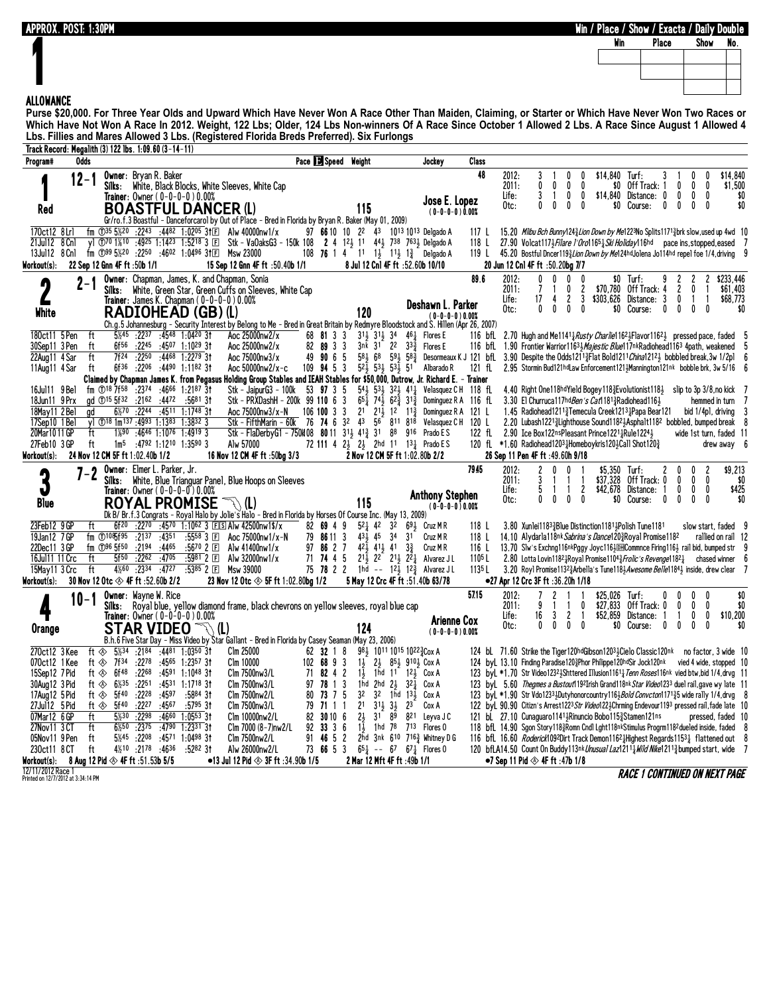**APPROX. POST: 1:30PM Win / Place / Show / Exacta / Daily Double**

Show No.

## **1 ALLOWANCE**

**Purse \$20,000. For Three Year Olds and Upward Which Have Never Won A Race Other Than Maiden, Claiming, or Starter or Which Have Never Won Two Races or Which Have Not Won A Race In 2012. Weight, 122 Lbs; Older, 124 Lbs Non-winners Of A Race Since October 1 Allowed 2 Lbs. A Race Since August 1 Allowed 4 Lbs. Fillies and Mares Allowed 3 Lbs. (Registered Florida Breds Preferred). Six Furlongs**

| Pace 3 Speed Weight<br>Program#<br>Odds<br>Jockey<br>Class<br>48<br>\$14.840<br>Owner: Bryan R. Baker<br>2012:<br>3<br>\$14,840<br>Turf:<br>12-1<br>0<br>0<br>Off Track: 1<br>\$1,500<br>White, Black Blocks, White Sleeves, White Cap<br>2011:<br>0<br>0<br>\$0<br>0<br>0<br>Silks:<br>0<br>$\overline{3}$<br>0<br>0<br>$\mathbf{0}$<br>\$0<br>Life:<br>0<br>\$14,840 Distance: 0<br>0<br>Trainer: Owner ( 0–0–0–0 ) 0.00%<br>Jose E. Lopez<br>0<br>0<br>0<br>0<br>0<br>0<br>$\mathbf{0}$<br>0<br>\$0<br>Otc:<br>\$0<br>Course:<br><b>BOASTFUL DANCER (L)</b><br>Red<br>115<br>$(0-0-0-0)0.00%$<br>Gr/ro.f.3 Boastful - Danceforcarol by Out of Place - Bred in Florida by Bryan R. Baker (May 01, 2009)<br>fm $\bigcirc$ 35 5%20 :2243 :4482 1:0205 31E Alw 40000nw1/x<br>97 66 10 10 22 43 1013 1013 Delgado A<br>170ct12 8Lrl<br>15.20 Milbu Bch Bunny1243 Lion Down by Me1223No Splits 11713 brk slow, used up 4wd 10<br>117 L<br>y] ①70 1%10 :4925 1:1423 1:5218 3 El Stk - VaOaksG3 - 150k 108 2 4 123 11 443 738 7633 Delgado A<br>21Jul12 8 Cn1<br>118<br>27.90 Volcat117\\lightare l'Oro1165\\lightard\lightard\lightar pace ins.stopped.eased 7<br>$\overline{f}$ m ①99 5½20 :2250 :4602 1:0496 31 $E$ Msw 23000<br>108 76 1 4 11 $1\frac{1}{2}$ 1 <sup>1</sup> / <sub>2</sub> 1 <sup>3</sup> / <sub>4</sub> Delgado A<br>13Jul12 8 Cn1<br>45.20 Bostful Dncer1193Lion Down by Me124hd Jolena Jo114hd repel foe 1/4, driving 9<br>119 L<br>Workout(s):<br>22 Sep 12 Gnn 4F ft :50b 1/1<br>15 Sep 12 Gnn 4F ft :50.40b 1/1<br>8 Jul 12 Cnl 4F ft :52.60b 10/10<br>20 Jun 12 Cn1 4F ft :50.20bg 7/7<br>89.6<br><b>Owner:</b> Chapman, James, K. and Chapman, Sonia<br>2012:<br>$\mathbf{0}$<br>0<br>0<br>$$0$ Turf:<br>\$233.446<br>0<br>$\overline{7}$<br>\$70,780<br>2<br>Off Track: 4<br>2<br>\$61,403<br>White, Green Star, Green Cuffs on Sleeves, White Cap<br>2011:<br>0<br>$\mathbf{0}$<br>Silks:<br>$\mathbf{2}$<br>3<br>\$303,626 Distance: 3<br>$\mathbf{0}$<br>Life:<br>17<br>\$68,773<br>-1<br>Trainer: James K. Chapman ( $0-0-0-0$ ) $0.00\%$<br>4<br>1<br>Deshawn L. Parker<br>$\mathbf{0}$<br>0<br>$\mathbf{0}$<br>Otc:<br>0<br>\$0<br>Course:<br>0<br>0<br>$\mathbf{0}$<br>$\mathbf{0}$<br>\$0<br><b>RADIOHEAD (GB) (L)</b><br>120<br>White<br>$(0 - 0 - 0 - 0)0.00%$<br>Ch.g.5 Johannesburg - Security Interest by Belong to Me - Bred in Great Britain by Redmyre Bloodstock and S. Hillen (Apr 26, 2007)<br>180ct11 5 Pen<br>ft<br>5%45 :2237 :4548 1:0420 31<br>Aoc 25000nw2/x<br>68 81 3 3<br>311 311 34<br>$46\frac{1}{4}$ Flores E<br>116 bfL 2.70 Hugh and Me1141 $\frac{1}{4}$ Rusty Charlie1162 $\frac{1}{2}$ Flavor1162 $\frac{1}{2}$ pressed pace, faded 5<br>$:22^{45}$ $:45^{07}$ 1:10 <sup>29</sup> 31<br>82 89 3 3<br>$3nk$ $31$ $22$ $33\frac{3}{7}$<br>30Sep11 3 Pen<br>ft<br>6f56<br>Aoc 25000nw2/x<br>Flores E<br>116 bfL 1.90 Frontier Warrior11633 <i>Majestic Blue</i> 117nkRadiohead1163 4path, weakened 5<br>:2250<br>:4468 1:2279 31<br>Aoc 75000nw3/x<br>90 6 5<br>$58\frac{1}{2}68$<br>591 583<br>Desormeaux K J 121 bfL 3.90 Despite the Odds1211 <sup>3</sup> Flat Bold1211 <i>China</i> 121 <sup>2</sup> bobbled break, 3w 1/2pl 6<br>22Aug11 4 Sar<br>ft<br>7f24<br>49<br>$:22^{06}$ $:44^{90}$ 1:1182 31<br>109 94 5 3<br>$5^{2}$ $\frac{1}{2}$ $5^{3}$ $\frac{1}{2}$ $5^{3}$ $\frac{1}{2}$ $5^{1}$<br>ft<br>6f36<br>Aoc 50000nw2/x-c<br>Albarado R<br>121 fl. 2.95 Stormin Bud121hdLaw Enforcement121; Mannington121nk bobble brk, 3w 5/16 6<br>11Aug11 4 Sar<br>Claimed by Chapman James K. from Pegasus Holding Group Stables and IEAH Stables for \$50,000, Dutrow, Jr. Richard E. – Trainer<br>fm $\overline{O}$ 18 7f58 :2374 :4666 1:2187 3t<br>$54\frac{1}{2}$ $53\frac{1}{2}$ $32\frac{1}{2}$ $41\frac{1}{4}$<br>16Jul11 9 Bel<br>Stk – JaipurG3 – 100k<br>53 97 3 5<br>Velasquez CH 118 fL<br>4.40 Right One118hdYield Bogey118 Evolution ist118 } slip to 3p 3/8, no kick 7<br>Stk - PRXDashH - 200k 99 110 6 3<br>$65\frac{1}{4}$ 74 $\frac{1}{2}$ 62 $\frac{3}{4}$ 31 $\frac{3}{4}$<br>18Jun11 9 Prx<br>qd ①15 5f32 :2162 :4472<br>:5681 31<br>Dominguez R A 116 fL 3.30 El Churruca117hd Ben's Cat1181 <sup>3</sup> Radio head 116 }<br>hemmed in turn<br>7<br>$6\frac{1}{2}70$ :2244<br>$2^1$ $2^1\frac{1}{2}$ $1^2$ $1^1\frac{3}{4}$<br>18May11 2 Bel<br>ad<br>$:45^{11}$ 1:1748 3t<br>Aoc 75000nw3/x-N<br>$106$ 100 3 3<br>Dominguez R A 121 L<br>1.45 Radiohead1211 <sup>3</sup> Temecula Creek1213 Papa Bear121<br>bid 1/4p1, driving<br>-3<br>Stk - FifthMarin - 60k 76 74 6 32 43 56 811 818<br>17Sep10 1 Bel<br>v1 $\textcircled{18}$ 1m <sup>137</sup> :4993 1:1383 1:3832 3<br>Velasquez CH 120 L<br>2.20 Lubash12213 Lighthouse Sound11823 Asphalt1182 bobbled, bumped break 8<br>Stk - FlaDerbyG1 - 750K08 80 11 31 41 $\frac{3}{4}$ 41 $\frac{3}{4}$ 31<br>122 fl 2.90 Ice Box122nsPleasant Prince1221 <sup>1</sup> Rule1224 <sup>1</sup><br>20Mar1011 GP<br>ft<br>$1\frac{1}{8}$ 90 :4646 1:1076 1:4919 3<br>88 916<br>Prado E S<br>wide 1st turn, faded 11<br>ft<br>$1m^5$ :4792 1:1210 1:3590 3<br>72 111 4 23 23 2hd 11 131 Prado ES<br>120 fL $*1.60$ Radiohead1203 $\frac{1}{4}$ Homeboykris120 $\frac{1}{2}$ Call Shot120 $\frac{3}{4}$<br>27Feb10 3 GP<br>Alw 57000<br>drew away 6<br>24 Nov 12 CM 5F ft 1:02.40b 1/2<br>16 Nov 12 CM 4F ft :50bg 3/3<br>2 Nov 12 CM 5F ft 1:02.80b 2/2<br>26 Sep 11 Pen 4F ft :49.60h 9/18<br>Workout(s):<br>7945<br><b>Owner:</b> Elmer L. Parker, Jr.<br>2012:<br>2<br>\$5.350 Turf:<br>2<br>\$9,213<br>0<br>$\mathbf{0}$<br>0<br>2<br>0<br>$7 - 2$<br>\$37.328<br>White, Blue Trianguar Panel, Blue Hoops on Sleeves<br>2011:<br>Off Track: 0<br>$\mathbf{0}$<br>0<br>Silks:<br>$^{\circ}$<br>\$0<br>2<br>\$42,678 Distance:<br>0<br>$\mathbf{0}$<br>0<br>\$425<br>Trainer: Owner ( 0-0-0-0 ) 0.00%<br>Life:<br>-1<br>-1<br><b>Anthony Stephen</b><br>0<br>0<br>0<br>\$0 Course:<br>$\mathbf{0}$<br>$\mathbf{0}$<br>0<br>0<br>\$0<br>Otc:<br>0<br><b>Blue</b><br><b>ROYAL PROMISE</b><br>115<br>े\ (L)<br>$(0-0-0-0)0.00%$<br>Dk B/ Br.f.3 Congrats - Royal Halo by Jolie's Halo - Bred in Florida by Horses Of Course Inc. (May 13, 2009)<br>23Feb12 9 GP<br>:2270 :4570 1:1062 3 FS Alw 42500nw1\$/x<br>ft<br>6f20<br>82 69 4 9<br>521 42 32 691 Cruz M R<br>3.80 Xunlei11833Blue Distinction11813Polish Tune1181<br>118 L<br>slow start, faded 9<br>$fm$ 108 $\sqrt{5^{195}}$<br>$:5558$ 3 $E$<br>431 45<br>14.10 Alydarla118nk Sabrina's Dance1203Royal Promise1182<br>19Jan12 7GP<br>: 2137 : 4351<br>Aoc 75000nw1/x-N<br>79 86 11 3<br>34<br>3 <sup>1</sup><br>Cruz M R<br>rallied on rail 12<br>118 L<br>$42\frac{1}{2}$ $41\frac{1}{2}$ $41$<br>22Dec11 3 GP<br>fm $\mathbb{D}^{96}$ 5f50<br>$:2194$ $:4465$<br>:5670 2 国<br>97 86 2 7<br>13.70 Slw's Exchng116nkPggy Joyc116} DILCommnce Firing116} rail bid, bumped str 9<br>Alw 41400nw1/x<br>$3\frac{3}{2}$<br>Cruz M R<br>116L<br>5f50<br>:2262<br>:5981 2 国<br>71 74 4 5<br>$2^{1\bar{1}}$ $2^{2}$ $2^{1\bar{1}}$ $2^{2\bar{1}}$<br>ft<br>:4705<br>Alw 32000nw1/x<br>2.80 Lotta Lovin11821Royal Promise11043 Frolic's Revenge11821<br>16Jul11 11 Crc<br>Alvarez J L<br>110 <sup>5</sup> L<br>chased winner 6<br>75 78 2 2 1hd -- 12 $\frac{1}{2}$ 12 $\frac{3}{4}$ Alvarez JL<br>4%60 .2334<br>:4727<br>ft<br>:5385 2 国<br>1135L<br>15May11 3 Crc<br>Msw 39000<br>3.20 Royl Promise11323 Arbella's Tune1183 Awesome Belle11843 inside, drew clear 7<br>23 Nov 12 Otc $\otimes$ 5F ft 1:02.80bg 1/2<br>5 May 12 Crc 4F ft :51.40b 63/78<br>Workout(s):<br>30 Nov 12 Otc $\otimes$ 4F ft :52.60b 2/2<br>●27 Apr 12 Crc 3F ft :36.20h 1/18<br>57.15<br><b>Owner: Wayne W. Rice</b><br>2012:<br>$$25.026$ Turf:<br>\$0<br>0<br>10-1<br>\$27,833<br>2011:<br>9<br>0<br>Off Track: 0<br>$\mathbf{0}$<br>$\mathbf{0}$<br>\$0<br>Silks: Royal blue, yellow diamond frame, black chevrons on yellow sleeves, royal blue cap<br>$^{\circ}$<br>16<br>0<br>0<br>\$10,200<br>3<br>2<br>Distance:<br>Trainer: Owner ( 0-0-0-0 ) 0.00%<br>Life:<br>\$52,859<br>-1<br><b>Arienne Cox</b><br>$\mathbf{0}$<br>$\mathbf{0}$<br>\$0<br>0<br>Otc:<br>0<br>0<br>Course:<br>0<br>$\mathbf{0}$<br>$\mathbf{0}$<br>\$0<br><b>STAR VIDEO</b><br>124<br>Orange<br>(L)<br>$(0-0-0-0)0.00%$<br>B.h.6 Five Star Day - Miss Video by Star Gallant - Bred in Florida by Casey Seaman (May 23, 2006)<br>ft $\overline{\text{A}}$<br>5%34 :2184 :4481 1:0350 31<br>270ct12 3 Kee<br>Clm 25000<br>62 32 1 8<br>981 1011 1015 10223 Cox A<br>124 bl 71.60 Strike the Tiger120hdGibson1203, Cielo Classic120nk no factor, 3 wide 10<br>ft $\otimes$ 7f <sup>34</sup><br>:2278<br>$:4565$ 1:2357 31<br>Clm 10000<br>$2\frac{1}{2}$ 85 $\frac{1}{2}$ 910 $\frac{1}{2}$ Cox A<br>124 byl 13.10 Finding Paradise1203Phor Philippe120hdSir Jock120nk vied 4 wide, stopped 10<br>070ct12 1 Kee<br>$102$ 68 9 3<br>$1\frac{1}{2}$<br>ft $\otimes$ 6f <sup>48</sup><br>15Sep12 7 Pid<br>:2268<br>:4591 1:1048 3†<br>82 4 2<br>$1\frac{1}{2}$<br>123 byL *1.70 Str Video12324Shttered Illusion1161 Henn Roses116nk vied btw, bid 1/4, drvg 11<br>Clm 7500nw3/L<br>71<br>1hd 11<br>$12\frac{1}{2}$ Cox A<br>:2251<br>$:4531$ 1:1718 31<br>78 1 3<br>1 <sub>hd</sub><br>$2hd 2\frac{1}{2}$<br>30Aug12 3 Pid<br>ft $\otimes$ 6 <sup><math>\frac{1}{2}</math>35</sup><br>Clm 7500nw3/L<br>97<br>321<br>123 byl 5.60 Thegmes a Bustout1192Irish Grand118nk Star Video1233 duel rail, gave wy late 11<br>Cox A<br>5f40<br>$:22^{28}$ $:45^{97}$<br>:5884 31<br>73 7 5<br>32<br>17Aug12 5 Pid<br>ft ⊗<br>80<br>32<br>123 byl *1.90 Str Vdo1233 butyhonorcountry 116 bland Convector 1171 35 wide rally 1/4, drvg 8<br>Clm 7500nw2/L<br>1hd 131<br>Cox A<br>27Jul12 5 Pid<br>ft $\otimes$ 5f <sup>40</sup><br>:2227<br>:4567<br>$:5795$ 3t<br>71 1<br>2 <sup>1</sup><br>$31\frac{1}{2}$ $3\frac{1}{2}$<br>Clm 7500nw3/L<br>79<br>23<br>Cox A<br>122 byl. 90.90 Citizn's Arrest1223 Str Video1223 Chrming Endevour1193 pressed rail, fade late 10<br>-1<br>07Mar12 6 GP<br>ft<br>5½30<br>:2298<br>:46 <sup>60</sup><br>$1:0553$ 3t<br>30 10 6<br>21<br>31 89<br>121 bl 27.10 Cunaguaro1141; Rinuncio Bobo115; Stamen121ns<br>Clm 10000nw2/L<br>82<br>821<br>Leyva J C<br>pressed, faded 10 | Track Record: Megalith (3) 122 lbs. 1:09.60 (3–14–11) |    |  |  |  |  |                 |     |                     |  |  |  |  |  |  |
|--------------------------------------------------------------------------------------------------------------------------------------------------------------------------------------------------------------------------------------------------------------------------------------------------------------------------------------------------------------------------------------------------------------------------------------------------------------------------------------------------------------------------------------------------------------------------------------------------------------------------------------------------------------------------------------------------------------------------------------------------------------------------------------------------------------------------------------------------------------------------------------------------------------------------------------------------------------------------------------------------------------------------------------------------------------------------------------------------------------------------------------------------------------------------------------------------------------------------------------------------------------------------------------------------------------------------------------------------------------------------------------------------------------------------------------------------------------------------------------------------------------------------------------------------------------------------------------------------------------------------------------------------------------------------------------------------------------------------------------------------------------------------------------------------------------------------------------------------------------------------------------------------------------------------------------------------------------------------------------------------------------------------------------------------------------------------------------------------------------------------------------------------------------------------------------------------------------------------------------------------------------------------------------------------------------------------------------------------------------------------------------------------------------------------------------------------------------------------------------------------------------------------------------------------------------------------------------------------------------------------------------------------------------------------------------------------------------------------------------------------------------------------------------------------------------------------------------------------------------------------------------------------------------------------------------------------------------------------------------------------------------------------------------------------------------------------------------------------------------------------------------------------------------------------------------------------------------------------------------------------------------------------------------------------------------------------------------------------------------------------------------------------------------------------------------------------------------------------------------------------------------------------------------------------------------------------------------------------------------------------------------------------------------------------------------------------------------------------------------------------------------------------------------------------------------------------------------------------------------------------------------------------------------------------------------------------------------------------------------------------------------------------------------------------------------------------------------------------------------------------------------------------------------------------------------------------------------------------------------------------------------------------------------------------------------------------------------------------------------------------------------------------------------------------------------------------------------------------------------------------------------------------------------------------------------------------------------------------------------------------------------------------------------------------------------------------------------------------------------------------------------------------------------------------------------------------------------------------------------------------------------------------------------------------------------------------------------------------------------------------------------------------------------------------------------------------------------------------------------------------------------------------------------------------------------------------------------------------------------------------------------------------------------------------------------------------------------------------------------------------------------------------------------------------------------------------------------------------------------------------------------------------------------------------------------------------------------------------------------------------------------------------------------------------------------------------------------------------------------------------------------------------------------------------------------------------------------------------------------------------------------------------------------------------------------------------------------------------------------------------------------------------------------------------------------------------------------------------------------------------------------------------------------------------------------------------------------------------------------------------------------------------------------------------------------------------------------------------------------------------------------------------------------------------------------------------------------------------------------------------------------------------------------------------------------------------------------------------------------------------------------------------------------------------------------------------------------------------------------------------------------------------------------------------------------------------------------------------------------------------------------------------------------------------------------------------------------------------------------------------------------------------------------------------------------------------------------------------------------------------------------------------------------------------------------------------------------------------------------------------------------------------------------------------------------------------------------------------------------------------------------------------------------------------------------------------------------------------------------------------------------------------------------------------------------------------------------------------------------------------------------------------------------------------------------------------------------------------------------------------------------------------------------------------------------------------------------------------------------------------------------------------------------------------------------------------------------------------------------------------------------------------------------------------------------------------------------------------------------------------------------------------------------------------------------------------------------------------------------------------------------------------------------------------------------------------------------------------------------------------------------------------------------------------------------------------------------------------------------------------------------------------------------------------------------------------------------------------------------------------------------------------------------------------------------------------------------------------------------------------------------------------------------------------------------------------------------------------------------------------------------------------------------------------------------------------------------------------------------------------------------------------------------------------------------------------------------------------------------------------------------------------------------------------------------------------------------------------------------------------------------------------------------------------------------------------------------------------------------------------------------------------------------------------------------------------------------------------------------------------------------------------------------------------------------------------------------------------------------------------------------------------------------------------------------------------------------------------------------------------------------------------------------------------------------------------------------------------------------------------------------------------------------------------------------------------------------------------------------------------------------------------------------------------------------------------------------------------------------------------------------------------------------------------------------------------------------------------------------|-------------------------------------------------------|----|--|--|--|--|-----------------|-----|---------------------|--|--|--|--|--|--|
|                                                                                                                                                                                                                                                                                                                                                                                                                                                                                                                                                                                                                                                                                                                                                                                                                                                                                                                                                                                                                                                                                                                                                                                                                                                                                                                                                                                                                                                                                                                                                                                                                                                                                                                                                                                                                                                                                                                                                                                                                                                                                                                                                                                                                                                                                                                                                                                                                                                                                                                                                                                                                                                                                                                                                                                                                                                                                                                                                                                                                                                                                                                                                                                                                                                                                                                                                                                                                                                                                                                                                                                                                                                                                                                                                                                                                                                                                                                                                                                                                                                                                                                                                                                                                                                                                                                                                                                                                                                                                                                                                                                                                                                                                                                                                                                                                                                                                                                                                                                                                                                                                                                                                                                                                                                                                                                                                                                                                                                                                                                                                                                                                                                                                                                                                                                                                                                                                                                                                                                                                                                                                                                                                                                                                                                                                                                                                                                                                                                                                                                                                                                                                                                                                                                                                                                                                                                                                                                                                                                                                                                                                                                                                                                                                                                                                                                                                                                                                                                                                                                                                                                                                                                                                                                                                                                                                                                                                                                                                                                                                                                                                                                                                                                                                                                                                                                                                                                                                                                                                                                                                                                                                                                                                                                                                                                                                                                                                                                                                                                                                                                                                                                                                                                                                                                                                                                                                                                                                                                                                                                                                                                                                                                                                                                                                                                                                                                                                                                                                                                                                                                                                                                                                                                                                                      |                                                       |    |  |  |  |  |                 |     |                     |  |  |  |  |  |  |
|                                                                                                                                                                                                                                                                                                                                                                                                                                                                                                                                                                                                                                                                                                                                                                                                                                                                                                                                                                                                                                                                                                                                                                                                                                                                                                                                                                                                                                                                                                                                                                                                                                                                                                                                                                                                                                                                                                                                                                                                                                                                                                                                                                                                                                                                                                                                                                                                                                                                                                                                                                                                                                                                                                                                                                                                                                                                                                                                                                                                                                                                                                                                                                                                                                                                                                                                                                                                                                                                                                                                                                                                                                                                                                                                                                                                                                                                                                                                                                                                                                                                                                                                                                                                                                                                                                                                                                                                                                                                                                                                                                                                                                                                                                                                                                                                                                                                                                                                                                                                                                                                                                                                                                                                                                                                                                                                                                                                                                                                                                                                                                                                                                                                                                                                                                                                                                                                                                                                                                                                                                                                                                                                                                                                                                                                                                                                                                                                                                                                                                                                                                                                                                                                                                                                                                                                                                                                                                                                                                                                                                                                                                                                                                                                                                                                                                                                                                                                                                                                                                                                                                                                                                                                                                                                                                                                                                                                                                                                                                                                                                                                                                                                                                                                                                                                                                                                                                                                                                                                                                                                                                                                                                                                                                                                                                                                                                                                                                                                                                                                                                                                                                                                                                                                                                                                                                                                                                                                                                                                                                                                                                                                                                                                                                                                                                                                                                                                                                                                                                                                                                                                                                                                                                                                                                      |                                                       |    |  |  |  |  |                 |     |                     |  |  |  |  |  |  |
|                                                                                                                                                                                                                                                                                                                                                                                                                                                                                                                                                                                                                                                                                                                                                                                                                                                                                                                                                                                                                                                                                                                                                                                                                                                                                                                                                                                                                                                                                                                                                                                                                                                                                                                                                                                                                                                                                                                                                                                                                                                                                                                                                                                                                                                                                                                                                                                                                                                                                                                                                                                                                                                                                                                                                                                                                                                                                                                                                                                                                                                                                                                                                                                                                                                                                                                                                                                                                                                                                                                                                                                                                                                                                                                                                                                                                                                                                                                                                                                                                                                                                                                                                                                                                                                                                                                                                                                                                                                                                                                                                                                                                                                                                                                                                                                                                                                                                                                                                                                                                                                                                                                                                                                                                                                                                                                                                                                                                                                                                                                                                                                                                                                                                                                                                                                                                                                                                                                                                                                                                                                                                                                                                                                                                                                                                                                                                                                                                                                                                                                                                                                                                                                                                                                                                                                                                                                                                                                                                                                                                                                                                                                                                                                                                                                                                                                                                                                                                                                                                                                                                                                                                                                                                                                                                                                                                                                                                                                                                                                                                                                                                                                                                                                                                                                                                                                                                                                                                                                                                                                                                                                                                                                                                                                                                                                                                                                                                                                                                                                                                                                                                                                                                                                                                                                                                                                                                                                                                                                                                                                                                                                                                                                                                                                                                                                                                                                                                                                                                                                                                                                                                                                                                                                                                                      |                                                       |    |  |  |  |  |                 |     |                     |  |  |  |  |  |  |
|                                                                                                                                                                                                                                                                                                                                                                                                                                                                                                                                                                                                                                                                                                                                                                                                                                                                                                                                                                                                                                                                                                                                                                                                                                                                                                                                                                                                                                                                                                                                                                                                                                                                                                                                                                                                                                                                                                                                                                                                                                                                                                                                                                                                                                                                                                                                                                                                                                                                                                                                                                                                                                                                                                                                                                                                                                                                                                                                                                                                                                                                                                                                                                                                                                                                                                                                                                                                                                                                                                                                                                                                                                                                                                                                                                                                                                                                                                                                                                                                                                                                                                                                                                                                                                                                                                                                                                                                                                                                                                                                                                                                                                                                                                                                                                                                                                                                                                                                                                                                                                                                                                                                                                                                                                                                                                                                                                                                                                                                                                                                                                                                                                                                                                                                                                                                                                                                                                                                                                                                                                                                                                                                                                                                                                                                                                                                                                                                                                                                                                                                                                                                                                                                                                                                                                                                                                                                                                                                                                                                                                                                                                                                                                                                                                                                                                                                                                                                                                                                                                                                                                                                                                                                                                                                                                                                                                                                                                                                                                                                                                                                                                                                                                                                                                                                                                                                                                                                                                                                                                                                                                                                                                                                                                                                                                                                                                                                                                                                                                                                                                                                                                                                                                                                                                                                                                                                                                                                                                                                                                                                                                                                                                                                                                                                                                                                                                                                                                                                                                                                                                                                                                                                                                                                                                      |                                                       |    |  |  |  |  |                 |     |                     |  |  |  |  |  |  |
|                                                                                                                                                                                                                                                                                                                                                                                                                                                                                                                                                                                                                                                                                                                                                                                                                                                                                                                                                                                                                                                                                                                                                                                                                                                                                                                                                                                                                                                                                                                                                                                                                                                                                                                                                                                                                                                                                                                                                                                                                                                                                                                                                                                                                                                                                                                                                                                                                                                                                                                                                                                                                                                                                                                                                                                                                                                                                                                                                                                                                                                                                                                                                                                                                                                                                                                                                                                                                                                                                                                                                                                                                                                                                                                                                                                                                                                                                                                                                                                                                                                                                                                                                                                                                                                                                                                                                                                                                                                                                                                                                                                                                                                                                                                                                                                                                                                                                                                                                                                                                                                                                                                                                                                                                                                                                                                                                                                                                                                                                                                                                                                                                                                                                                                                                                                                                                                                                                                                                                                                                                                                                                                                                                                                                                                                                                                                                                                                                                                                                                                                                                                                                                                                                                                                                                                                                                                                                                                                                                                                                                                                                                                                                                                                                                                                                                                                                                                                                                                                                                                                                                                                                                                                                                                                                                                                                                                                                                                                                                                                                                                                                                                                                                                                                                                                                                                                                                                                                                                                                                                                                                                                                                                                                                                                                                                                                                                                                                                                                                                                                                                                                                                                                                                                                                                                                                                                                                                                                                                                                                                                                                                                                                                                                                                                                                                                                                                                                                                                                                                                                                                                                                                                                                                                                                      |                                                       |    |  |  |  |  |                 |     |                     |  |  |  |  |  |  |
|                                                                                                                                                                                                                                                                                                                                                                                                                                                                                                                                                                                                                                                                                                                                                                                                                                                                                                                                                                                                                                                                                                                                                                                                                                                                                                                                                                                                                                                                                                                                                                                                                                                                                                                                                                                                                                                                                                                                                                                                                                                                                                                                                                                                                                                                                                                                                                                                                                                                                                                                                                                                                                                                                                                                                                                                                                                                                                                                                                                                                                                                                                                                                                                                                                                                                                                                                                                                                                                                                                                                                                                                                                                                                                                                                                                                                                                                                                                                                                                                                                                                                                                                                                                                                                                                                                                                                                                                                                                                                                                                                                                                                                                                                                                                                                                                                                                                                                                                                                                                                                                                                                                                                                                                                                                                                                                                                                                                                                                                                                                                                                                                                                                                                                                                                                                                                                                                                                                                                                                                                                                                                                                                                                                                                                                                                                                                                                                                                                                                                                                                                                                                                                                                                                                                                                                                                                                                                                                                                                                                                                                                                                                                                                                                                                                                                                                                                                                                                                                                                                                                                                                                                                                                                                                                                                                                                                                                                                                                                                                                                                                                                                                                                                                                                                                                                                                                                                                                                                                                                                                                                                                                                                                                                                                                                                                                                                                                                                                                                                                                                                                                                                                                                                                                                                                                                                                                                                                                                                                                                                                                                                                                                                                                                                                                                                                                                                                                                                                                                                                                                                                                                                                                                                                                                                      |                                                       |    |  |  |  |  |                 |     |                     |  |  |  |  |  |  |
|                                                                                                                                                                                                                                                                                                                                                                                                                                                                                                                                                                                                                                                                                                                                                                                                                                                                                                                                                                                                                                                                                                                                                                                                                                                                                                                                                                                                                                                                                                                                                                                                                                                                                                                                                                                                                                                                                                                                                                                                                                                                                                                                                                                                                                                                                                                                                                                                                                                                                                                                                                                                                                                                                                                                                                                                                                                                                                                                                                                                                                                                                                                                                                                                                                                                                                                                                                                                                                                                                                                                                                                                                                                                                                                                                                                                                                                                                                                                                                                                                                                                                                                                                                                                                                                                                                                                                                                                                                                                                                                                                                                                                                                                                                                                                                                                                                                                                                                                                                                                                                                                                                                                                                                                                                                                                                                                                                                                                                                                                                                                                                                                                                                                                                                                                                                                                                                                                                                                                                                                                                                                                                                                                                                                                                                                                                                                                                                                                                                                                                                                                                                                                                                                                                                                                                                                                                                                                                                                                                                                                                                                                                                                                                                                                                                                                                                                                                                                                                                                                                                                                                                                                                                                                                                                                                                                                                                                                                                                                                                                                                                                                                                                                                                                                                                                                                                                                                                                                                                                                                                                                                                                                                                                                                                                                                                                                                                                                                                                                                                                                                                                                                                                                                                                                                                                                                                                                                                                                                                                                                                                                                                                                                                                                                                                                                                                                                                                                                                                                                                                                                                                                                                                                                                                                                      |                                                       |    |  |  |  |  |                 |     |                     |  |  |  |  |  |  |
|                                                                                                                                                                                                                                                                                                                                                                                                                                                                                                                                                                                                                                                                                                                                                                                                                                                                                                                                                                                                                                                                                                                                                                                                                                                                                                                                                                                                                                                                                                                                                                                                                                                                                                                                                                                                                                                                                                                                                                                                                                                                                                                                                                                                                                                                                                                                                                                                                                                                                                                                                                                                                                                                                                                                                                                                                                                                                                                                                                                                                                                                                                                                                                                                                                                                                                                                                                                                                                                                                                                                                                                                                                                                                                                                                                                                                                                                                                                                                                                                                                                                                                                                                                                                                                                                                                                                                                                                                                                                                                                                                                                                                                                                                                                                                                                                                                                                                                                                                                                                                                                                                                                                                                                                                                                                                                                                                                                                                                                                                                                                                                                                                                                                                                                                                                                                                                                                                                                                                                                                                                                                                                                                                                                                                                                                                                                                                                                                                                                                                                                                                                                                                                                                                                                                                                                                                                                                                                                                                                                                                                                                                                                                                                                                                                                                                                                                                                                                                                                                                                                                                                                                                                                                                                                                                                                                                                                                                                                                                                                                                                                                                                                                                                                                                                                                                                                                                                                                                                                                                                                                                                                                                                                                                                                                                                                                                                                                                                                                                                                                                                                                                                                                                                                                                                                                                                                                                                                                                                                                                                                                                                                                                                                                                                                                                                                                                                                                                                                                                                                                                                                                                                                                                                                                                                      |                                                       |    |  |  |  |  |                 |     |                     |  |  |  |  |  |  |
|                                                                                                                                                                                                                                                                                                                                                                                                                                                                                                                                                                                                                                                                                                                                                                                                                                                                                                                                                                                                                                                                                                                                                                                                                                                                                                                                                                                                                                                                                                                                                                                                                                                                                                                                                                                                                                                                                                                                                                                                                                                                                                                                                                                                                                                                                                                                                                                                                                                                                                                                                                                                                                                                                                                                                                                                                                                                                                                                                                                                                                                                                                                                                                                                                                                                                                                                                                                                                                                                                                                                                                                                                                                                                                                                                                                                                                                                                                                                                                                                                                                                                                                                                                                                                                                                                                                                                                                                                                                                                                                                                                                                                                                                                                                                                                                                                                                                                                                                                                                                                                                                                                                                                                                                                                                                                                                                                                                                                                                                                                                                                                                                                                                                                                                                                                                                                                                                                                                                                                                                                                                                                                                                                                                                                                                                                                                                                                                                                                                                                                                                                                                                                                                                                                                                                                                                                                                                                                                                                                                                                                                                                                                                                                                                                                                                                                                                                                                                                                                                                                                                                                                                                                                                                                                                                                                                                                                                                                                                                                                                                                                                                                                                                                                                                                                                                                                                                                                                                                                                                                                                                                                                                                                                                                                                                                                                                                                                                                                                                                                                                                                                                                                                                                                                                                                                                                                                                                                                                                                                                                                                                                                                                                                                                                                                                                                                                                                                                                                                                                                                                                                                                                                                                                                                                                      |                                                       |    |  |  |  |  |                 |     |                     |  |  |  |  |  |  |
|                                                                                                                                                                                                                                                                                                                                                                                                                                                                                                                                                                                                                                                                                                                                                                                                                                                                                                                                                                                                                                                                                                                                                                                                                                                                                                                                                                                                                                                                                                                                                                                                                                                                                                                                                                                                                                                                                                                                                                                                                                                                                                                                                                                                                                                                                                                                                                                                                                                                                                                                                                                                                                                                                                                                                                                                                                                                                                                                                                                                                                                                                                                                                                                                                                                                                                                                                                                                                                                                                                                                                                                                                                                                                                                                                                                                                                                                                                                                                                                                                                                                                                                                                                                                                                                                                                                                                                                                                                                                                                                                                                                                                                                                                                                                                                                                                                                                                                                                                                                                                                                                                                                                                                                                                                                                                                                                                                                                                                                                                                                                                                                                                                                                                                                                                                                                                                                                                                                                                                                                                                                                                                                                                                                                                                                                                                                                                                                                                                                                                                                                                                                                                                                                                                                                                                                                                                                                                                                                                                                                                                                                                                                                                                                                                                                                                                                                                                                                                                                                                                                                                                                                                                                                                                                                                                                                                                                                                                                                                                                                                                                                                                                                                                                                                                                                                                                                                                                                                                                                                                                                                                                                                                                                                                                                                                                                                                                                                                                                                                                                                                                                                                                                                                                                                                                                                                                                                                                                                                                                                                                                                                                                                                                                                                                                                                                                                                                                                                                                                                                                                                                                                                                                                                                                                                      |                                                       |    |  |  |  |  |                 |     |                     |  |  |  |  |  |  |
|                                                                                                                                                                                                                                                                                                                                                                                                                                                                                                                                                                                                                                                                                                                                                                                                                                                                                                                                                                                                                                                                                                                                                                                                                                                                                                                                                                                                                                                                                                                                                                                                                                                                                                                                                                                                                                                                                                                                                                                                                                                                                                                                                                                                                                                                                                                                                                                                                                                                                                                                                                                                                                                                                                                                                                                                                                                                                                                                                                                                                                                                                                                                                                                                                                                                                                                                                                                                                                                                                                                                                                                                                                                                                                                                                                                                                                                                                                                                                                                                                                                                                                                                                                                                                                                                                                                                                                                                                                                                                                                                                                                                                                                                                                                                                                                                                                                                                                                                                                                                                                                                                                                                                                                                                                                                                                                                                                                                                                                                                                                                                                                                                                                                                                                                                                                                                                                                                                                                                                                                                                                                                                                                                                                                                                                                                                                                                                                                                                                                                                                                                                                                                                                                                                                                                                                                                                                                                                                                                                                                                                                                                                                                                                                                                                                                                                                                                                                                                                                                                                                                                                                                                                                                                                                                                                                                                                                                                                                                                                                                                                                                                                                                                                                                                                                                                                                                                                                                                                                                                                                                                                                                                                                                                                                                                                                                                                                                                                                                                                                                                                                                                                                                                                                                                                                                                                                                                                                                                                                                                                                                                                                                                                                                                                                                                                                                                                                                                                                                                                                                                                                                                                                                                                                                                                      |                                                       |    |  |  |  |  |                 |     |                     |  |  |  |  |  |  |
|                                                                                                                                                                                                                                                                                                                                                                                                                                                                                                                                                                                                                                                                                                                                                                                                                                                                                                                                                                                                                                                                                                                                                                                                                                                                                                                                                                                                                                                                                                                                                                                                                                                                                                                                                                                                                                                                                                                                                                                                                                                                                                                                                                                                                                                                                                                                                                                                                                                                                                                                                                                                                                                                                                                                                                                                                                                                                                                                                                                                                                                                                                                                                                                                                                                                                                                                                                                                                                                                                                                                                                                                                                                                                                                                                                                                                                                                                                                                                                                                                                                                                                                                                                                                                                                                                                                                                                                                                                                                                                                                                                                                                                                                                                                                                                                                                                                                                                                                                                                                                                                                                                                                                                                                                                                                                                                                                                                                                                                                                                                                                                                                                                                                                                                                                                                                                                                                                                                                                                                                                                                                                                                                                                                                                                                                                                                                                                                                                                                                                                                                                                                                                                                                                                                                                                                                                                                                                                                                                                                                                                                                                                                                                                                                                                                                                                                                                                                                                                                                                                                                                                                                                                                                                                                                                                                                                                                                                                                                                                                                                                                                                                                                                                                                                                                                                                                                                                                                                                                                                                                                                                                                                                                                                                                                                                                                                                                                                                                                                                                                                                                                                                                                                                                                                                                                                                                                                                                                                                                                                                                                                                                                                                                                                                                                                                                                                                                                                                                                                                                                                                                                                                                                                                                                                                      |                                                       |    |  |  |  |  |                 |     |                     |  |  |  |  |  |  |
|                                                                                                                                                                                                                                                                                                                                                                                                                                                                                                                                                                                                                                                                                                                                                                                                                                                                                                                                                                                                                                                                                                                                                                                                                                                                                                                                                                                                                                                                                                                                                                                                                                                                                                                                                                                                                                                                                                                                                                                                                                                                                                                                                                                                                                                                                                                                                                                                                                                                                                                                                                                                                                                                                                                                                                                                                                                                                                                                                                                                                                                                                                                                                                                                                                                                                                                                                                                                                                                                                                                                                                                                                                                                                                                                                                                                                                                                                                                                                                                                                                                                                                                                                                                                                                                                                                                                                                                                                                                                                                                                                                                                                                                                                                                                                                                                                                                                                                                                                                                                                                                                                                                                                                                                                                                                                                                                                                                                                                                                                                                                                                                                                                                                                                                                                                                                                                                                                                                                                                                                                                                                                                                                                                                                                                                                                                                                                                                                                                                                                                                                                                                                                                                                                                                                                                                                                                                                                                                                                                                                                                                                                                                                                                                                                                                                                                                                                                                                                                                                                                                                                                                                                                                                                                                                                                                                                                                                                                                                                                                                                                                                                                                                                                                                                                                                                                                                                                                                                                                                                                                                                                                                                                                                                                                                                                                                                                                                                                                                                                                                                                                                                                                                                                                                                                                                                                                                                                                                                                                                                                                                                                                                                                                                                                                                                                                                                                                                                                                                                                                                                                                                                                                                                                                                                                      |                                                       |    |  |  |  |  |                 |     |                     |  |  |  |  |  |  |
|                                                                                                                                                                                                                                                                                                                                                                                                                                                                                                                                                                                                                                                                                                                                                                                                                                                                                                                                                                                                                                                                                                                                                                                                                                                                                                                                                                                                                                                                                                                                                                                                                                                                                                                                                                                                                                                                                                                                                                                                                                                                                                                                                                                                                                                                                                                                                                                                                                                                                                                                                                                                                                                                                                                                                                                                                                                                                                                                                                                                                                                                                                                                                                                                                                                                                                                                                                                                                                                                                                                                                                                                                                                                                                                                                                                                                                                                                                                                                                                                                                                                                                                                                                                                                                                                                                                                                                                                                                                                                                                                                                                                                                                                                                                                                                                                                                                                                                                                                                                                                                                                                                                                                                                                                                                                                                                                                                                                                                                                                                                                                                                                                                                                                                                                                                                                                                                                                                                                                                                                                                                                                                                                                                                                                                                                                                                                                                                                                                                                                                                                                                                                                                                                                                                                                                                                                                                                                                                                                                                                                                                                                                                                                                                                                                                                                                                                                                                                                                                                                                                                                                                                                                                                                                                                                                                                                                                                                                                                                                                                                                                                                                                                                                                                                                                                                                                                                                                                                                                                                                                                                                                                                                                                                                                                                                                                                                                                                                                                                                                                                                                                                                                                                                                                                                                                                                                                                                                                                                                                                                                                                                                                                                                                                                                                                                                                                                                                                                                                                                                                                                                                                                                                                                                                                                      |                                                       |    |  |  |  |  |                 |     |                     |  |  |  |  |  |  |
|                                                                                                                                                                                                                                                                                                                                                                                                                                                                                                                                                                                                                                                                                                                                                                                                                                                                                                                                                                                                                                                                                                                                                                                                                                                                                                                                                                                                                                                                                                                                                                                                                                                                                                                                                                                                                                                                                                                                                                                                                                                                                                                                                                                                                                                                                                                                                                                                                                                                                                                                                                                                                                                                                                                                                                                                                                                                                                                                                                                                                                                                                                                                                                                                                                                                                                                                                                                                                                                                                                                                                                                                                                                                                                                                                                                                                                                                                                                                                                                                                                                                                                                                                                                                                                                                                                                                                                                                                                                                                                                                                                                                                                                                                                                                                                                                                                                                                                                                                                                                                                                                                                                                                                                                                                                                                                                                                                                                                                                                                                                                                                                                                                                                                                                                                                                                                                                                                                                                                                                                                                                                                                                                                                                                                                                                                                                                                                                                                                                                                                                                                                                                                                                                                                                                                                                                                                                                                                                                                                                                                                                                                                                                                                                                                                                                                                                                                                                                                                                                                                                                                                                                                                                                                                                                                                                                                                                                                                                                                                                                                                                                                                                                                                                                                                                                                                                                                                                                                                                                                                                                                                                                                                                                                                                                                                                                                                                                                                                                                                                                                                                                                                                                                                                                                                                                                                                                                                                                                                                                                                                                                                                                                                                                                                                                                                                                                                                                                                                                                                                                                                                                                                                                                                                                                                      |                                                       |    |  |  |  |  |                 |     |                     |  |  |  |  |  |  |
|                                                                                                                                                                                                                                                                                                                                                                                                                                                                                                                                                                                                                                                                                                                                                                                                                                                                                                                                                                                                                                                                                                                                                                                                                                                                                                                                                                                                                                                                                                                                                                                                                                                                                                                                                                                                                                                                                                                                                                                                                                                                                                                                                                                                                                                                                                                                                                                                                                                                                                                                                                                                                                                                                                                                                                                                                                                                                                                                                                                                                                                                                                                                                                                                                                                                                                                                                                                                                                                                                                                                                                                                                                                                                                                                                                                                                                                                                                                                                                                                                                                                                                                                                                                                                                                                                                                                                                                                                                                                                                                                                                                                                                                                                                                                                                                                                                                                                                                                                                                                                                                                                                                                                                                                                                                                                                                                                                                                                                                                                                                                                                                                                                                                                                                                                                                                                                                                                                                                                                                                                                                                                                                                                                                                                                                                                                                                                                                                                                                                                                                                                                                                                                                                                                                                                                                                                                                                                                                                                                                                                                                                                                                                                                                                                                                                                                                                                                                                                                                                                                                                                                                                                                                                                                                                                                                                                                                                                                                                                                                                                                                                                                                                                                                                                                                                                                                                                                                                                                                                                                                                                                                                                                                                                                                                                                                                                                                                                                                                                                                                                                                                                                                                                                                                                                                                                                                                                                                                                                                                                                                                                                                                                                                                                                                                                                                                                                                                                                                                                                                                                                                                                                                                                                                                                                      |                                                       |    |  |  |  |  |                 |     |                     |  |  |  |  |  |  |
|                                                                                                                                                                                                                                                                                                                                                                                                                                                                                                                                                                                                                                                                                                                                                                                                                                                                                                                                                                                                                                                                                                                                                                                                                                                                                                                                                                                                                                                                                                                                                                                                                                                                                                                                                                                                                                                                                                                                                                                                                                                                                                                                                                                                                                                                                                                                                                                                                                                                                                                                                                                                                                                                                                                                                                                                                                                                                                                                                                                                                                                                                                                                                                                                                                                                                                                                                                                                                                                                                                                                                                                                                                                                                                                                                                                                                                                                                                                                                                                                                                                                                                                                                                                                                                                                                                                                                                                                                                                                                                                                                                                                                                                                                                                                                                                                                                                                                                                                                                                                                                                                                                                                                                                                                                                                                                                                                                                                                                                                                                                                                                                                                                                                                                                                                                                                                                                                                                                                                                                                                                                                                                                                                                                                                                                                                                                                                                                                                                                                                                                                                                                                                                                                                                                                                                                                                                                                                                                                                                                                                                                                                                                                                                                                                                                                                                                                                                                                                                                                                                                                                                                                                                                                                                                                                                                                                                                                                                                                                                                                                                                                                                                                                                                                                                                                                                                                                                                                                                                                                                                                                                                                                                                                                                                                                                                                                                                                                                                                                                                                                                                                                                                                                                                                                                                                                                                                                                                                                                                                                                                                                                                                                                                                                                                                                                                                                                                                                                                                                                                                                                                                                                                                                                                                                                      |                                                       |    |  |  |  |  |                 |     |                     |  |  |  |  |  |  |
|                                                                                                                                                                                                                                                                                                                                                                                                                                                                                                                                                                                                                                                                                                                                                                                                                                                                                                                                                                                                                                                                                                                                                                                                                                                                                                                                                                                                                                                                                                                                                                                                                                                                                                                                                                                                                                                                                                                                                                                                                                                                                                                                                                                                                                                                                                                                                                                                                                                                                                                                                                                                                                                                                                                                                                                                                                                                                                                                                                                                                                                                                                                                                                                                                                                                                                                                                                                                                                                                                                                                                                                                                                                                                                                                                                                                                                                                                                                                                                                                                                                                                                                                                                                                                                                                                                                                                                                                                                                                                                                                                                                                                                                                                                                                                                                                                                                                                                                                                                                                                                                                                                                                                                                                                                                                                                                                                                                                                                                                                                                                                                                                                                                                                                                                                                                                                                                                                                                                                                                                                                                                                                                                                                                                                                                                                                                                                                                                                                                                                                                                                                                                                                                                                                                                                                                                                                                                                                                                                                                                                                                                                                                                                                                                                                                                                                                                                                                                                                                                                                                                                                                                                                                                                                                                                                                                                                                                                                                                                                                                                                                                                                                                                                                                                                                                                                                                                                                                                                                                                                                                                                                                                                                                                                                                                                                                                                                                                                                                                                                                                                                                                                                                                                                                                                                                                                                                                                                                                                                                                                                                                                                                                                                                                                                                                                                                                                                                                                                                                                                                                                                                                                                                                                                                                                      |                                                       |    |  |  |  |  |                 |     |                     |  |  |  |  |  |  |
|                                                                                                                                                                                                                                                                                                                                                                                                                                                                                                                                                                                                                                                                                                                                                                                                                                                                                                                                                                                                                                                                                                                                                                                                                                                                                                                                                                                                                                                                                                                                                                                                                                                                                                                                                                                                                                                                                                                                                                                                                                                                                                                                                                                                                                                                                                                                                                                                                                                                                                                                                                                                                                                                                                                                                                                                                                                                                                                                                                                                                                                                                                                                                                                                                                                                                                                                                                                                                                                                                                                                                                                                                                                                                                                                                                                                                                                                                                                                                                                                                                                                                                                                                                                                                                                                                                                                                                                                                                                                                                                                                                                                                                                                                                                                                                                                                                                                                                                                                                                                                                                                                                                                                                                                                                                                                                                                                                                                                                                                                                                                                                                                                                                                                                                                                                                                                                                                                                                                                                                                                                                                                                                                                                                                                                                                                                                                                                                                                                                                                                                                                                                                                                                                                                                                                                                                                                                                                                                                                                                                                                                                                                                                                                                                                                                                                                                                                                                                                                                                                                                                                                                                                                                                                                                                                                                                                                                                                                                                                                                                                                                                                                                                                                                                                                                                                                                                                                                                                                                                                                                                                                                                                                                                                                                                                                                                                                                                                                                                                                                                                                                                                                                                                                                                                                                                                                                                                                                                                                                                                                                                                                                                                                                                                                                                                                                                                                                                                                                                                                                                                                                                                                                                                                                                                                      |                                                       |    |  |  |  |  |                 |     |                     |  |  |  |  |  |  |
|                                                                                                                                                                                                                                                                                                                                                                                                                                                                                                                                                                                                                                                                                                                                                                                                                                                                                                                                                                                                                                                                                                                                                                                                                                                                                                                                                                                                                                                                                                                                                                                                                                                                                                                                                                                                                                                                                                                                                                                                                                                                                                                                                                                                                                                                                                                                                                                                                                                                                                                                                                                                                                                                                                                                                                                                                                                                                                                                                                                                                                                                                                                                                                                                                                                                                                                                                                                                                                                                                                                                                                                                                                                                                                                                                                                                                                                                                                                                                                                                                                                                                                                                                                                                                                                                                                                                                                                                                                                                                                                                                                                                                                                                                                                                                                                                                                                                                                                                                                                                                                                                                                                                                                                                                                                                                                                                                                                                                                                                                                                                                                                                                                                                                                                                                                                                                                                                                                                                                                                                                                                                                                                                                                                                                                                                                                                                                                                                                                                                                                                                                                                                                                                                                                                                                                                                                                                                                                                                                                                                                                                                                                                                                                                                                                                                                                                                                                                                                                                                                                                                                                                                                                                                                                                                                                                                                                                                                                                                                                                                                                                                                                                                                                                                                                                                                                                                                                                                                                                                                                                                                                                                                                                                                                                                                                                                                                                                                                                                                                                                                                                                                                                                                                                                                                                                                                                                                                                                                                                                                                                                                                                                                                                                                                                                                                                                                                                                                                                                                                                                                                                                                                                                                                                                                                      |                                                       |    |  |  |  |  |                 |     |                     |  |  |  |  |  |  |
|                                                                                                                                                                                                                                                                                                                                                                                                                                                                                                                                                                                                                                                                                                                                                                                                                                                                                                                                                                                                                                                                                                                                                                                                                                                                                                                                                                                                                                                                                                                                                                                                                                                                                                                                                                                                                                                                                                                                                                                                                                                                                                                                                                                                                                                                                                                                                                                                                                                                                                                                                                                                                                                                                                                                                                                                                                                                                                                                                                                                                                                                                                                                                                                                                                                                                                                                                                                                                                                                                                                                                                                                                                                                                                                                                                                                                                                                                                                                                                                                                                                                                                                                                                                                                                                                                                                                                                                                                                                                                                                                                                                                                                                                                                                                                                                                                                                                                                                                                                                                                                                                                                                                                                                                                                                                                                                                                                                                                                                                                                                                                                                                                                                                                                                                                                                                                                                                                                                                                                                                                                                                                                                                                                                                                                                                                                                                                                                                                                                                                                                                                                                                                                                                                                                                                                                                                                                                                                                                                                                                                                                                                                                                                                                                                                                                                                                                                                                                                                                                                                                                                                                                                                                                                                                                                                                                                                                                                                                                                                                                                                                                                                                                                                                                                                                                                                                                                                                                                                                                                                                                                                                                                                                                                                                                                                                                                                                                                                                                                                                                                                                                                                                                                                                                                                                                                                                                                                                                                                                                                                                                                                                                                                                                                                                                                                                                                                                                                                                                                                                                                                                                                                                                                                                                                                      |                                                       |    |  |  |  |  |                 |     |                     |  |  |  |  |  |  |
|                                                                                                                                                                                                                                                                                                                                                                                                                                                                                                                                                                                                                                                                                                                                                                                                                                                                                                                                                                                                                                                                                                                                                                                                                                                                                                                                                                                                                                                                                                                                                                                                                                                                                                                                                                                                                                                                                                                                                                                                                                                                                                                                                                                                                                                                                                                                                                                                                                                                                                                                                                                                                                                                                                                                                                                                                                                                                                                                                                                                                                                                                                                                                                                                                                                                                                                                                                                                                                                                                                                                                                                                                                                                                                                                                                                                                                                                                                                                                                                                                                                                                                                                                                                                                                                                                                                                                                                                                                                                                                                                                                                                                                                                                                                                                                                                                                                                                                                                                                                                                                                                                                                                                                                                                                                                                                                                                                                                                                                                                                                                                                                                                                                                                                                                                                                                                                                                                                                                                                                                                                                                                                                                                                                                                                                                                                                                                                                                                                                                                                                                                                                                                                                                                                                                                                                                                                                                                                                                                                                                                                                                                                                                                                                                                                                                                                                                                                                                                                                                                                                                                                                                                                                                                                                                                                                                                                                                                                                                                                                                                                                                                                                                                                                                                                                                                                                                                                                                                                                                                                                                                                                                                                                                                                                                                                                                                                                                                                                                                                                                                                                                                                                                                                                                                                                                                                                                                                                                                                                                                                                                                                                                                                                                                                                                                                                                                                                                                                                                                                                                                                                                                                                                                                                                                                      |                                                       |    |  |  |  |  |                 |     |                     |  |  |  |  |  |  |
|                                                                                                                                                                                                                                                                                                                                                                                                                                                                                                                                                                                                                                                                                                                                                                                                                                                                                                                                                                                                                                                                                                                                                                                                                                                                                                                                                                                                                                                                                                                                                                                                                                                                                                                                                                                                                                                                                                                                                                                                                                                                                                                                                                                                                                                                                                                                                                                                                                                                                                                                                                                                                                                                                                                                                                                                                                                                                                                                                                                                                                                                                                                                                                                                                                                                                                                                                                                                                                                                                                                                                                                                                                                                                                                                                                                                                                                                                                                                                                                                                                                                                                                                                                                                                                                                                                                                                                                                                                                                                                                                                                                                                                                                                                                                                                                                                                                                                                                                                                                                                                                                                                                                                                                                                                                                                                                                                                                                                                                                                                                                                                                                                                                                                                                                                                                                                                                                                                                                                                                                                                                                                                                                                                                                                                                                                                                                                                                                                                                                                                                                                                                                                                                                                                                                                                                                                                                                                                                                                                                                                                                                                                                                                                                                                                                                                                                                                                                                                                                                                                                                                                                                                                                                                                                                                                                                                                                                                                                                                                                                                                                                                                                                                                                                                                                                                                                                                                                                                                                                                                                                                                                                                                                                                                                                                                                                                                                                                                                                                                                                                                                                                                                                                                                                                                                                                                                                                                                                                                                                                                                                                                                                                                                                                                                                                                                                                                                                                                                                                                                                                                                                                                                                                                                                                                      |                                                       |    |  |  |  |  |                 |     |                     |  |  |  |  |  |  |
|                                                                                                                                                                                                                                                                                                                                                                                                                                                                                                                                                                                                                                                                                                                                                                                                                                                                                                                                                                                                                                                                                                                                                                                                                                                                                                                                                                                                                                                                                                                                                                                                                                                                                                                                                                                                                                                                                                                                                                                                                                                                                                                                                                                                                                                                                                                                                                                                                                                                                                                                                                                                                                                                                                                                                                                                                                                                                                                                                                                                                                                                                                                                                                                                                                                                                                                                                                                                                                                                                                                                                                                                                                                                                                                                                                                                                                                                                                                                                                                                                                                                                                                                                                                                                                                                                                                                                                                                                                                                                                                                                                                                                                                                                                                                                                                                                                                                                                                                                                                                                                                                                                                                                                                                                                                                                                                                                                                                                                                                                                                                                                                                                                                                                                                                                                                                                                                                                                                                                                                                                                                                                                                                                                                                                                                                                                                                                                                                                                                                                                                                                                                                                                                                                                                                                                                                                                                                                                                                                                                                                                                                                                                                                                                                                                                                                                                                                                                                                                                                                                                                                                                                                                                                                                                                                                                                                                                                                                                                                                                                                                                                                                                                                                                                                                                                                                                                                                                                                                                                                                                                                                                                                                                                                                                                                                                                                                                                                                                                                                                                                                                                                                                                                                                                                                                                                                                                                                                                                                                                                                                                                                                                                                                                                                                                                                                                                                                                                                                                                                                                                                                                                                                                                                                                                                      |                                                       |    |  |  |  |  |                 |     |                     |  |  |  |  |  |  |
|                                                                                                                                                                                                                                                                                                                                                                                                                                                                                                                                                                                                                                                                                                                                                                                                                                                                                                                                                                                                                                                                                                                                                                                                                                                                                                                                                                                                                                                                                                                                                                                                                                                                                                                                                                                                                                                                                                                                                                                                                                                                                                                                                                                                                                                                                                                                                                                                                                                                                                                                                                                                                                                                                                                                                                                                                                                                                                                                                                                                                                                                                                                                                                                                                                                                                                                                                                                                                                                                                                                                                                                                                                                                                                                                                                                                                                                                                                                                                                                                                                                                                                                                                                                                                                                                                                                                                                                                                                                                                                                                                                                                                                                                                                                                                                                                                                                                                                                                                                                                                                                                                                                                                                                                                                                                                                                                                                                                                                                                                                                                                                                                                                                                                                                                                                                                                                                                                                                                                                                                                                                                                                                                                                                                                                                                                                                                                                                                                                                                                                                                                                                                                                                                                                                                                                                                                                                                                                                                                                                                                                                                                                                                                                                                                                                                                                                                                                                                                                                                                                                                                                                                                                                                                                                                                                                                                                                                                                                                                                                                                                                                                                                                                                                                                                                                                                                                                                                                                                                                                                                                                                                                                                                                                                                                                                                                                                                                                                                                                                                                                                                                                                                                                                                                                                                                                                                                                                                                                                                                                                                                                                                                                                                                                                                                                                                                                                                                                                                                                                                                                                                                                                                                                                                                                                      |                                                       |    |  |  |  |  |                 |     |                     |  |  |  |  |  |  |
|                                                                                                                                                                                                                                                                                                                                                                                                                                                                                                                                                                                                                                                                                                                                                                                                                                                                                                                                                                                                                                                                                                                                                                                                                                                                                                                                                                                                                                                                                                                                                                                                                                                                                                                                                                                                                                                                                                                                                                                                                                                                                                                                                                                                                                                                                                                                                                                                                                                                                                                                                                                                                                                                                                                                                                                                                                                                                                                                                                                                                                                                                                                                                                                                                                                                                                                                                                                                                                                                                                                                                                                                                                                                                                                                                                                                                                                                                                                                                                                                                                                                                                                                                                                                                                                                                                                                                                                                                                                                                                                                                                                                                                                                                                                                                                                                                                                                                                                                                                                                                                                                                                                                                                                                                                                                                                                                                                                                                                                                                                                                                                                                                                                                                                                                                                                                                                                                                                                                                                                                                                                                                                                                                                                                                                                                                                                                                                                                                                                                                                                                                                                                                                                                                                                                                                                                                                                                                                                                                                                                                                                                                                                                                                                                                                                                                                                                                                                                                                                                                                                                                                                                                                                                                                                                                                                                                                                                                                                                                                                                                                                                                                                                                                                                                                                                                                                                                                                                                                                                                                                                                                                                                                                                                                                                                                                                                                                                                                                                                                                                                                                                                                                                                                                                                                                                                                                                                                                                                                                                                                                                                                                                                                                                                                                                                                                                                                                                                                                                                                                                                                                                                                                                                                                                                                      |                                                       |    |  |  |  |  |                 |     |                     |  |  |  |  |  |  |
|                                                                                                                                                                                                                                                                                                                                                                                                                                                                                                                                                                                                                                                                                                                                                                                                                                                                                                                                                                                                                                                                                                                                                                                                                                                                                                                                                                                                                                                                                                                                                                                                                                                                                                                                                                                                                                                                                                                                                                                                                                                                                                                                                                                                                                                                                                                                                                                                                                                                                                                                                                                                                                                                                                                                                                                                                                                                                                                                                                                                                                                                                                                                                                                                                                                                                                                                                                                                                                                                                                                                                                                                                                                                                                                                                                                                                                                                                                                                                                                                                                                                                                                                                                                                                                                                                                                                                                                                                                                                                                                                                                                                                                                                                                                                                                                                                                                                                                                                                                                                                                                                                                                                                                                                                                                                                                                                                                                                                                                                                                                                                                                                                                                                                                                                                                                                                                                                                                                                                                                                                                                                                                                                                                                                                                                                                                                                                                                                                                                                                                                                                                                                                                                                                                                                                                                                                                                                                                                                                                                                                                                                                                                                                                                                                                                                                                                                                                                                                                                                                                                                                                                                                                                                                                                                                                                                                                                                                                                                                                                                                                                                                                                                                                                                                                                                                                                                                                                                                                                                                                                                                                                                                                                                                                                                                                                                                                                                                                                                                                                                                                                                                                                                                                                                                                                                                                                                                                                                                                                                                                                                                                                                                                                                                                                                                                                                                                                                                                                                                                                                                                                                                                                                                                                                                                      |                                                       |    |  |  |  |  |                 |     |                     |  |  |  |  |  |  |
|                                                                                                                                                                                                                                                                                                                                                                                                                                                                                                                                                                                                                                                                                                                                                                                                                                                                                                                                                                                                                                                                                                                                                                                                                                                                                                                                                                                                                                                                                                                                                                                                                                                                                                                                                                                                                                                                                                                                                                                                                                                                                                                                                                                                                                                                                                                                                                                                                                                                                                                                                                                                                                                                                                                                                                                                                                                                                                                                                                                                                                                                                                                                                                                                                                                                                                                                                                                                                                                                                                                                                                                                                                                                                                                                                                                                                                                                                                                                                                                                                                                                                                                                                                                                                                                                                                                                                                                                                                                                                                                                                                                                                                                                                                                                                                                                                                                                                                                                                                                                                                                                                                                                                                                                                                                                                                                                                                                                                                                                                                                                                                                                                                                                                                                                                                                                                                                                                                                                                                                                                                                                                                                                                                                                                                                                                                                                                                                                                                                                                                                                                                                                                                                                                                                                                                                                                                                                                                                                                                                                                                                                                                                                                                                                                                                                                                                                                                                                                                                                                                                                                                                                                                                                                                                                                                                                                                                                                                                                                                                                                                                                                                                                                                                                                                                                                                                                                                                                                                                                                                                                                                                                                                                                                                                                                                                                                                                                                                                                                                                                                                                                                                                                                                                                                                                                                                                                                                                                                                                                                                                                                                                                                                                                                                                                                                                                                                                                                                                                                                                                                                                                                                                                                                                                                                      |                                                       |    |  |  |  |  |                 |     |                     |  |  |  |  |  |  |
|                                                                                                                                                                                                                                                                                                                                                                                                                                                                                                                                                                                                                                                                                                                                                                                                                                                                                                                                                                                                                                                                                                                                                                                                                                                                                                                                                                                                                                                                                                                                                                                                                                                                                                                                                                                                                                                                                                                                                                                                                                                                                                                                                                                                                                                                                                                                                                                                                                                                                                                                                                                                                                                                                                                                                                                                                                                                                                                                                                                                                                                                                                                                                                                                                                                                                                                                                                                                                                                                                                                                                                                                                                                                                                                                                                                                                                                                                                                                                                                                                                                                                                                                                                                                                                                                                                                                                                                                                                                                                                                                                                                                                                                                                                                                                                                                                                                                                                                                                                                                                                                                                                                                                                                                                                                                                                                                                                                                                                                                                                                                                                                                                                                                                                                                                                                                                                                                                                                                                                                                                                                                                                                                                                                                                                                                                                                                                                                                                                                                                                                                                                                                                                                                                                                                                                                                                                                                                                                                                                                                                                                                                                                                                                                                                                                                                                                                                                                                                                                                                                                                                                                                                                                                                                                                                                                                                                                                                                                                                                                                                                                                                                                                                                                                                                                                                                                                                                                                                                                                                                                                                                                                                                                                                                                                                                                                                                                                                                                                                                                                                                                                                                                                                                                                                                                                                                                                                                                                                                                                                                                                                                                                                                                                                                                                                                                                                                                                                                                                                                                                                                                                                                                                                                                                                                      |                                                       |    |  |  |  |  |                 |     |                     |  |  |  |  |  |  |
|                                                                                                                                                                                                                                                                                                                                                                                                                                                                                                                                                                                                                                                                                                                                                                                                                                                                                                                                                                                                                                                                                                                                                                                                                                                                                                                                                                                                                                                                                                                                                                                                                                                                                                                                                                                                                                                                                                                                                                                                                                                                                                                                                                                                                                                                                                                                                                                                                                                                                                                                                                                                                                                                                                                                                                                                                                                                                                                                                                                                                                                                                                                                                                                                                                                                                                                                                                                                                                                                                                                                                                                                                                                                                                                                                                                                                                                                                                                                                                                                                                                                                                                                                                                                                                                                                                                                                                                                                                                                                                                                                                                                                                                                                                                                                                                                                                                                                                                                                                                                                                                                                                                                                                                                                                                                                                                                                                                                                                                                                                                                                                                                                                                                                                                                                                                                                                                                                                                                                                                                                                                                                                                                                                                                                                                                                                                                                                                                                                                                                                                                                                                                                                                                                                                                                                                                                                                                                                                                                                                                                                                                                                                                                                                                                                                                                                                                                                                                                                                                                                                                                                                                                                                                                                                                                                                                                                                                                                                                                                                                                                                                                                                                                                                                                                                                                                                                                                                                                                                                                                                                                                                                                                                                                                                                                                                                                                                                                                                                                                                                                                                                                                                                                                                                                                                                                                                                                                                                                                                                                                                                                                                                                                                                                                                                                                                                                                                                                                                                                                                                                                                                                                                                                                                                                                      |                                                       |    |  |  |  |  |                 |     |                     |  |  |  |  |  |  |
|                                                                                                                                                                                                                                                                                                                                                                                                                                                                                                                                                                                                                                                                                                                                                                                                                                                                                                                                                                                                                                                                                                                                                                                                                                                                                                                                                                                                                                                                                                                                                                                                                                                                                                                                                                                                                                                                                                                                                                                                                                                                                                                                                                                                                                                                                                                                                                                                                                                                                                                                                                                                                                                                                                                                                                                                                                                                                                                                                                                                                                                                                                                                                                                                                                                                                                                                                                                                                                                                                                                                                                                                                                                                                                                                                                                                                                                                                                                                                                                                                                                                                                                                                                                                                                                                                                                                                                                                                                                                                                                                                                                                                                                                                                                                                                                                                                                                                                                                                                                                                                                                                                                                                                                                                                                                                                                                                                                                                                                                                                                                                                                                                                                                                                                                                                                                                                                                                                                                                                                                                                                                                                                                                                                                                                                                                                                                                                                                                                                                                                                                                                                                                                                                                                                                                                                                                                                                                                                                                                                                                                                                                                                                                                                                                                                                                                                                                                                                                                                                                                                                                                                                                                                                                                                                                                                                                                                                                                                                                                                                                                                                                                                                                                                                                                                                                                                                                                                                                                                                                                                                                                                                                                                                                                                                                                                                                                                                                                                                                                                                                                                                                                                                                                                                                                                                                                                                                                                                                                                                                                                                                                                                                                                                                                                                                                                                                                                                                                                                                                                                                                                                                                                                                                                                                                      |                                                       |    |  |  |  |  |                 |     |                     |  |  |  |  |  |  |
|                                                                                                                                                                                                                                                                                                                                                                                                                                                                                                                                                                                                                                                                                                                                                                                                                                                                                                                                                                                                                                                                                                                                                                                                                                                                                                                                                                                                                                                                                                                                                                                                                                                                                                                                                                                                                                                                                                                                                                                                                                                                                                                                                                                                                                                                                                                                                                                                                                                                                                                                                                                                                                                                                                                                                                                                                                                                                                                                                                                                                                                                                                                                                                                                                                                                                                                                                                                                                                                                                                                                                                                                                                                                                                                                                                                                                                                                                                                                                                                                                                                                                                                                                                                                                                                                                                                                                                                                                                                                                                                                                                                                                                                                                                                                                                                                                                                                                                                                                                                                                                                                                                                                                                                                                                                                                                                                                                                                                                                                                                                                                                                                                                                                                                                                                                                                                                                                                                                                                                                                                                                                                                                                                                                                                                                                                                                                                                                                                                                                                                                                                                                                                                                                                                                                                                                                                                                                                                                                                                                                                                                                                                                                                                                                                                                                                                                                                                                                                                                                                                                                                                                                                                                                                                                                                                                                                                                                                                                                                                                                                                                                                                                                                                                                                                                                                                                                                                                                                                                                                                                                                                                                                                                                                                                                                                                                                                                                                                                                                                                                                                                                                                                                                                                                                                                                                                                                                                                                                                                                                                                                                                                                                                                                                                                                                                                                                                                                                                                                                                                                                                                                                                                                                                                                                                      |                                                       |    |  |  |  |  |                 |     |                     |  |  |  |  |  |  |
|                                                                                                                                                                                                                                                                                                                                                                                                                                                                                                                                                                                                                                                                                                                                                                                                                                                                                                                                                                                                                                                                                                                                                                                                                                                                                                                                                                                                                                                                                                                                                                                                                                                                                                                                                                                                                                                                                                                                                                                                                                                                                                                                                                                                                                                                                                                                                                                                                                                                                                                                                                                                                                                                                                                                                                                                                                                                                                                                                                                                                                                                                                                                                                                                                                                                                                                                                                                                                                                                                                                                                                                                                                                                                                                                                                                                                                                                                                                                                                                                                                                                                                                                                                                                                                                                                                                                                                                                                                                                                                                                                                                                                                                                                                                                                                                                                                                                                                                                                                                                                                                                                                                                                                                                                                                                                                                                                                                                                                                                                                                                                                                                                                                                                                                                                                                                                                                                                                                                                                                                                                                                                                                                                                                                                                                                                                                                                                                                                                                                                                                                                                                                                                                                                                                                                                                                                                                                                                                                                                                                                                                                                                                                                                                                                                                                                                                                                                                                                                                                                                                                                                                                                                                                                                                                                                                                                                                                                                                                                                                                                                                                                                                                                                                                                                                                                                                                                                                                                                                                                                                                                                                                                                                                                                                                                                                                                                                                                                                                                                                                                                                                                                                                                                                                                                                                                                                                                                                                                                                                                                                                                                                                                                                                                                                                                                                                                                                                                                                                                                                                                                                                                                                                                                                                                                      |                                                       |    |  |  |  |  |                 |     |                     |  |  |  |  |  |  |
|                                                                                                                                                                                                                                                                                                                                                                                                                                                                                                                                                                                                                                                                                                                                                                                                                                                                                                                                                                                                                                                                                                                                                                                                                                                                                                                                                                                                                                                                                                                                                                                                                                                                                                                                                                                                                                                                                                                                                                                                                                                                                                                                                                                                                                                                                                                                                                                                                                                                                                                                                                                                                                                                                                                                                                                                                                                                                                                                                                                                                                                                                                                                                                                                                                                                                                                                                                                                                                                                                                                                                                                                                                                                                                                                                                                                                                                                                                                                                                                                                                                                                                                                                                                                                                                                                                                                                                                                                                                                                                                                                                                                                                                                                                                                                                                                                                                                                                                                                                                                                                                                                                                                                                                                                                                                                                                                                                                                                                                                                                                                                                                                                                                                                                                                                                                                                                                                                                                                                                                                                                                                                                                                                                                                                                                                                                                                                                                                                                                                                                                                                                                                                                                                                                                                                                                                                                                                                                                                                                                                                                                                                                                                                                                                                                                                                                                                                                                                                                                                                                                                                                                                                                                                                                                                                                                                                                                                                                                                                                                                                                                                                                                                                                                                                                                                                                                                                                                                                                                                                                                                                                                                                                                                                                                                                                                                                                                                                                                                                                                                                                                                                                                                                                                                                                                                                                                                                                                                                                                                                                                                                                                                                                                                                                                                                                                                                                                                                                                                                                                                                                                                                                                                                                                                                                      |                                                       |    |  |  |  |  |                 |     |                     |  |  |  |  |  |  |
|                                                                                                                                                                                                                                                                                                                                                                                                                                                                                                                                                                                                                                                                                                                                                                                                                                                                                                                                                                                                                                                                                                                                                                                                                                                                                                                                                                                                                                                                                                                                                                                                                                                                                                                                                                                                                                                                                                                                                                                                                                                                                                                                                                                                                                                                                                                                                                                                                                                                                                                                                                                                                                                                                                                                                                                                                                                                                                                                                                                                                                                                                                                                                                                                                                                                                                                                                                                                                                                                                                                                                                                                                                                                                                                                                                                                                                                                                                                                                                                                                                                                                                                                                                                                                                                                                                                                                                                                                                                                                                                                                                                                                                                                                                                                                                                                                                                                                                                                                                                                                                                                                                                                                                                                                                                                                                                                                                                                                                                                                                                                                                                                                                                                                                                                                                                                                                                                                                                                                                                                                                                                                                                                                                                                                                                                                                                                                                                                                                                                                                                                                                                                                                                                                                                                                                                                                                                                                                                                                                                                                                                                                                                                                                                                                                                                                                                                                                                                                                                                                                                                                                                                                                                                                                                                                                                                                                                                                                                                                                                                                                                                                                                                                                                                                                                                                                                                                                                                                                                                                                                                                                                                                                                                                                                                                                                                                                                                                                                                                                                                                                                                                                                                                                                                                                                                                                                                                                                                                                                                                                                                                                                                                                                                                                                                                                                                                                                                                                                                                                                                                                                                                                                                                                                                                                      |                                                       |    |  |  |  |  |                 |     |                     |  |  |  |  |  |  |
|                                                                                                                                                                                                                                                                                                                                                                                                                                                                                                                                                                                                                                                                                                                                                                                                                                                                                                                                                                                                                                                                                                                                                                                                                                                                                                                                                                                                                                                                                                                                                                                                                                                                                                                                                                                                                                                                                                                                                                                                                                                                                                                                                                                                                                                                                                                                                                                                                                                                                                                                                                                                                                                                                                                                                                                                                                                                                                                                                                                                                                                                                                                                                                                                                                                                                                                                                                                                                                                                                                                                                                                                                                                                                                                                                                                                                                                                                                                                                                                                                                                                                                                                                                                                                                                                                                                                                                                                                                                                                                                                                                                                                                                                                                                                                                                                                                                                                                                                                                                                                                                                                                                                                                                                                                                                                                                                                                                                                                                                                                                                                                                                                                                                                                                                                                                                                                                                                                                                                                                                                                                                                                                                                                                                                                                                                                                                                                                                                                                                                                                                                                                                                                                                                                                                                                                                                                                                                                                                                                                                                                                                                                                                                                                                                                                                                                                                                                                                                                                                                                                                                                                                                                                                                                                                                                                                                                                                                                                                                                                                                                                                                                                                                                                                                                                                                                                                                                                                                                                                                                                                                                                                                                                                                                                                                                                                                                                                                                                                                                                                                                                                                                                                                                                                                                                                                                                                                                                                                                                                                                                                                                                                                                                                                                                                                                                                                                                                                                                                                                                                                                                                                                                                                                                                                                      |                                                       |    |  |  |  |  |                 |     |                     |  |  |  |  |  |  |
|                                                                                                                                                                                                                                                                                                                                                                                                                                                                                                                                                                                                                                                                                                                                                                                                                                                                                                                                                                                                                                                                                                                                                                                                                                                                                                                                                                                                                                                                                                                                                                                                                                                                                                                                                                                                                                                                                                                                                                                                                                                                                                                                                                                                                                                                                                                                                                                                                                                                                                                                                                                                                                                                                                                                                                                                                                                                                                                                                                                                                                                                                                                                                                                                                                                                                                                                                                                                                                                                                                                                                                                                                                                                                                                                                                                                                                                                                                                                                                                                                                                                                                                                                                                                                                                                                                                                                                                                                                                                                                                                                                                                                                                                                                                                                                                                                                                                                                                                                                                                                                                                                                                                                                                                                                                                                                                                                                                                                                                                                                                                                                                                                                                                                                                                                                                                                                                                                                                                                                                                                                                                                                                                                                                                                                                                                                                                                                                                                                                                                                                                                                                                                                                                                                                                                                                                                                                                                                                                                                                                                                                                                                                                                                                                                                                                                                                                                                                                                                                                                                                                                                                                                                                                                                                                                                                                                                                                                                                                                                                                                                                                                                                                                                                                                                                                                                                                                                                                                                                                                                                                                                                                                                                                                                                                                                                                                                                                                                                                                                                                                                                                                                                                                                                                                                                                                                                                                                                                                                                                                                                                                                                                                                                                                                                                                                                                                                                                                                                                                                                                                                                                                                                                                                                                                                      |                                                       |    |  |  |  |  |                 |     |                     |  |  |  |  |  |  |
| 6½50 :2375<br>:4790 1:2331 31<br>33 3 6<br>27Nov11 3 CT<br>Clm 7000 (8-7)nw2/L<br>92<br>1hd 78<br>118 bfl. 14.90 Sgon Story1183Romn Cndl Lght118nkStimulus Progrm1182 dueled inside, faded 8                                                                                                                                                                                                                                                                                                                                                                                                                                                                                                                                                                                                                                                                                                                                                                                                                                                                                                                                                                                                                                                                                                                                                                                                                                                                                                                                                                                                                                                                                                                                                                                                                                                                                                                                                                                                                                                                                                                                                                                                                                                                                                                                                                                                                                                                                                                                                                                                                                                                                                                                                                                                                                                                                                                                                                                                                                                                                                                                                                                                                                                                                                                                                                                                                                                                                                                                                                                                                                                                                                                                                                                                                                                                                                                                                                                                                                                                                                                                                                                                                                                                                                                                                                                                                                                                                                                                                                                                                                                                                                                                                                                                                                                                                                                                                                                                                                                                                                                                                                                                                                                                                                                                                                                                                                                                                                                                                                                                                                                                                                                                                                                                                                                                                                                                                                                                                                                                                                                                                                                                                                                                                                                                                                                                                                                                                                                                                                                                                                                                                                                                                                                                                                                                                                                                                                                                                                                                                                                                                                                                                                                                                                                                                                                                                                                                                                                                                                                                                                                                                                                                                                                                                                                                                                                                                                                                                                                                                                                                                                                                                                                                                                                                                                                                                                                                                                                                                                                                                                                                                                                                                                                                                                                                                                                                                                                                                                                                                                                                                                                                                                                                                                                                                                                                                                                                                                                                                                                                                                                                                                                                                                                                                                                                                                                                                                                                                                                                                                                                                                                                                                         |                                                       | ft |  |  |  |  | $1\overline{1}$ | 713 | Flores <sub>0</sub> |  |  |  |  |  |  |
| 5%45 .2208<br>$:4571$ 1:0498 31<br>2hd 3nk 610 7163 Whitney D G<br>05Nov11 9 Pen<br>ft<br>Clm 7500nw2/L<br>91<br>46 5 2<br>116 bfL 16.60 <i>Roderick</i> 1092Dirt Track Demon1162 Highest Regards1153 Hattened out 8                                                                                                                                                                                                                                                                                                                                                                                                                                                                                                                                                                                                                                                                                                                                                                                                                                                                                                                                                                                                                                                                                                                                                                                                                                                                                                                                                                                                                                                                                                                                                                                                                                                                                                                                                                                                                                                                                                                                                                                                                                                                                                                                                                                                                                                                                                                                                                                                                                                                                                                                                                                                                                                                                                                                                                                                                                                                                                                                                                                                                                                                                                                                                                                                                                                                                                                                                                                                                                                                                                                                                                                                                                                                                                                                                                                                                                                                                                                                                                                                                                                                                                                                                                                                                                                                                                                                                                                                                                                                                                                                                                                                                                                                                                                                                                                                                                                                                                                                                                                                                                                                                                                                                                                                                                                                                                                                                                                                                                                                                                                                                                                                                                                                                                                                                                                                                                                                                                                                                                                                                                                                                                                                                                                                                                                                                                                                                                                                                                                                                                                                                                                                                                                                                                                                                                                                                                                                                                                                                                                                                                                                                                                                                                                                                                                                                                                                                                                                                                                                                                                                                                                                                                                                                                                                                                                                                                                                                                                                                                                                                                                                                                                                                                                                                                                                                                                                                                                                                                                                                                                                                                                                                                                                                                                                                                                                                                                                                                                                                                                                                                                                                                                                                                                                                                                                                                                                                                                                                                                                                                                                                                                                                                                                                                                                                                                                                                                                                                                                                                                                                 |                                                       |    |  |  |  |  |                 |     |                     |  |  |  |  |  |  |
| $:5282$ 31<br>4%10 2178 4636<br>73 66 5 3<br>$65\frac{1}{4}$ -- 67<br>ft<br>Alw 26000nw2/L<br>$67\frac{1}{4}$ Flores 0<br>120 bfLA14.50 Count On Buddy113nk Unusual Laz1211 Wild Nike1211 3 bumped start, wide 7<br>230ct11 8 CT                                                                                                                                                                                                                                                                                                                                                                                                                                                                                                                                                                                                                                                                                                                                                                                                                                                                                                                                                                                                                                                                                                                                                                                                                                                                                                                                                                                                                                                                                                                                                                                                                                                                                                                                                                                                                                                                                                                                                                                                                                                                                                                                                                                                                                                                                                                                                                                                                                                                                                                                                                                                                                                                                                                                                                                                                                                                                                                                                                                                                                                                                                                                                                                                                                                                                                                                                                                                                                                                                                                                                                                                                                                                                                                                                                                                                                                                                                                                                                                                                                                                                                                                                                                                                                                                                                                                                                                                                                                                                                                                                                                                                                                                                                                                                                                                                                                                                                                                                                                                                                                                                                                                                                                                                                                                                                                                                                                                                                                                                                                                                                                                                                                                                                                                                                                                                                                                                                                                                                                                                                                                                                                                                                                                                                                                                                                                                                                                                                                                                                                                                                                                                                                                                                                                                                                                                                                                                                                                                                                                                                                                                                                                                                                                                                                                                                                                                                                                                                                                                                                                                                                                                                                                                                                                                                                                                                                                                                                                                                                                                                                                                                                                                                                                                                                                                                                                                                                                                                                                                                                                                                                                                                                                                                                                                                                                                                                                                                                                                                                                                                                                                                                                                                                                                                                                                                                                                                                                                                                                                                                                                                                                                                                                                                                                                                                                                                                                                                                                                                                                     |                                                       |    |  |  |  |  |                 |     |                     |  |  |  |  |  |  |
| Workout(s): 8 Aug 12 Pid $\otimes$ 4F ft :51.53b 5/5<br>•13 Jul 12 Pid $\otimes$ 3F ft :34.90b 1/5<br>2 Mar 12 Mft 4F ft : 49b 1/1<br>●7 Sep 11 Pid ◇ 4F ft :47b 1/8<br>$12/11/2012D_{\odot}$<br>BLAF L AAUFFUUFB AU UFVE BLAF                                                                                                                                                                                                                                                                                                                                                                                                                                                                                                                                                                                                                                                                                                                                                                                                                                                                                                                                                                                                                                                                                                                                                                                                                                                                                                                                                                                                                                                                                                                                                                                                                                                                                                                                                                                                                                                                                                                                                                                                                                                                                                                                                                                                                                                                                                                                                                                                                                                                                                                                                                                                                                                                                                                                                                                                                                                                                                                                                                                                                                                                                                                                                                                                                                                                                                                                                                                                                                                                                                                                                                                                                                                                                                                                                                                                                                                                                                                                                                                                                                                                                                                                                                                                                                                                                                                                                                                                                                                                                                                                                                                                                                                                                                                                                                                                                                                                                                                                                                                                                                                                                                                                                                                                                                                                                                                                                                                                                                                                                                                                                                                                                                                                                                                                                                                                                                                                                                                                                                                                                                                                                                                                                                                                                                                                                                                                                                                                                                                                                                                                                                                                                                                                                                                                                                                                                                                                                                                                                                                                                                                                                                                                                                                                                                                                                                                                                                                                                                                                                                                                                                                                                                                                                                                                                                                                                                                                                                                                                                                                                                                                                                                                                                                                                                                                                                                                                                                                                                                                                                                                                                                                                                                                                                                                                                                                                                                                                                                                                                                                                                                                                                                                                                                                                                                                                                                                                                                                                                                                                                                                                                                                                                                                                                                                                                                                                                                                                                                                                                                                       |                                                       |    |  |  |  |  |                 |     |                     |  |  |  |  |  |  |

12/11/2012 Race 1<br>Printed on 12/7/2012 at 3:34:14 PM

Printed on 12/7/2012 at 3:34:14 PM **RACE 1 CONTINUED ON NEXT PAGE**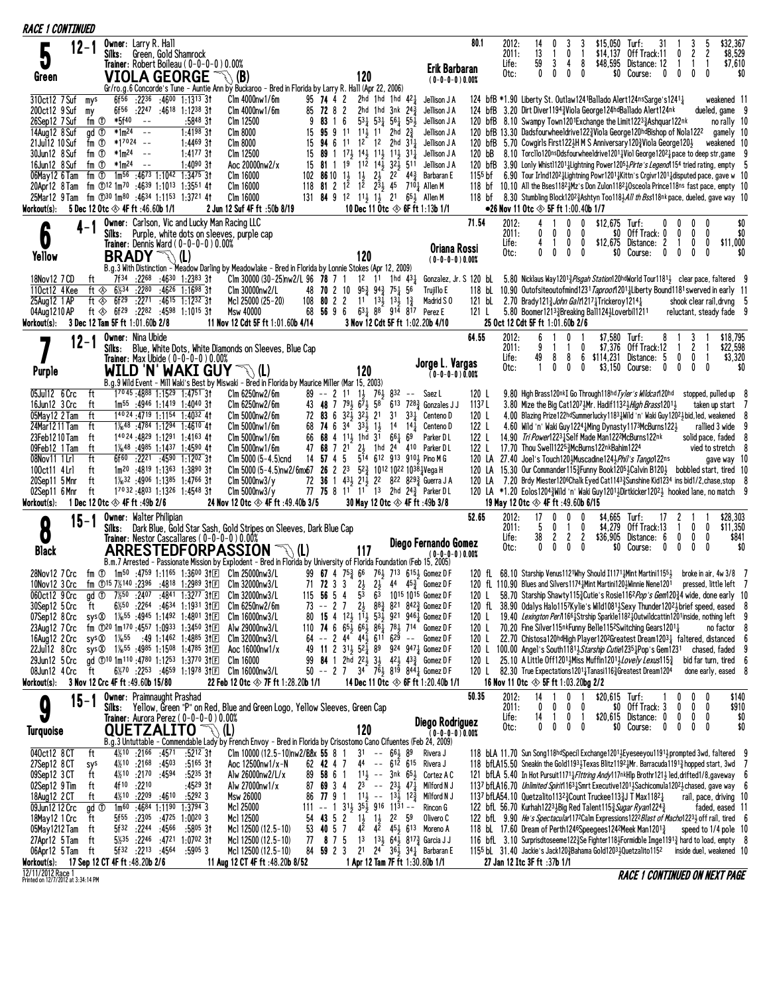| <b>RACE 1 CONTINUED</b>                                                                                                                                                               |      |                                                                        |                                                                                                     |                                                                                                                                                                      |                              |                                                                                                                                                                                                                                                                                                                                                                                                                                                                                                    |                                                                                                                                                                                                                                                                                                                                                                                                 |          |                                     |                                                                                                                                                                                                                                                                                                                                |                                                               |  |                                                                                                                                                                                                                                                                                                                                                                                                                                                                                                                                                                                                                               |                                   |                |                                 |                                                                                                                                                                                                                                                                                                                                                                                                                                                                                                                                                                                                                                                                                                                                                                                                                                                                                                                                                                                                                       |                                                    |                                                      |                                  |                                                                     |                                                  |                                                                 |                                                                                                                         |                              |
|---------------------------------------------------------------------------------------------------------------------------------------------------------------------------------------|------|------------------------------------------------------------------------|-----------------------------------------------------------------------------------------------------|----------------------------------------------------------------------------------------------------------------------------------------------------------------------|------------------------------|----------------------------------------------------------------------------------------------------------------------------------------------------------------------------------------------------------------------------------------------------------------------------------------------------------------------------------------------------------------------------------------------------------------------------------------------------------------------------------------------------|-------------------------------------------------------------------------------------------------------------------------------------------------------------------------------------------------------------------------------------------------------------------------------------------------------------------------------------------------------------------------------------------------|----------|-------------------------------------|--------------------------------------------------------------------------------------------------------------------------------------------------------------------------------------------------------------------------------------------------------------------------------------------------------------------------------|---------------------------------------------------------------|--|-------------------------------------------------------------------------------------------------------------------------------------------------------------------------------------------------------------------------------------------------------------------------------------------------------------------------------------------------------------------------------------------------------------------------------------------------------------------------------------------------------------------------------------------------------------------------------------------------------------------------------|-----------------------------------|----------------|---------------------------------|-----------------------------------------------------------------------------------------------------------------------------------------------------------------------------------------------------------------------------------------------------------------------------------------------------------------------------------------------------------------------------------------------------------------------------------------------------------------------------------------------------------------------------------------------------------------------------------------------------------------------------------------------------------------------------------------------------------------------------------------------------------------------------------------------------------------------------------------------------------------------------------------------------------------------------------------------------------------------------------------------------------------------|----------------------------------------------------|------------------------------------------------------|----------------------------------|---------------------------------------------------------------------|--------------------------------------------------|-----------------------------------------------------------------|-------------------------------------------------------------------------------------------------------------------------|------------------------------|
| 5<br>Green                                                                                                                                                                            | 12-1 |                                                                        | <b>Owner:</b> Larry R. Hall                                                                         |                                                                                                                                                                      |                              | Silks: Green, Gold Shamrock<br>Trainer: Robert Boileau ( $0-0-0-0$ ) 0.00%<br>VIOLA GEORGE                                                                                                                                                                                                                                                                                                                                                                                                         | $\mathbb{R} \backslash$ (B)                                                                                                                                                                                                                                                                                                                                                                     |          |                                     | 120                                                                                                                                                                                                                                                                                                                            |                                                               |  | Erik Barbaran<br>$(0-0-0-0)0.00%$                                                                                                                                                                                                                                                                                                                                                                                                                                                                                                                                                                                             | 80.1                              |                | 2012:<br>2011:<br>Life:<br>Otc: | 14<br>0<br>13<br>1<br>59<br>3<br>$\mathbf{0}$<br>$^{\circ}$                                                                                                                                                                                                                                                                                                                                                                                                                                                                                                                                                                                                                                                                                                                                                                                                                                                                                                                                                           | 3<br>0<br>4<br>0                                   | \$15,050<br>\$14,137<br>1<br>8<br>0                  |                                  | Turf:<br>31<br>Off Track:11<br>\$48,595 Distance: 12<br>\$0 Course: | $\mathbf{0}$<br>1<br>$\mathbf{0}$<br>$\mathbf 0$ | 3<br>2<br>$\mathbf{1}$<br>$^{\circ}$                            | \$32,367<br>5<br>2<br>-1<br>0                                                                                           | \$8,529<br>\$7,610<br>\$0    |
| 310ct12 7 Suf<br>200ct12 9 Suf<br>26Sep12 7 Suf<br>14Aug12 8 Suf<br>21 Jul 12 10 Suf<br>30Jun12 8 Suf<br>16Jun12 8 Suf<br>06May12 6 Tam<br>Workout(s):                                |      | mys<br>my<br>fm ①<br>gd <sup>①</sup><br>fm ①<br>fm ①<br>fm ①           | 6f56<br>*5f40<br>fm $\overline{O}$ *1m <sup>24</sup> --<br>5 Dec 12 Otc $\otimes$ 4F ft :46.60b 1/1 | $- - -$<br>$*1m^24 - -$<br>$*17024 - -$<br>$*1m^24 - -$                                                                                                              |                              | 6f56 :2236 :4600 1:1313 31<br>$:22^{47}$ $:46^{18}$ 1:12 <sup>38</sup> 31<br>$:5848$ 31<br>$1:4198$ 3t<br>$1:4469$ 31<br>$1:4177$ 3t<br>$1:4090$ 3t<br>$1m^{56}$ :4673 1:1042 1:3475 31<br>20Apr12 8 Tam fm ①12 1m70 :4639 1:1013 1:3551 41<br>25Mar12 9 Tam fm 130 1m80 :4634 1:1153 1:3721 41                                                                                                                                                                                                    | Gr/ro.g.6 Concorde's Tune - Auntie Ann by Buckaroo - Bred in Florida by Larry R. Hall (Apr 22, 2006)<br>Clm 4000nw1/6m<br>Clm 4000nw1/6m<br>Clm 12500<br>Clm 8000<br>Clm 8000<br>Clm 12500<br>Aoc 20000nw2/x<br>Clm 16000<br>Clm 16000<br>Clm 16000<br>2 Jun 12 Suf 4F ft :50b 8/19                                                                                                             | 9<br>118 | 95 74 4 2<br>85 72 8 2              | 83 1 6 $53\frac{1}{4}$ 53 $\frac{1}{4}$ 56 $\frac{1}{4}$ 55 $\frac{1}{2}$<br>15 95 9 11 11 11 2hd $2\frac{3}{4}$<br>15 <b>94</b> 6 11 1 <sup>2</sup> 1 <sup>2</sup> 2hd 3 <sup>1</sup> <sup>1</sup><br>$15$ 89 1 $17\frac{1}{2}$ $14\frac{1}{2}$ $11\frac{1}{2}$ $11\frac{1}{2}$ $31\frac{1}{4}$<br>15 81 1 19 112 143 323 511 | 2hd 1hd 1hd $42\frac{1}{4}$<br>2hd 1hd $3nk$ 24 $\frac{3}{2}$ |  | Jellison J A<br>Jellison J A<br>Jellison J A<br>Jellison J A<br>Jellison J A<br>Jellison J A<br>Jellison J A<br>102 86 10 $1\frac{1}{2}$ $1\frac{1}{2}$ $2\frac{1}{2}$ $2^{2}$ $4^{4}\frac{3}{4}$ Barbaran E<br>81 2 1 <sup>2</sup> 1 <sup>2</sup> 2 <sup>3</sup> / <sub>2</sub> 45 710 <sup>1</sup> / <sub>4</sub> Allen M<br>131 84 9 12 113 13 21 653 Allen M<br>10 Dec 11 Otc $\otimes$ 6F ft 1:13b 1/1                                                                                                                                                                                                                   |                                   | 120 bB         |                                 | 124 bfB *1.90 Liberty St. Outlaw1241Ballado Alert124nsSarge's1241}<br>124 bfB 3.20 Dirt Diver1194 Viola George124hdBallado Alert124nk<br>120 bfB 8.10 Swampy Town1201Exchange the Limit12233Ashquar122nk<br>120 bfB 13.30 Dadsfourwheeldrive1223Viola George120hdBishop of Nola1222<br>120 bfB 5.70 Cowgirls First1223H M S Anniversary 120 Viola George 120 3<br>8.10 Torcllo120nsDdsfourwheeldrive1201 $\frac{1}{4}$ Viol George1202 $\frac{1}{4}$ pace to deep str, game<br>120 bfB 3.90 Lonly Whist11201 Lightning Power1205 Firte's Legend 154 tried rating, empty 5<br>1155 bf 6.90 Tour Irlnd12021 Lightning Powr12011 Kittn's Craivr12011 disputed pace, gave w 10<br>118 bf 10.10 All the Bses1182}Mz's Don Zulon1182}Osceola Prince118ns fast pace, empty 10<br>118 bf 8.30 Stumbling Block120 <sup>2</sup> 3Ashtyn Too118 3All th Bss118nk pace, dueled, gave way 10<br>$\bullet$ 26 Nov 11 Otc $\otimes$ 5F ft 1:00.40b 1/7                                                                               |                                                    |                                                      |                                  |                                                                     |                                                  |                                                                 | weakened 11<br>dueled, game 9<br>no rally 10<br>gamely 10<br>weakened 10                                                | - 9                          |
| 0<br>Yellow                                                                                                                                                                           |      |                                                                        | Silks:<br><b>BRADY</b>                                                                              |                                                                                                                                                                      | 下\ (L)                       | Owner: Carlson, Vic and Lucky Man Racing LLC<br><b>Trainer:</b> Dennis Ward ( $0-0-0-0$ ) $0.00\%$                                                                                                                                                                                                                                                                                                                                                                                                 | Purple, white dots on sleeves, purple cap<br>B.g.3 With Distinction - Meadow Darling by Meadowlake - Bred in Florida by Lonnie Stokes (Apr 12, 2009)                                                                                                                                                                                                                                            |          |                                     | 120                                                                                                                                                                                                                                                                                                                            |                                                               |  | Oriana Rossi<br>$(0-0-0-0)0.00%$                                                                                                                                                                                                                                                                                                                                                                                                                                                                                                                                                                                              | 71.54                             |                | 2012:<br>2011:<br>Life:<br>Otc: | 4<br>0<br>0<br>$\mathbf{0}$<br>$\mathbf{0}$                                                                                                                                                                                                                                                                                                                                                                                                                                                                                                                                                                                                                                                                                                                                                                                                                                                                                                                                                                           | $\mathbf{0}$<br>0<br>0<br>$^{\circ}$               | 0<br>0<br>0<br>0                                     | $$12,675$ Turf:<br>\$0           | \$0 Off Track: 0<br>\$12,675 Distance: 2<br>Course:<br>0            | 0<br>0<br>0<br>$\bf{0}$                          | $\mathbf{0}$<br>0<br>$\mathbf 0$<br>0                           | 0<br>0<br>0<br>\$11,000<br>0                                                                                            | \$0<br>\$0<br>\$0            |
| 18Nov12 7 CD<br>110ct12 4 Kee<br>25Aug12 1 AP<br>04Aug1210 AP<br>Workout(s):                                                                                                          |      | ft<br>ft ◈                                                             | 6½34<br>ft $\otimes$ 6f <sup>29</sup><br>3 Dec 12 Tam 5F ft 1:01.60b 2/8                            |                                                                                                                                                                      |                              | 7f34 :2268 :4630 1:2383 31<br>:2280 :4626 1:1698 31<br>:22 <sup>71</sup> :46 <sup>15</sup> 1:12 <sup>32</sup> 31<br>ft $\textcircled{*}$ 6f <sup>29</sup> :2282 :4598 1:1015 3t                                                                                                                                                                                                                                                                                                                    | Clm 30000 (30-25)nw2/L 96 78 7 1 1 <sup>2</sup> 1 <sup>1</sup> 1hd 4 <sup>3</sup> <sup>1</sup><br>Clm 30000nw2/L<br>Mc1 25000 (25-20)<br>Msw 40000<br>11 Nov 12 Cdt 5F ft 1:01.60b 4/14                                                                                                                                                                                                         |          |                                     | 48 70 2 10 953 943 751 56<br>$108$ 80 2 2 11 13 $13\frac{1}{2}$ 13                                                                                                                                                                                                                                                             |                                                               |  | Gonzalez, Jr. S 120 bL<br>Trujillo E<br>Madrid SO<br>68 56 9 6 631 88 914 817 Perez E<br>3 Nov 12 Cdt 5F ft 1:02.20b 4/10                                                                                                                                                                                                                                                                                                                                                                                                                                                                                                     | 121 L                             |                |                                 | 5.80 Nicklaus Way12013 <i>Pisgah Station</i> 120hdWorld Tour11813 clear pace, faltered 9<br>118 bL 10.90 Outofsiteoutofmind1231 Taproot1201 Liberty Bound1181 swerved in early 11<br>121 bl 2.70 Brady 121 $\frac{3}{4}$ John Galt1217 $\frac{1}{4}$ Trickeroy 1214 $\frac{1}{4}$<br>5.80 Boomer12133Breaking Ball1243Loverbil1211<br>25 Oct 12 Cdt 5F ft 1:01.60b 2/6                                                                                                                                                                                                                                                                                                                                                                                                                                                                                                                                                                                                                                                |                                                    |                                                      |                                  |                                                                     |                                                  |                                                                 | shook clear rail, drvng 5<br>reluctant, steady fade 9                                                                   |                              |
| Purple                                                                                                                                                                                | 12-1 |                                                                        | <b>Owner: Nina Ubide</b><br>Silks:                                                                  |                                                                                                                                                                      |                              | <b>Trainer:</b> Max Ubide $(0-0-0-0)0.00\%$                                                                                                                                                                                                                                                                                                                                                                                                                                                        | Blue, White Dots, White Diamonds on Sleeves, Blue Cap<br>WILD 'N' WAKI GUY $\mathcal{B}(I)$<br>B.g.9 Wild Event - Mill Waki's Best by Miswaki - Bred in Florida by Maurice Miller (Mar 15, 2003)                                                                                                                                                                                                |          |                                     | 120                                                                                                                                                                                                                                                                                                                            |                                                               |  | Jorge L. Vargas<br>$(0-0-0-0)0.00%$                                                                                                                                                                                                                                                                                                                                                                                                                                                                                                                                                                                           | 64.55                             |                | 2012:<br>2011:<br>Life:<br>Otc: | 6<br>9<br>49<br>8<br>$\mathbf{1}$<br>0                                                                                                                                                                                                                                                                                                                                                                                                                                                                                                                                                                                                                                                                                                                                                                                                                                                                                                                                                                                | 0<br>-1<br>8<br>0                                  | 0<br>6<br>\$114,231<br>0                             | \$7.580 Turf:<br>\$3,150 Course: | 8<br>\$7,376 Off Track:12<br>Distance: 5                            | $\mathbf{0}$<br>$\mathbf 0$<br>$\mathbf 0$       | 3<br>2<br>$\mathbf 0$<br>$\mathbf{0}$                           | \$18,795<br>\$22,598<br>-1<br>0                                                                                         | \$3,320<br>\$0               |
| 05Jul12 6 Crc<br>16Jun12 3 Crc<br>05May12 2 Tam<br>24Mar1211 Tam<br>23Feb12 10 Tam<br>09Feb12 1 Tam<br>08Nov11 1 Lr1<br>100ct11 4Lrl<br>20Sep11 5 Mnr<br>02Sep11 6 Mnr<br>Workout(s): |      | ft<br>ft<br>ft<br>ft<br>ft<br>ft<br>ft<br>ft<br>ft<br>ft               | 1 Dec 12 Otc $\otimes$ 4F ft :49b 2/6                                                               |                                                                                                                                                                      |                              | 1 <sup>70</sup> 45:4888 1:1529 1:4751 31<br>$1m^{55}$ :4946 1:1419 1:4040 31<br>$1^{40}$ 24 : 4719 1:1154 1:4032 41<br>$1\frac{1}{6}$ 48 :4784 1:1294 1:4610 41<br>$1^{40}$ 24 : 4829 1:1291 1:4163 41<br>$1\frac{1}{6}$ <sup>48</sup> : 49 <sup>85</sup> 1:14 <sup>37</sup> 1:45 <sup>90</sup> 41<br>6f <sup>60</sup> :22 <sup>21</sup> :4590 1:1202 31<br>$1m^{20}$ :4819 1:1363 1:3890 31<br>$1\frac{1}{6}$ 32 :4906 1:1385 1:4766 31<br>17032:4803 1:1326 1:4548 31                            | Clm 6250nw2/6m<br>Clm 6250nw2/6m<br>Clm 5000nw2/6m<br>Clm 5000nw1/6m<br>Clm 5000nw1/6m<br>Clm 5000nw1/6m<br>Clm 5000 $(5-4.5)$ cnd<br>Clm 5000 (5-4.5)nw2/6mx67 26 2 2 <sup>3</sup> 5 <sup>2</sup> $\frac{3}{4}$ 10 <sup>12</sup> 10 <sup>22</sup> 10 <sup>38</sup> $\frac{1}{4}$ Vega H<br>$C\ln 5000$ nw $3/\gamma$<br>$C\ln 5000$ nw $3/\gamma$<br>24 Nov 12 Otc $\otimes$ 4F ft :49.40b 3/5 |          |                                     | 43 48 7 79 3 6 7 3 5 8<br>66 68 4 111 1 hd 31 661 69                                                                                                                                                                                                                                                                           |                                                               |  | 89 -- 2 11 13 763 832 -- Saez L<br>$6^{13}$ $7^{28\frac{3}{4}}$ Gonzales J J<br>72 83 6 32 $\frac{1}{2}$ 32 $\frac{1}{2}$ 21 31 33 $\frac{1}{4}$ Centeno D<br>68 74 6 34 33 $\frac{1}{2}$ 1 $\frac{1}{2}$ 14 14 $\frac{1}{4}$ Centeno D<br>Parker D L<br>47 68 7 21 23 1hd 24 410 Parker DL<br>14 57 4 5 5 <sup>14</sup> 612 913 910 <sub>3</sub> Pino M G<br>72 36 1 43 3 21 3 22 822 829 3 Guerra J A<br>77 75 8 11 11 13 2hd 243 Parker DL<br>30 May 12 Otc $\otimes$ 4F ft :49b 3/8                                                                                                                                       | 120 L<br>1137 L<br>120 L<br>122 L | 122 L<br>122 L |                                 | 9.80 High Brass120nkI Go Through118hd Tyler's Wildcat120hd<br>3.80 Mize the Big Cat12073Mr. Hadif11323 High Brass12013<br>4.00 Blazing Prize122hdSummerlucky11831 Wild 'n' Waki Guy12023 bid, led, weakened 8<br>4.60 Wild 'n' Waki Guy 1224 Ming Dynasty 1173McBurns 122 }<br>14.90 Tri Power12231Self Made Man1222McBurns122nk<br>17.70 Thou Swell12253McBurns122nkBahim1224<br>120 LA 27.40 Joel's Touch120}Muscadine124}Phil's Tango122ns<br>120 LA 15.30 Our Commander115½ Funny Book1205½ Calvin B120½ bobbled start, tired 10<br>120 LA 7.20 Brdy Miester1206Chalk Eyed Cat11433 Sunshine Kid1234 ins bid1/2, chase, stop 8<br>120 LA *1.20 Eolos12043 Wild 'n' Waki Guy 1201 3 Dirtkicker 1202 3 hooked lane, no match 9<br>19 May 12 Otc $\otimes$ 4F ft :49.60b 6/15                                                                                                                                                                                                                                        |                                                    |                                                      |                                  |                                                                     |                                                  |                                                                 | stopped, pulled up 8<br>taken up start 7<br>rallied 3 wide 9<br>solid pace, faded 8<br>vied to stretch 8<br>gave way 10 |                              |
| 8<br><b>Black</b>                                                                                                                                                                     |      | $15 - 1$                                                               | Owner: Walter Philipian<br>Silks:                                                                   |                                                                                                                                                                      |                              | Trainer: Nestor Cascallares (0-0-0-0) 0.00%                                                                                                                                                                                                                                                                                                                                                                                                                                                        | Dark Blue, Gold Star Sash, Gold Stripes on Sleeves, Dark Blue Cap<br>ARRESTEDFORPASSION<br>B.m.7 Arrested - Passionate Mission by Explodent - Bred in Florida by University of Florida Foundation (Feb 15, 2005)                                                                                                                                                                                |          |                                     | 117                                                                                                                                                                                                                                                                                                                            |                                                               |  | Diego Fernando Gomez<br>$(0-0-0-0)0.00%$                                                                                                                                                                                                                                                                                                                                                                                                                                                                                                                                                                                      | 52.65                             |                | 2012:<br>2011:<br>Life:<br>Otc: | 17<br>$\mathbf{0}$<br>5<br>0<br>38<br>2<br>$^{\circ}$<br>0                                                                                                                                                                                                                                                                                                                                                                                                                                                                                                                                                                                                                                                                                                                                                                                                                                                                                                                                                            | 0<br>-1<br>$\mathbf{2}$<br>$\mathbf{0}$            | $\mathbf{0}$<br>0<br>$\overline{c}$<br>\$36,905<br>0 | \$4.665 Turf:<br>\$4,279<br>\$0  | 17<br>Off Track:13<br>Distance: 6<br>Course:                        | 2<br>$\mathbf 0$<br>$\mathbf 0$<br>0             | $\mathbf{0}$<br>$\mathbf{0}$<br>$\mathbf{0}$                    | \$28,303<br>\$11,350<br>0<br>0<br>0                                                                                     | \$841<br>\$0                 |
| 060ct12 9 Crc<br>30Sep12 5 Crc<br>08Jun12 4 Crc ft<br>Workout(s):                                                                                                                     |      | ft                                                                     | 3 Nov 12 Crc 4F ft :49.60b 15/80                                                                    |                                                                                                                                                                      |                              | qd ① $7\frac{1}{2}50$ :2407 :4841 1:3277 31 $\text{F}$<br>6 <sup>%50</sup> :22 <sup>64</sup> :46 <sup>34</sup> 1:19 <sup>31</sup> 31 $E$<br>07Sep12 8 Crc sys 20 1‰55 :4945 1:1492 1:4801 31E<br>23Aug12 7 Crc fm ①20 1m <sup>170</sup> :4557 1:0933 1:3450 3fm<br>16Aug12 2 Crc sys 20 1‰55 :49 1:1462 1:4885 31 E<br>22Jul12 8 Crc sys 20 1 1/ <sub>6</sub> 55 : 4985 1:1508 1:4785 31 El<br>29Jun12 5 Crc qd ① <sup>10</sup> 1m <sup>110</sup> :47 <sup>80</sup> 1:12 <sup>53</sup> 1:3770 3tel | 28Nov12 7 Crc fm ① 1m <sup>50</sup> :4759 1:1165 1:3600 31 El Clm 25000nw3/L<br>10Nov12 3 Crc fm ①15 7½140 :2396 :4818 1:2989 31 El Clm 32000nw3/L<br>C1m 32000nw3/L<br>C1m 6250nw2/6m<br>C1m 16000nw3/L<br>Alw 29000nw3/L<br>Clm 32000nw3/L<br>Aoc 16000nw1/x<br>C1m 16000<br>6%70 :2253 :4659 1:1978 31 Elm 16000nw3/L<br>22 Feb 12 Otc $\otimes$ 7F ft 1:28.20b 1/1                          | 73       | 115 56 5 4<br>$-27$                 | 53<br>$2\frac{1}{2}$                                                                                                                                                                                                                                                                                                           |                                                               |  | 99 67 4 753 66 763 713 6153 Gomez D F<br>71 72 3 3 $2\frac{1}{2}$ $2\frac{1}{2}$ 44 $45\frac{3}{4}$ Gomez DF<br>63 1015 1015 Gomez D F<br>$8^{8}$ $\frac{3}{4}$ $8^{21}$ $8^{42}$ $\frac{3}{4}$ Gomez D F<br>80 15 4 12 1 <sup>1</sup> 53 921 946 Gomez DF<br>110 74 6 $65\frac{1}{2}$ $66\frac{1}{2}$ $86\frac{1}{4}$ 78 $714$ Gomez D F<br>$64 - 244$ $44\frac{1}{2}611629 - $ Gomez DF<br>49 11 2 313 52 89 924 947 Gomez D F<br>99 84 1 2hd 22 $\frac{1}{2}$ 3 $\frac{1}{2}$ 42 $\frac{1}{2}$ 43 $\frac{3}{4}$ Gomez DF<br>50 -- 2 7 34 763 819 844 $\frac{1}{4}$ Gomez D F<br>14 Dec 11 Otc $\otimes$ 6F ft 1:20.40b 1/1 |                                   | 120 L          |                                 | 120 fL 68.10 Starship Venus1121Why Should I1171 <sub>4</sub> Mint Martini115 <sup>51</sup> / <sub>2</sub> broke in air, 4w 3/8 7<br>120 fL 110.90 Blues and Silvers1174 aMint Martini120 aMinnie Nene1201 pressed, little left 7<br>120 L 58.70 Starship Shawty 115 $\frac{3}{2}$ Cutie's Rosie 116 <sup>2</sup> Pop's Gem120 $\frac{3}{2}$ 4 wide, done early 10<br>120 fL 38.90 Odalys Halo1157Kylie's Wild10813Sexy Thunder12023 brief speed, eased 8<br>120 L 19.40 Lexington Per/11661Strship Sparkle11821Qutwildcattin1201inside, nothing left 9<br>120 L 70.20 Fine Silver115nkFunny Belle115 <sup>2</sup> Switching Gears12011<br>120 L 22.70 Chistosa120hdHigh Player1202Greatest Dream1203 $\frac{1}{4}$ faltered, distanced 6<br>120 L 100.00 Angel's South1181, Starship Cutie1235, Pop's Gem1231<br>25.10 A Little Off12011Miss Muffin12013 Lovely Lexus 1153<br>120 L 82.30 True Expectations12011 Tanasi116 3 Greatest Dream 1204<br>16 Nov 11 Otc $\otimes$ 5F ft 1:03.20bg 2/2                       |                                                    |                                                      |                                  |                                                                     |                                                  |                                                                 | no factor 8<br>chased, faded<br>bid far turn, tired 6<br>done early, eased 8                                            |                              |
| O<br><b>Turquoise</b>                                                                                                                                                                 |      | 15-1                                                                   | <b>Owner:</b> Praimnaught Prashad<br>Silks:                                                         |                                                                                                                                                                      |                              | Trainer: Aurora Perez (0-0-0-0) 0.00%<br>QUETZALITO $\mathbb{T}$ (L)                                                                                                                                                                                                                                                                                                                                                                                                                               | Yellow, Green "P" on Red, Blue and Green Logo, Yellow Sleeves, Green Cap<br>B.g.3 Untuttable - Commendable Lady by French Envoy - Bred in Florida by Crisostomo Cano Cifuentes (Feb 24, 2009)                                                                                                                                                                                                   |          |                                     | 120                                                                                                                                                                                                                                                                                                                            |                                                               |  | Diego Rodriguez<br>$(0 - 0 - 0 - 0)0.00%$                                                                                                                                                                                                                                                                                                                                                                                                                                                                                                                                                                                     | 50.35                             |                | 2012:<br>2011:<br>Life:<br>Otc: | 14<br>$\bf{0}$<br>$\bf{0}$<br>14<br>$\overline{1}$<br>$^{\circ}$<br>0                                                                                                                                                                                                                                                                                                                                                                                                                                                                                                                                                                                                                                                                                                                                                                                                                                                                                                                                                 | $\mathbf{0}$<br>$\mathbf 0$<br>0 <sub>1</sub><br>0 | 0<br>0                                               | $$20,615$ Turf:                  | \$0 Off Track: 3<br>\$20,615 Distance: 0 0<br>\$0 Course:           | $^{\circ}$<br>$\mathbf 0$<br>$\mathbf{0}$        | $\mathbf{0}$<br>- 0<br>$0\quad 0$<br>$\mathbf{0}$<br>$0\quad 0$ | 0                                                                                                                       | \$140<br>\$910<br>\$0<br>\$0 |
| 040ct12 8 CT<br>27Sep12 8 CT<br>09Sep12 3 CT<br>02Sep12 9 Tim<br>18Aug12 2 CT<br>09Jun12 12 Crc<br>18May 12 1 Crc<br>05May 1212 Tam<br>27Apr12 5Tam<br>06Apr12 5 Tam<br>Workout(s):   |      | ft<br>sys<br>ft<br>ft<br>ft<br>gd <sup>①</sup><br>ft<br>ft<br>ft<br>ft | 17 Sep 12 CT 4F ft : 48.20b 2/6                                                                     | 4 <sup>%10</sup> :21 <sup>66</sup> :4571<br>$4\frac{1}{2}10$ :2170 :4594<br>4f <sup>10</sup> :22 <sup>10</sup><br>$4\frac{1}{2}10$ : 2209 : 4610<br>5f32 :2244 :4566 | $4\frac{1}{2}10$ :2168 :4503 | $:52^{12}31$<br>$:51^{65}31$<br>:5235 31<br>:4529 31<br>:52923<br>$1m^{60}$ :4684 1:1190 1:3794 3<br>$5f^{55}$ :2305 :4725 1:0020 3<br>:58º5 31<br>5 <sup>1</sup> / <sub>235</sub> :2246 :4721 1:0702 31<br>$5f^{32}$ :2213 :4564 :5905 3                                                                                                                                                                                                                                                          | Clm 10000 (12.5 – 10) nw 2/88x 55 8 1<br>Aoc 12500nw1/x-N<br>Alw 26000nw2/L/x<br>Alw 27000nw1/x<br>Msw 26000<br>Mc1 25000<br>Mc1 12500<br>Mcl 12500 (12.5-10)<br>Mc1 12500 (12.5-10)<br>Mc1 12500 (12.5-10)<br>11 Aug 12 CT 4F ft :48.20b 8/52                                                                                                                                                  | 86       | 62 42 4 7<br>89 58 6 1<br>53 40 5 7 | 77 9 1 1 14 -- 1 3 1 2 3<br>$111 - - 1$ $31\frac{1}{2}$ $35\frac{1}{2}$ $916$ $11\overline{3}1 - \overline{\phantom{3}}$<br>54 43 5 2 1 $\frac{1}{2}$ 1 $\frac{1}{2}$ 2 <sup>2</sup> 5 <sup>9</sup>                                                                                                                            | $31 - 66\frac{1}{2}89$                                        |  | Rivera J<br>44 -- 612 615 Rivera J<br>11 <sub>2</sub> -- 3nk $65\frac{1}{2}$ Cortez A C<br>87 69 3 4 $2^{3}$ -- $2^{3}$ 47 $\frac{1}{4}$ Milford N J<br>Milford N J<br>Rincon G<br>Olivero C<br>42 42 451 613 Moreno A<br>77 8 7 5 13 13 64 817 3 Garcia J J<br>84 59 2 3 2 <sup>1</sup> 2 <sup>4</sup> 3 <sup>6</sup> 3 <sup>4</sup> 3 <sup>4</sup> Barbaran E<br>1 Apr 12 Tam 7F ft 1:30.80b 1/1                                                                                                                                                                                                                            |                                   |                |                                 | 118 bLA 11.70 Sun Song118hdSpecil Exchange12013Eyeseeyou11913 prompted 3wd, faltered 9<br>118 bfLA15.50 Sneakin the Gold11931 Texas Blitz11921Mr. Barracuda11911 hopped start, 3wd 7<br>121 bfLA 5.40 In Hot Pursuit11713 Flttring Andy117nkHlp Brothr1213 led, drifted1/8, gaveway 6<br>1137 bfLA16.70 Unlimited Spirit11631Smrt Executive12011Sachicomula12021 chased, gave way 6<br>1137 bfLA54.10 Quetzalito1132 $\frac{3}{2}$ Count Truckee113 $\frac{3}{2}$ J T Max1182 $\frac{1}{2}$<br>122 bfL 56.70 Kurhah1223 }Big Red Talent115 3 Sugar Ryan1224 3<br>122 bfl 9.90 He's Spectacular1172Calm Expressions1222 Blast of Macho12233 off rail, tired 6<br>118 bl 17.60 Dream of Perth1246Speegees124 <sup>2</sup> Meek Man1201 $\frac{3}{4}$<br>116 bfL 3.10 Surprisdtoseeme122 $\frac{3}{2}$ Se Fighter118 $\frac{1}{2}$ Formidble Imge1191 $\frac{3}{2}$ hard to load, empty 8<br>1155 bl $31.40$ Jackie's Jack120 $\frac{3}{2}$ Bahama Gold1203 $\frac{1}{2}$ Quetzalito1152<br>27 Jan 12 Itc 3F ft :37b 1/1 |                                                    |                                                      |                                  |                                                                     |                                                  |                                                                 | rail, pace, driving 10<br>faded, eased 11<br>speed to 1/4 pole 10<br>inside duel, weakened 10                           |                              |

12/11/2012 Race 1<br>Printed on 12/7/2012 at 3:34:14 PM

**RACE 1 CONTINUED ON NEXT PAGE**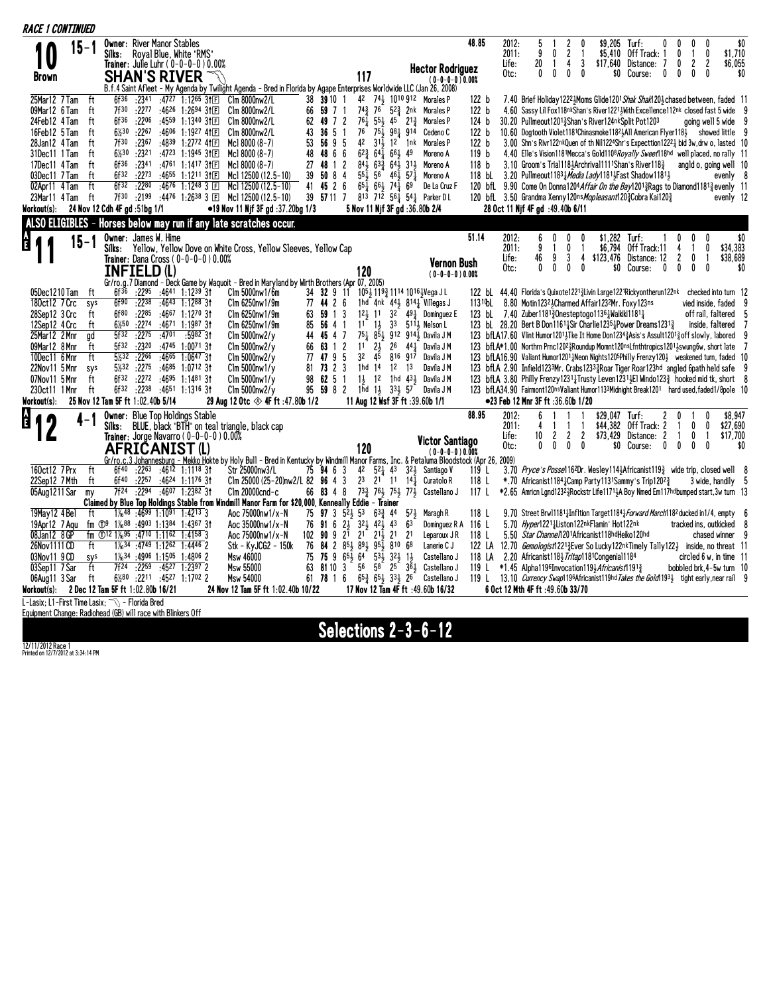| Owner: River Manor Stables<br>\$0<br>48.85<br>\$9,205<br>0<br>2012:<br>5<br>2<br>Turf:<br>0<br>0<br>$15 - 1$<br>2011:<br>9<br>2<br>Off Track: 1<br>0<br>\$1,710<br>0<br>\$5.410<br>Royal Blue, White "RMS"<br>0<br>Silks:<br>20<br>3<br>Distance:<br>$\overline{1}$<br>$\overline{c}$<br>2<br>\$6,055<br>4<br>\$17.640<br>0<br>Life:<br>1<br><b>Trainer</b> : Julie Luhr ( 0-0-0-0 ) 0.00%<br><b>Hector Rodriguez</b><br>$\mathbf{0}$<br>0<br>0<br>0<br>Course:<br>0<br>$\mathbf{0}$<br>0<br>\$0<br>Otc:<br>\$0<br>0<br>117<br><b>SHAN'S RIVER</b><br><b>Brown</b><br>(0-0-0-0)0.00%<br>B.f.4 Saint Afleet - My Agenda by Twilight Agenda - Bred in Florida by Agape Enterprises Worldwide LLC (Jan 26, 2008)<br>$:2341$ $:4727$ 1:1265 31 $E$<br>42<br>741 1010 912 Morales P<br>25Mar12 7 Tam<br>ft<br>6f36<br>Clm 8000nw2/L<br>38 39 10 1<br>7.40 Brief Holiday 1222 Moms Glide 1201 Shak Shak120 3 chased between, faded 11<br>122 b<br>$:22^{77}$ $:46^{26}$ 1:2694 31 $\text{F}$<br>$74\frac{3}{7}$<br>76<br>523 2nk Morales P<br>4.60 Sassy Lil Fox118nkShan's River12213With Excellence112nk closed fast 5 wide<br>09Mar12 6 Tam<br>ft<br>7f30<br>Clm 8000nw2/L<br>66<br>59 7 1<br>122 b<br>$76\frac{1}{4}$<br>6f36<br>:4559 1:1340 3111<br>49 7 2<br>$55\frac{1}{2}$ 45 $21\frac{3}{4}$<br>30.20 Pullmeout12013Shan's River124nkSplit Pot1203<br>24Feb12 4 Tam<br>ft<br>:2206<br>C1m 8000nw2/L<br>62<br>Morales P<br>124 b<br>going well 5 wide 9<br>76<br>$75\frac{1}{2}$<br>$6\frac{1}{2}30$<br>:2267<br>:4606 1:1927 41 $\mathbb{E}$<br>43<br>36<br>-5<br>981 914<br>Cedeno <sub>C</sub><br>122 b<br>10.60 Dogtooth Violet1181Chinasmoke1182 } All American Flyer118 3 showed little 9<br>16Feb12 5 Tam<br>ft<br>Clm 8000nw2/L<br>42<br>7f30<br>:4839 1:2772 41日<br>53<br>56 9 5<br>$31\frac{1}{2}$ 12 1nk<br>3.00 Shn's Rivr122nkQuen of th Nil1224Shr's Expecttion12221 bid 3w, drw o, lasted 10<br>:2367<br>Mc1 8000 $(8-7)$<br>Morales P<br>122 b<br>28Jan12 4Tam<br>ft<br>6%30<br>$62\frac{3}{4}$ $64\frac{1}{4}$ $66\frac{1}{5}$ 49<br>4.40 Elle's Vision1181Mecca's Gold1108Royally Sweet118hd well placed, no rally 11<br>31Dec11 1 Tam<br>ft<br>$:23^{21}$ $:47^{23}$ 1:1945 31 E<br>Mcl $8000(8-7)$<br>48<br>48 6 6<br>Moreno A<br>119 b<br>84.1<br>6f36<br>$:2341$ $:4761$ $1:1417$ $3$ †E<br>Mc18000 (8-7)<br>27<br>48<br>2<br>$63\frac{3}{2}$ $64\frac{1}{2}$ $31\frac{1}{2}$<br>118 <sub>b</sub><br>3.10 Groom's Trial1183Archrival1111Shan's River1183<br>17Dec11 4 Tam<br>ft<br>$\overline{1}$<br>Moreno A<br>angld o, going well 10<br>6f32<br>39<br>50 8 4<br>$55\frac{1}{2}$<br>$56 \quad 46\frac{1}{2} \quad 57\frac{1}{2}$ Moreno A<br>ft<br>:2273<br>:4655 1:1211 31 $\mathbb{E}$<br>118 bL 3.20 Pullmeout118 <sup>3</sup> <i>Media Lady</i> 18 <sup>1</sup> Fast Shadow 118 <sup>1</sup> }<br>03Dec11 7 Tam<br>Mc1 12500 (12.5-10)<br>evenly 8<br>ft<br>6f32<br>:2280<br>:46 <sup>76</sup> 1:12 <sup>48</sup> 3 国<br>41<br>45 2 6<br>$65\frac{1}{2}$ $66\frac{1}{2}$ $74\frac{1}{4}$ $69$<br>02Apr11 4 Tam<br>Mc1 12500 (12.5-10)<br>120 bfl. 9.90 Come On Donna1204 Affair On the Bay12013 Rags to Diamond 11813 evenly 11<br>De La Cruz F<br>7f30 :2199 :4476 1:2638 3 E<br>813 712 56 $\frac{1}{4}$ 54 $\frac{1}{4}$ Parker D L<br>ft<br>39<br>57 11 7<br>23Mar11 4 Tam<br>Mc1 12500 (12.5-10)<br>120 bfL 3.50 Grandma Xenny120ns Mopleasant1203 Cobra Kai1203<br>evenly 12<br>24 Nov 12 Cdh 4F gd :51bg 1/1<br>•19 Nov 11 Njf 3F gd :37.20bg 1/3<br>5 Nov 11 Njf 3F gd : 36.80b 2/4<br>28 Oct 11 Njf 4F gd : 49.40b 6/11<br>Workout(s):<br>ALSO ELIGIBLES - Horses below may run if any late scratches occur.<br>$\frac{1}{2}$ (<br>51.14<br><b>Owner</b> : James W. Hime<br>2012:<br>\$1,282 Turf:<br>$\mathbf{0}$<br>\$0<br>6<br>0<br>$\mathbf{0}$<br>$15 - 1$<br>\$34,383<br>2011:<br>9<br>0<br>\$6,794<br>Off Track:11<br>0<br>Silks:<br>Yellow, Yellow Dove on White Cross, Yellow Sleeves, Yellow Cap<br>46<br>9<br>3<br>\$123,476<br>Distance: 12<br>2<br>\$38,689<br>Trainer: Dana Cross (0-0-0-0) 0.00%<br>Life:<br>4<br>0<br>-1<br><b>Vernon Bush</b><br>Otc:<br>0<br>0<br>0<br>$\mathbf{0}$<br>\$0<br>Course:<br>$\mathbf{0}$<br>0<br>0<br>0<br>\$0<br>INFIELD (L)<br>120<br>$(0-0-0-0)0.00%$<br>Gr/ro.g.7 Diamond - Deck Game by Waquoit - Bred in Maryland by Wirth Brothers (Apr 07, 2005)<br>05Dec1210 Tam<br>$:22^{95}$ $:46^{41}$ 1:12 <sup>39</sup> 31<br>$C \text{Im} 5000 \text{nw} 1/6 \text{m}$<br>34 32 9 11<br>1053 1193 1114 10163Vega J L<br>122 bl 44.40 Florida's Quixote12213 Livin Large1221 Rickyon therun 122nk checked into turn 12<br>ft<br>6f <sup>36</sup><br>1131 Pol 8.80 Motin1232 3 Charmed Affair 1232 Mr. Foxy 123ns<br>180ct12 7 Crc<br>6f90<br>:2238<br>:4643 1:1288 31<br>Clm 6250nw1/9m<br>77 44 2 6<br>1hd $4nk$ $44\frac{1}{2}$ $814\frac{1}{4}$ Villegas J<br>vied inside, faded<br>sys<br>121 11 32 491 Dominguez E<br>123 bl 7.40 Zuber118 <sup>13</sup> /Onesteptogo113 <sup>6</sup> } Waikiki118 <sup>1</sup> }<br>28Sep12 3 Crc<br>6f80<br>:2285<br>:4667 1:1270 31<br>Clm 6250nw1/9m<br>63<br>59 1 3<br>off rail, faltered 5<br>ft<br>123 bl. 28.20 Bert B Don11614Sir Charlie12354Power Dreams12313<br>6½50<br>:4671 1:1987 31<br>$11 \quad 1\frac{1}{2}$<br>33 5111 Nelson L<br>12Sep12 4 Crc<br>ft<br>:2274<br>Clm 6250nw1/9m<br>85<br>56 4 1<br>inside, faltered<br>751<br>25Mar12 2Mnr<br>5f32<br>:2275<br>:4701<br>$:5982$ 31<br>44<br>45 4 7<br>851 912 9141 Davila JM<br>123 bfLA17.60 Vlint Humor12014 Tke It Home Don1234 3 Asis's Assult1201 3 off slowly, labored<br>ad<br>$C\ln 5000$ nw $2/\gamma$<br>:4745 1:0071 3t<br>11<br>$2\frac{1}{2}$<br>$26$ $44\frac{1}{4}$ Davila J M<br>123 bfLA*1.00 Northrn Prnc12023Roundup Momnt120nsLfnthtropics12013swung6w, short late<br>09Mar12 8 Mnr<br>5f32<br>:2320<br>63 1 2<br>ft<br>$C\ln 5000$ nw $2/\gamma$<br>66<br>ft<br>3 <sup>2</sup><br>5%32<br>:2266<br>:4665<br>$1:0647$ 3t<br>77<br>47 9 5<br>45<br>123 bfLA16.90 Valiant Humor12014 Neon Nights120 <sup>5</sup> Philly Frenzy1204 weakened turn, faded 10<br>10Dec11 6 Mnr<br>$C\ln 5000$ nw $2/y$<br>816917<br>Davila J M<br>73 2 3<br>5%32<br>:2275 :4685 1:0712 31<br>81<br>1hd 14 12 13<br>Davila J M<br>123 bfLA 2.90 Infield1233Mr. Crabs12333Roar Tiger Roar123hd angled 6path held safe<br>22Nov11 5 Mnr<br>sys<br>$C \ln 5000 \text{nw} 1/\text{y}$<br>$:2272$ $:4695$ 1:1481 31<br>ft<br>6f32<br>98<br>6251<br>14 12 1hd 434 Davila J M<br>123 bfLA 3.80 Philly Frenzy1231 <sup>1</sup> Trusty Leven1231 El Windo123 <sup>3</sup> hooked mid tk, short 8<br>07Nov11 5 Mnr<br>$C\ln 5000$ nw $1/y$<br>6f32 :2238 :4651 1:1316 31<br>95 59 8 2<br>1nd 13 333 57 Davila J M<br>123 bfLA34.90 Fairmont120nsValiant Humor1133Midnight Break1201 hard used,faded1/8pole 10<br>230ct11 1 Mnr<br>ft<br>$C$ lm 5000 $n$ w $2/v$<br>Workout(s):<br>25 Nov 12 Tam 5F ft 1:02.40b 5/14<br>29 Aug 12 Otc $\otimes$ 4F ft :47.80b 1/2<br>11 Aug 12 Wsf 3F ft :39.60b 1/1<br>●23 Feb 12 Mnr 3F ft :36.60b 1/20<br>Å<br><b>Owner: Blue Top Holdings Stable</b><br>88.95<br>\$8.947<br>2012:<br>6<br>\$29.047 Turf:<br>$\mathbf{0}$<br>BLUE, black "BTH" on teal triangle, black cap<br>2011:<br>\$44.382<br>Off Track: 2<br>$\mathbf{0}$<br>$\mathbf{0}$<br>\$27,690<br>Silks:<br>4<br>1<br>10<br>2<br>2<br>2<br>\$73,429<br>Distance:<br>2<br>0<br>\$17,700<br>Life:<br>-1<br>Trainer: Jorge Navarro ( 0–0–0–0 ) 0.00%<br><b>Victor Santiago</b><br>0<br>0<br>0<br>\$0<br>Otc:<br>0<br>Course:<br>0<br>0<br>0<br>0<br>\$0<br>120<br>AFRICANIST (L)<br>$(0-0-0-0)0.00%$<br>Gr/ro.c.3 Johannesburg - Mekko Hokte by Holy Bull - Bred in Kentucky by Windmill Manor Farms, Inc. & Petaluma Bloodstock (Apr 26, 2009)<br>160ct12 7Prx<br>ft<br>$:22^{63}$ $:46^{12}$ 1:1118 31<br>75 94 6 3 42 52 43 32 5 Santiago V<br>3.70 Pryce's Posse116 <sup>2</sup> Dr. Wesley1143Africanist119 <sup>3</sup> wide trip, closed well 8<br>6f <sup>40</sup><br>Str 25000nw3/L<br>119 L<br>$2^3$ $2^1$ 11 $14\frac{1}{4}$<br>Clm 25000 (25-20)nw2/L 82 $96$ 4 3<br>22Sep12 7Mth<br>ft<br>6f40<br>:2257<br>:4624 1:1176 3†<br>Curatolo R<br>118L<br>*.70 Africanist1184 $1$ Camp Party1131Sammy's Trip1202 $\frac{3}{4}$<br>3 wide, handily 5<br>$:2294$ $:4607$ 1:2382 31<br>66 83 4 8 $73\frac{3}{4}$ 76 $75\frac{1}{2}$ 77 Sextellano J<br>05Aug1211 Sar<br>7f24<br>$C$ lm 20000 $c$ nd- $c$<br>117L<br>*2.65 Amricn Land12323Rockstr Life11713A Boy Nmed Em117hdbumped start, 3w turn 13<br>m <sub>V</sub><br>Claimed by Blue Top Holdings Stable from Windmill Manor Farm for \$20,000, Kenneally Eddie - Trainer<br>75 <b>97</b> 3 $5^2\frac{1}{2}$ 53<br>19May12 4 Bel<br>ft<br>$1\frac{1}{6}$ <sup>48</sup> :46 <sup>99</sup> 1:10 <sup>91</sup> 1:42 <sup>13</sup> 3<br>Aoc 75000nw1/x-N<br>$63\frac{3}{4}$ 44<br>571<br>9.70 Street Brw111811 Infltion Target1184 <i>Forward March</i> 118 <sup>2</sup> ducked in 1/4, empty 6<br>Maragh R<br>118 L<br>76 91 6 2 3 3 2 4 2 4 4 3<br>63<br>5.70 Hyper12211Liston122nkFlamin' Hot122nk<br>19Apr12 7 Agu<br>fm ①9 $1\frac{1}{6}$ 88 :4903 1:1384 1:4367 31<br>Aoc 35000nw1/x-N<br>Dominguez R A 116 L<br>tracked ins, outkicked<br>8<br>fm $\textcircled{12}\,1\frac{1}{6}$ , $95\;$ : 4710 1:1162 1:4158 3<br>$102$ 90 9 $2^{1}$ $2^{1}$ $2^{1}$ $2^{1}$ $2^{1}$ $2^{1}$<br>08Jan12 8 GP<br>Aoc 75000nw1/x-N<br>118 L<br>5.50 Star Channe/1201Africanist118hdHeiko120hd<br>chased winner 9<br>Leparoux JR<br>26Nov1111 CD<br>$1\frac{1}{6}$ 34 : 4749 1:1262 1:4446 2<br>Stk - KyJCG2 - 150k<br>84 2 85 3 89 3 95 3 810 68<br>122 LA 12.70 Gemologist12213 Ever So Lucky122nkTimely Tally1223 inside, no threat 11<br>ft<br>76<br>Lanerie C J<br>75<br>75 9 $65\frac{1}{2}$ $64$ $53\frac{1}{2}$ $32\frac{1}{2}$ $1\frac{1}{2}$<br>03Nov11 9 CD<br>sys<br>$1\frac{1}{6}$ 34 :4906 1:1505 1:4806 2<br>Msw 46000<br>Castellano J<br>118 LA 2.20 Africanist1183 Tritap1181 Congenia 1184<br>$circled 6 w$ , in time 11<br>7f24<br>:2259 :4527 1:2397 2<br>81103<br>56<br>03Sep11 7Sar<br>ft<br>Msw 55000<br>63<br>58 25 361 Castellano J<br>*1.45 Alpha1196Invocation1193Africanist11913<br>bobbled brk.4-5w turn 10<br>119 L<br>6%80 :2211 :4527 1:1702 2<br>61 78 1 6 $65\frac{3}{4}$ 65 33 $26$ Castellano J<br>ft<br>119 L 13.10 Currency Swap1196Africanist119hd Takes the Gold 1934 tight early, near rail 9<br>06Aug11 3 Sar<br>Msw 54000<br>2 Dec 12 Tam 5F ft 1:02.80b 16/21<br>24 Nov 12 Tam 5F ft 1:02.40b 10/22<br>17 Nov 12 Tam 4F ft :49.60b 16/32<br>6 Oct 12 Mth 4F ft :49.60b 33/70<br>Workout(s):<br>L-Lasix: L1-First Time Lasix: TV - Florida Bred<br>Equipment Change: Radiohead (GB) will race with Blinkers Off | <b>RACE 1 CONTINUED</b> |  |  |  |  |  |  |  |  |  |  |  |  |  |  |  |  |
|-----------------------------------------------------------------------------------------------------------------------------------------------------------------------------------------------------------------------------------------------------------------------------------------------------------------------------------------------------------------------------------------------------------------------------------------------------------------------------------------------------------------------------------------------------------------------------------------------------------------------------------------------------------------------------------------------------------------------------------------------------------------------------------------------------------------------------------------------------------------------------------------------------------------------------------------------------------------------------------------------------------------------------------------------------------------------------------------------------------------------------------------------------------------------------------------------------------------------------------------------------------------------------------------------------------------------------------------------------------------------------------------------------------------------------------------------------------------------------------------------------------------------------------------------------------------------------------------------------------------------------------------------------------------------------------------------------------------------------------------------------------------------------------------------------------------------------------------------------------------------------------------------------------------------------------------------------------------------------------------------------------------------------------------------------------------------------------------------------------------------------------------------------------------------------------------------------------------------------------------------------------------------------------------------------------------------------------------------------------------------------------------------------------------------------------------------------------------------------------------------------------------------------------------------------------------------------------------------------------------------------------------------------------------------------------------------------------------------------------------------------------------------------------------------------------------------------------------------------------------------------------------------------------------------------------------------------------------------------------------------------------------------------------------------------------------------------------------------------------------------------------------------------------------------------------------------------------------------------------------------------------------------------------------------------------------------------------------------------------------------------------------------------------------------------------------------------------------------------------------------------------------------------------------------------------------------------------------------------------------------------------------------------------------------------------------------------------------------------------------------------------------------------------------------------------------------------------------------------------------------------------------------------------------------------------------------------------------------------------------------------------------------------------------------------------------------------------------------------------------------------------------------------------------------------------------------------------------------------------------------------------------------------------------------------------------------------------------------------------------------------------------------------------------------------------------------------------------------------------------------------------------------------------------------------------------------------------------------------------------------------------------------------------------------------------------------------------------------------------------------------------------------------------------------------------------------------------------------------------------------------------------------------------------------------------------------------------------------------------------------------------------------------------------------------------------------------------------------------------------------------------------------------------------------------------------------------------------------------------------------------------------------------------------------------------------------------------------------------------------------------------------------------------------------------------------------------------------------------------------------------------------------------------------------------------------------------------------------------------------------------------------------------------------------------------------------------------------------------------------------------------------------------------------------------------------------------------------------------------------------------------------------------------------------------------------------------------------------------------------------------------------------------------------------------------------------------------------------------------------------------------------------------------------------------------------------------------------------------------------------------------------------------------------------------------------------------------------------------------------------------------------------------------------------------------------------------------------------------------------------------------------------------------------------------------------------------------------------------------------------------------------------------------------------------------------------------------------------------------------------------------------------------------------------------------------------------------------------------------------------------------------------------------------------------------------------------------------------------------------------------------------------------------------------------------------------------------------------------------------------------------------------------------------------------------------------------------------------------------------------------------------------------------------------------------------------------------------------------------------------------------------------------------------------------------------------------------------------------------------------------------------------------------------------------------------------------------------------------------------------------------------------------------------------------------------------------------------------------------------------------------------------------------------------------------------------------------------------------------------------------------------------------------------------------------------------------------------------------------------------------------------------------------------------------------------------------------------------------------------------------------------------------------------------------------------------------------------------------------------------------------------------------------------------------------------------------------------------------------------------------------------------------------------------------------------------------------------------------------------------------------------------------------------------------------------------------------------------------------------------------------------------------------------------------------------------------------------------------------------------------------------------------------------------------------------------------------------------------------------------------------------------------------------------------------------------------------------------------------------------------------------------------------------------------------------------------------------------------------------------------------------------------------------------------------------------------------------------------------------------------------------------------------------------------------------------------------------------------------------------------------------------------------------------------------------------------------------------------------------------------------------------------------------------------------------------------------------------------------------------------------------------------------------------------------------------------------------------------------------------------------------------------------------------------------------------------------------------------------------------------------------------------------------------------------------------------------------------------------------------------------------------------------------------------------------------------------------------------------------------------------------------------------------------------------------------------------------------------------------------------------------------------------------------------------------------------------------------------------------------------------------------------------------------------------------------------------------------------------------------------------------------------------------------------------------------------------------------------------------------------------------------------------------------------------------|-------------------------|--|--|--|--|--|--|--|--|--|--|--|--|--|--|--|--|
|                                                                                                                                                                                                                                                                                                                                                                                                                                                                                                                                                                                                                                                                                                                                                                                                                                                                                                                                                                                                                                                                                                                                                                                                                                                                                                                                                                                                                                                                                                                                                                                                                                                                                                                                                                                                                                                                                                                                                                                                                                                                                                                                                                                                                                                                                                                                                                                                                                                                                                                                                                                                                                                                                                                                                                                                                                                                                                                                                                                                                                                                                                                                                                                                                                                                                                                                                                                                                                                                                                                                                                                                                                                                                                                                                                                                                                                                                                                                                                                                                                                                                                                                                                                                                                                                                                                                                                                                                                                                                                                                                                                                                                                                                                                                                                                                                                                                                                                                                                                                                                                                                                                                                                                                                                                                                                                                                                                                                                                                                                                                                                                                                                                                                                                                                                                                                                                                                                                                                                                                                                                                                                                                                                                                                                                                                                                                                                                                                                                                                                                                                                                                                                                                                                                                                                                                                                                                                                                                                                                                                                                                                                                                                                                                                                                                                                                                                                                                                                                                                                                                                                                                                                                                                                                                                                                                                                                                                                                                                                                                                                                                                                                                                                                                                                                                                                                                                                                                                                                                                                                                                                                                                                                                                                                                                                                                                                                                                                                                                                                                                                                                                                                                                                                                                                                                                                                                                                                                                                                                                                                                                                                                                                                                                                                                                                                                                                                                                                                                                                                                                                                                                                                                                                                                                                                                                                                                                                                                                                                                                                                                                                                                                                                                                         |                         |  |  |  |  |  |  |  |  |  |  |  |  |  |  |  |  |
|                                                                                                                                                                                                                                                                                                                                                                                                                                                                                                                                                                                                                                                                                                                                                                                                                                                                                                                                                                                                                                                                                                                                                                                                                                                                                                                                                                                                                                                                                                                                                                                                                                                                                                                                                                                                                                                                                                                                                                                                                                                                                                                                                                                                                                                                                                                                                                                                                                                                                                                                                                                                                                                                                                                                                                                                                                                                                                                                                                                                                                                                                                                                                                                                                                                                                                                                                                                                                                                                                                                                                                                                                                                                                                                                                                                                                                                                                                                                                                                                                                                                                                                                                                                                                                                                                                                                                                                                                                                                                                                                                                                                                                                                                                                                                                                                                                                                                                                                                                                                                                                                                                                                                                                                                                                                                                                                                                                                                                                                                                                                                                                                                                                                                                                                                                                                                                                                                                                                                                                                                                                                                                                                                                                                                                                                                                                                                                                                                                                                                                                                                                                                                                                                                                                                                                                                                                                                                                                                                                                                                                                                                                                                                                                                                                                                                                                                                                                                                                                                                                                                                                                                                                                                                                                                                                                                                                                                                                                                                                                                                                                                                                                                                                                                                                                                                                                                                                                                                                                                                                                                                                                                                                                                                                                                                                                                                                                                                                                                                                                                                                                                                                                                                                                                                                                                                                                                                                                                                                                                                                                                                                                                                                                                                                                                                                                                                                                                                                                                                                                                                                                                                                                                                                                                                                                                                                                                                                                                                                                                                                                                                                                                                                                                                         |                         |  |  |  |  |  |  |  |  |  |  |  |  |  |  |  |  |
|                                                                                                                                                                                                                                                                                                                                                                                                                                                                                                                                                                                                                                                                                                                                                                                                                                                                                                                                                                                                                                                                                                                                                                                                                                                                                                                                                                                                                                                                                                                                                                                                                                                                                                                                                                                                                                                                                                                                                                                                                                                                                                                                                                                                                                                                                                                                                                                                                                                                                                                                                                                                                                                                                                                                                                                                                                                                                                                                                                                                                                                                                                                                                                                                                                                                                                                                                                                                                                                                                                                                                                                                                                                                                                                                                                                                                                                                                                                                                                                                                                                                                                                                                                                                                                                                                                                                                                                                                                                                                                                                                                                                                                                                                                                                                                                                                                                                                                                                                                                                                                                                                                                                                                                                                                                                                                                                                                                                                                                                                                                                                                                                                                                                                                                                                                                                                                                                                                                                                                                                                                                                                                                                                                                                                                                                                                                                                                                                                                                                                                                                                                                                                                                                                                                                                                                                                                                                                                                                                                                                                                                                                                                                                                                                                                                                                                                                                                                                                                                                                                                                                                                                                                                                                                                                                                                                                                                                                                                                                                                                                                                                                                                                                                                                                                                                                                                                                                                                                                                                                                                                                                                                                                                                                                                                                                                                                                                                                                                                                                                                                                                                                                                                                                                                                                                                                                                                                                                                                                                                                                                                                                                                                                                                                                                                                                                                                                                                                                                                                                                                                                                                                                                                                                                                                                                                                                                                                                                                                                                                                                                                                                                                                                                                                         |                         |  |  |  |  |  |  |  |  |  |  |  |  |  |  |  |  |
|                                                                                                                                                                                                                                                                                                                                                                                                                                                                                                                                                                                                                                                                                                                                                                                                                                                                                                                                                                                                                                                                                                                                                                                                                                                                                                                                                                                                                                                                                                                                                                                                                                                                                                                                                                                                                                                                                                                                                                                                                                                                                                                                                                                                                                                                                                                                                                                                                                                                                                                                                                                                                                                                                                                                                                                                                                                                                                                                                                                                                                                                                                                                                                                                                                                                                                                                                                                                                                                                                                                                                                                                                                                                                                                                                                                                                                                                                                                                                                                                                                                                                                                                                                                                                                                                                                                                                                                                                                                                                                                                                                                                                                                                                                                                                                                                                                                                                                                                                                                                                                                                                                                                                                                                                                                                                                                                                                                                                                                                                                                                                                                                                                                                                                                                                                                                                                                                                                                                                                                                                                                                                                                                                                                                                                                                                                                                                                                                                                                                                                                                                                                                                                                                                                                                                                                                                                                                                                                                                                                                                                                                                                                                                                                                                                                                                                                                                                                                                                                                                                                                                                                                                                                                                                                                                                                                                                                                                                                                                                                                                                                                                                                                                                                                                                                                                                                                                                                                                                                                                                                                                                                                                                                                                                                                                                                                                                                                                                                                                                                                                                                                                                                                                                                                                                                                                                                                                                                                                                                                                                                                                                                                                                                                                                                                                                                                                                                                                                                                                                                                                                                                                                                                                                                                                                                                                                                                                                                                                                                                                                                                                                                                                                                                                         |                         |  |  |  |  |  |  |  |  |  |  |  |  |  |  |  |  |
|                                                                                                                                                                                                                                                                                                                                                                                                                                                                                                                                                                                                                                                                                                                                                                                                                                                                                                                                                                                                                                                                                                                                                                                                                                                                                                                                                                                                                                                                                                                                                                                                                                                                                                                                                                                                                                                                                                                                                                                                                                                                                                                                                                                                                                                                                                                                                                                                                                                                                                                                                                                                                                                                                                                                                                                                                                                                                                                                                                                                                                                                                                                                                                                                                                                                                                                                                                                                                                                                                                                                                                                                                                                                                                                                                                                                                                                                                                                                                                                                                                                                                                                                                                                                                                                                                                                                                                                                                                                                                                                                                                                                                                                                                                                                                                                                                                                                                                                                                                                                                                                                                                                                                                                                                                                                                                                                                                                                                                                                                                                                                                                                                                                                                                                                                                                                                                                                                                                                                                                                                                                                                                                                                                                                                                                                                                                                                                                                                                                                                                                                                                                                                                                                                                                                                                                                                                                                                                                                                                                                                                                                                                                                                                                                                                                                                                                                                                                                                                                                                                                                                                                                                                                                                                                                                                                                                                                                                                                                                                                                                                                                                                                                                                                                                                                                                                                                                                                                                                                                                                                                                                                                                                                                                                                                                                                                                                                                                                                                                                                                                                                                                                                                                                                                                                                                                                                                                                                                                                                                                                                                                                                                                                                                                                                                                                                                                                                                                                                                                                                                                                                                                                                                                                                                                                                                                                                                                                                                                                                                                                                                                                                                                                                                                         |                         |  |  |  |  |  |  |  |  |  |  |  |  |  |  |  |  |
|                                                                                                                                                                                                                                                                                                                                                                                                                                                                                                                                                                                                                                                                                                                                                                                                                                                                                                                                                                                                                                                                                                                                                                                                                                                                                                                                                                                                                                                                                                                                                                                                                                                                                                                                                                                                                                                                                                                                                                                                                                                                                                                                                                                                                                                                                                                                                                                                                                                                                                                                                                                                                                                                                                                                                                                                                                                                                                                                                                                                                                                                                                                                                                                                                                                                                                                                                                                                                                                                                                                                                                                                                                                                                                                                                                                                                                                                                                                                                                                                                                                                                                                                                                                                                                                                                                                                                                                                                                                                                                                                                                                                                                                                                                                                                                                                                                                                                                                                                                                                                                                                                                                                                                                                                                                                                                                                                                                                                                                                                                                                                                                                                                                                                                                                                                                                                                                                                                                                                                                                                                                                                                                                                                                                                                                                                                                                                                                                                                                                                                                                                                                                                                                                                                                                                                                                                                                                                                                                                                                                                                                                                                                                                                                                                                                                                                                                                                                                                                                                                                                                                                                                                                                                                                                                                                                                                                                                                                                                                                                                                                                                                                                                                                                                                                                                                                                                                                                                                                                                                                                                                                                                                                                                                                                                                                                                                                                                                                                                                                                                                                                                                                                                                                                                                                                                                                                                                                                                                                                                                                                                                                                                                                                                                                                                                                                                                                                                                                                                                                                                                                                                                                                                                                                                                                                                                                                                                                                                                                                                                                                                                                                                                                                                                         |                         |  |  |  |  |  |  |  |  |  |  |  |  |  |  |  |  |
|                                                                                                                                                                                                                                                                                                                                                                                                                                                                                                                                                                                                                                                                                                                                                                                                                                                                                                                                                                                                                                                                                                                                                                                                                                                                                                                                                                                                                                                                                                                                                                                                                                                                                                                                                                                                                                                                                                                                                                                                                                                                                                                                                                                                                                                                                                                                                                                                                                                                                                                                                                                                                                                                                                                                                                                                                                                                                                                                                                                                                                                                                                                                                                                                                                                                                                                                                                                                                                                                                                                                                                                                                                                                                                                                                                                                                                                                                                                                                                                                                                                                                                                                                                                                                                                                                                                                                                                                                                                                                                                                                                                                                                                                                                                                                                                                                                                                                                                                                                                                                                                                                                                                                                                                                                                                                                                                                                                                                                                                                                                                                                                                                                                                                                                                                                                                                                                                                                                                                                                                                                                                                                                                                                                                                                                                                                                                                                                                                                                                                                                                                                                                                                                                                                                                                                                                                                                                                                                                                                                                                                                                                                                                                                                                                                                                                                                                                                                                                                                                                                                                                                                                                                                                                                                                                                                                                                                                                                                                                                                                                                                                                                                                                                                                                                                                                                                                                                                                                                                                                                                                                                                                                                                                                                                                                                                                                                                                                                                                                                                                                                                                                                                                                                                                                                                                                                                                                                                                                                                                                                                                                                                                                                                                                                                                                                                                                                                                                                                                                                                                                                                                                                                                                                                                                                                                                                                                                                                                                                                                                                                                                                                                                                                                                         |                         |  |  |  |  |  |  |  |  |  |  |  |  |  |  |  |  |
|                                                                                                                                                                                                                                                                                                                                                                                                                                                                                                                                                                                                                                                                                                                                                                                                                                                                                                                                                                                                                                                                                                                                                                                                                                                                                                                                                                                                                                                                                                                                                                                                                                                                                                                                                                                                                                                                                                                                                                                                                                                                                                                                                                                                                                                                                                                                                                                                                                                                                                                                                                                                                                                                                                                                                                                                                                                                                                                                                                                                                                                                                                                                                                                                                                                                                                                                                                                                                                                                                                                                                                                                                                                                                                                                                                                                                                                                                                                                                                                                                                                                                                                                                                                                                                                                                                                                                                                                                                                                                                                                                                                                                                                                                                                                                                                                                                                                                                                                                                                                                                                                                                                                                                                                                                                                                                                                                                                                                                                                                                                                                                                                                                                                                                                                                                                                                                                                                                                                                                                                                                                                                                                                                                                                                                                                                                                                                                                                                                                                                                                                                                                                                                                                                                                                                                                                                                                                                                                                                                                                                                                                                                                                                                                                                                                                                                                                                                                                                                                                                                                                                                                                                                                                                                                                                                                                                                                                                                                                                                                                                                                                                                                                                                                                                                                                                                                                                                                                                                                                                                                                                                                                                                                                                                                                                                                                                                                                                                                                                                                                                                                                                                                                                                                                                                                                                                                                                                                                                                                                                                                                                                                                                                                                                                                                                                                                                                                                                                                                                                                                                                                                                                                                                                                                                                                                                                                                                                                                                                                                                                                                                                                                                                                                                         |                         |  |  |  |  |  |  |  |  |  |  |  |  |  |  |  |  |
|                                                                                                                                                                                                                                                                                                                                                                                                                                                                                                                                                                                                                                                                                                                                                                                                                                                                                                                                                                                                                                                                                                                                                                                                                                                                                                                                                                                                                                                                                                                                                                                                                                                                                                                                                                                                                                                                                                                                                                                                                                                                                                                                                                                                                                                                                                                                                                                                                                                                                                                                                                                                                                                                                                                                                                                                                                                                                                                                                                                                                                                                                                                                                                                                                                                                                                                                                                                                                                                                                                                                                                                                                                                                                                                                                                                                                                                                                                                                                                                                                                                                                                                                                                                                                                                                                                                                                                                                                                                                                                                                                                                                                                                                                                                                                                                                                                                                                                                                                                                                                                                                                                                                                                                                                                                                                                                                                                                                                                                                                                                                                                                                                                                                                                                                                                                                                                                                                                                                                                                                                                                                                                                                                                                                                                                                                                                                                                                                                                                                                                                                                                                                                                                                                                                                                                                                                                                                                                                                                                                                                                                                                                                                                                                                                                                                                                                                                                                                                                                                                                                                                                                                                                                                                                                                                                                                                                                                                                                                                                                                                                                                                                                                                                                                                                                                                                                                                                                                                                                                                                                                                                                                                                                                                                                                                                                                                                                                                                                                                                                                                                                                                                                                                                                                                                                                                                                                                                                                                                                                                                                                                                                                                                                                                                                                                                                                                                                                                                                                                                                                                                                                                                                                                                                                                                                                                                                                                                                                                                                                                                                                                                                                                                                                                         |                         |  |  |  |  |  |  |  |  |  |  |  |  |  |  |  |  |
|                                                                                                                                                                                                                                                                                                                                                                                                                                                                                                                                                                                                                                                                                                                                                                                                                                                                                                                                                                                                                                                                                                                                                                                                                                                                                                                                                                                                                                                                                                                                                                                                                                                                                                                                                                                                                                                                                                                                                                                                                                                                                                                                                                                                                                                                                                                                                                                                                                                                                                                                                                                                                                                                                                                                                                                                                                                                                                                                                                                                                                                                                                                                                                                                                                                                                                                                                                                                                                                                                                                                                                                                                                                                                                                                                                                                                                                                                                                                                                                                                                                                                                                                                                                                                                                                                                                                                                                                                                                                                                                                                                                                                                                                                                                                                                                                                                                                                                                                                                                                                                                                                                                                                                                                                                                                                                                                                                                                                                                                                                                                                                                                                                                                                                                                                                                                                                                                                                                                                                                                                                                                                                                                                                                                                                                                                                                                                                                                                                                                                                                                                                                                                                                                                                                                                                                                                                                                                                                                                                                                                                                                                                                                                                                                                                                                                                                                                                                                                                                                                                                                                                                                                                                                                                                                                                                                                                                                                                                                                                                                                                                                                                                                                                                                                                                                                                                                                                                                                                                                                                                                                                                                                                                                                                                                                                                                                                                                                                                                                                                                                                                                                                                                                                                                                                                                                                                                                                                                                                                                                                                                                                                                                                                                                                                                                                                                                                                                                                                                                                                                                                                                                                                                                                                                                                                                                                                                                                                                                                                                                                                                                                                                                                                                                         |                         |  |  |  |  |  |  |  |  |  |  |  |  |  |  |  |  |
|                                                                                                                                                                                                                                                                                                                                                                                                                                                                                                                                                                                                                                                                                                                                                                                                                                                                                                                                                                                                                                                                                                                                                                                                                                                                                                                                                                                                                                                                                                                                                                                                                                                                                                                                                                                                                                                                                                                                                                                                                                                                                                                                                                                                                                                                                                                                                                                                                                                                                                                                                                                                                                                                                                                                                                                                                                                                                                                                                                                                                                                                                                                                                                                                                                                                                                                                                                                                                                                                                                                                                                                                                                                                                                                                                                                                                                                                                                                                                                                                                                                                                                                                                                                                                                                                                                                                                                                                                                                                                                                                                                                                                                                                                                                                                                                                                                                                                                                                                                                                                                                                                                                                                                                                                                                                                                                                                                                                                                                                                                                                                                                                                                                                                                                                                                                                                                                                                                                                                                                                                                                                                                                                                                                                                                                                                                                                                                                                                                                                                                                                                                                                                                                                                                                                                                                                                                                                                                                                                                                                                                                                                                                                                                                                                                                                                                                                                                                                                                                                                                                                                                                                                                                                                                                                                                                                                                                                                                                                                                                                                                                                                                                                                                                                                                                                                                                                                                                                                                                                                                                                                                                                                                                                                                                                                                                                                                                                                                                                                                                                                                                                                                                                                                                                                                                                                                                                                                                                                                                                                                                                                                                                                                                                                                                                                                                                                                                                                                                                                                                                                                                                                                                                                                                                                                                                                                                                                                                                                                                                                                                                                                                                                                                                                         |                         |  |  |  |  |  |  |  |  |  |  |  |  |  |  |  |  |
|                                                                                                                                                                                                                                                                                                                                                                                                                                                                                                                                                                                                                                                                                                                                                                                                                                                                                                                                                                                                                                                                                                                                                                                                                                                                                                                                                                                                                                                                                                                                                                                                                                                                                                                                                                                                                                                                                                                                                                                                                                                                                                                                                                                                                                                                                                                                                                                                                                                                                                                                                                                                                                                                                                                                                                                                                                                                                                                                                                                                                                                                                                                                                                                                                                                                                                                                                                                                                                                                                                                                                                                                                                                                                                                                                                                                                                                                                                                                                                                                                                                                                                                                                                                                                                                                                                                                                                                                                                                                                                                                                                                                                                                                                                                                                                                                                                                                                                                                                                                                                                                                                                                                                                                                                                                                                                                                                                                                                                                                                                                                                                                                                                                                                                                                                                                                                                                                                                                                                                                                                                                                                                                                                                                                                                                                                                                                                                                                                                                                                                                                                                                                                                                                                                                                                                                                                                                                                                                                                                                                                                                                                                                                                                                                                                                                                                                                                                                                                                                                                                                                                                                                                                                                                                                                                                                                                                                                                                                                                                                                                                                                                                                                                                                                                                                                                                                                                                                                                                                                                                                                                                                                                                                                                                                                                                                                                                                                                                                                                                                                                                                                                                                                                                                                                                                                                                                                                                                                                                                                                                                                                                                                                                                                                                                                                                                                                                                                                                                                                                                                                                                                                                                                                                                                                                                                                                                                                                                                                                                                                                                                                                                                                                                                                         |                         |  |  |  |  |  |  |  |  |  |  |  |  |  |  |  |  |
|                                                                                                                                                                                                                                                                                                                                                                                                                                                                                                                                                                                                                                                                                                                                                                                                                                                                                                                                                                                                                                                                                                                                                                                                                                                                                                                                                                                                                                                                                                                                                                                                                                                                                                                                                                                                                                                                                                                                                                                                                                                                                                                                                                                                                                                                                                                                                                                                                                                                                                                                                                                                                                                                                                                                                                                                                                                                                                                                                                                                                                                                                                                                                                                                                                                                                                                                                                                                                                                                                                                                                                                                                                                                                                                                                                                                                                                                                                                                                                                                                                                                                                                                                                                                                                                                                                                                                                                                                                                                                                                                                                                                                                                                                                                                                                                                                                                                                                                                                                                                                                                                                                                                                                                                                                                                                                                                                                                                                                                                                                                                                                                                                                                                                                                                                                                                                                                                                                                                                                                                                                                                                                                                                                                                                                                                                                                                                                                                                                                                                                                                                                                                                                                                                                                                                                                                                                                                                                                                                                                                                                                                                                                                                                                                                                                                                                                                                                                                                                                                                                                                                                                                                                                                                                                                                                                                                                                                                                                                                                                                                                                                                                                                                                                                                                                                                                                                                                                                                                                                                                                                                                                                                                                                                                                                                                                                                                                                                                                                                                                                                                                                                                                                                                                                                                                                                                                                                                                                                                                                                                                                                                                                                                                                                                                                                                                                                                                                                                                                                                                                                                                                                                                                                                                                                                                                                                                                                                                                                                                                                                                                                                                                                                                                                         |                         |  |  |  |  |  |  |  |  |  |  |  |  |  |  |  |  |
|                                                                                                                                                                                                                                                                                                                                                                                                                                                                                                                                                                                                                                                                                                                                                                                                                                                                                                                                                                                                                                                                                                                                                                                                                                                                                                                                                                                                                                                                                                                                                                                                                                                                                                                                                                                                                                                                                                                                                                                                                                                                                                                                                                                                                                                                                                                                                                                                                                                                                                                                                                                                                                                                                                                                                                                                                                                                                                                                                                                                                                                                                                                                                                                                                                                                                                                                                                                                                                                                                                                                                                                                                                                                                                                                                                                                                                                                                                                                                                                                                                                                                                                                                                                                                                                                                                                                                                                                                                                                                                                                                                                                                                                                                                                                                                                                                                                                                                                                                                                                                                                                                                                                                                                                                                                                                                                                                                                                                                                                                                                                                                                                                                                                                                                                                                                                                                                                                                                                                                                                                                                                                                                                                                                                                                                                                                                                                                                                                                                                                                                                                                                                                                                                                                                                                                                                                                                                                                                                                                                                                                                                                                                                                                                                                                                                                                                                                                                                                                                                                                                                                                                                                                                                                                                                                                                                                                                                                                                                                                                                                                                                                                                                                                                                                                                                                                                                                                                                                                                                                                                                                                                                                                                                                                                                                                                                                                                                                                                                                                                                                                                                                                                                                                                                                                                                                                                                                                                                                                                                                                                                                                                                                                                                                                                                                                                                                                                                                                                                                                                                                                                                                                                                                                                                                                                                                                                                                                                                                                                                                                                                                                                                                                                                                         |                         |  |  |  |  |  |  |  |  |  |  |  |  |  |  |  |  |
|                                                                                                                                                                                                                                                                                                                                                                                                                                                                                                                                                                                                                                                                                                                                                                                                                                                                                                                                                                                                                                                                                                                                                                                                                                                                                                                                                                                                                                                                                                                                                                                                                                                                                                                                                                                                                                                                                                                                                                                                                                                                                                                                                                                                                                                                                                                                                                                                                                                                                                                                                                                                                                                                                                                                                                                                                                                                                                                                                                                                                                                                                                                                                                                                                                                                                                                                                                                                                                                                                                                                                                                                                                                                                                                                                                                                                                                                                                                                                                                                                                                                                                                                                                                                                                                                                                                                                                                                                                                                                                                                                                                                                                                                                                                                                                                                                                                                                                                                                                                                                                                                                                                                                                                                                                                                                                                                                                                                                                                                                                                                                                                                                                                                                                                                                                                                                                                                                                                                                                                                                                                                                                                                                                                                                                                                                                                                                                                                                                                                                                                                                                                                                                                                                                                                                                                                                                                                                                                                                                                                                                                                                                                                                                                                                                                                                                                                                                                                                                                                                                                                                                                                                                                                                                                                                                                                                                                                                                                                                                                                                                                                                                                                                                                                                                                                                                                                                                                                                                                                                                                                                                                                                                                                                                                                                                                                                                                                                                                                                                                                                                                                                                                                                                                                                                                                                                                                                                                                                                                                                                                                                                                                                                                                                                                                                                                                                                                                                                                                                                                                                                                                                                                                                                                                                                                                                                                                                                                                                                                                                                                                                                                                                                                                                         |                         |  |  |  |  |  |  |  |  |  |  |  |  |  |  |  |  |
|                                                                                                                                                                                                                                                                                                                                                                                                                                                                                                                                                                                                                                                                                                                                                                                                                                                                                                                                                                                                                                                                                                                                                                                                                                                                                                                                                                                                                                                                                                                                                                                                                                                                                                                                                                                                                                                                                                                                                                                                                                                                                                                                                                                                                                                                                                                                                                                                                                                                                                                                                                                                                                                                                                                                                                                                                                                                                                                                                                                                                                                                                                                                                                                                                                                                                                                                                                                                                                                                                                                                                                                                                                                                                                                                                                                                                                                                                                                                                                                                                                                                                                                                                                                                                                                                                                                                                                                                                                                                                                                                                                                                                                                                                                                                                                                                                                                                                                                                                                                                                                                                                                                                                                                                                                                                                                                                                                                                                                                                                                                                                                                                                                                                                                                                                                                                                                                                                                                                                                                                                                                                                                                                                                                                                                                                                                                                                                                                                                                                                                                                                                                                                                                                                                                                                                                                                                                                                                                                                                                                                                                                                                                                                                                                                                                                                                                                                                                                                                                                                                                                                                                                                                                                                                                                                                                                                                                                                                                                                                                                                                                                                                                                                                                                                                                                                                                                                                                                                                                                                                                                                                                                                                                                                                                                                                                                                                                                                                                                                                                                                                                                                                                                                                                                                                                                                                                                                                                                                                                                                                                                                                                                                                                                                                                                                                                                                                                                                                                                                                                                                                                                                                                                                                                                                                                                                                                                                                                                                                                                                                                                                                                                                                                                                         |                         |  |  |  |  |  |  |  |  |  |  |  |  |  |  |  |  |
|                                                                                                                                                                                                                                                                                                                                                                                                                                                                                                                                                                                                                                                                                                                                                                                                                                                                                                                                                                                                                                                                                                                                                                                                                                                                                                                                                                                                                                                                                                                                                                                                                                                                                                                                                                                                                                                                                                                                                                                                                                                                                                                                                                                                                                                                                                                                                                                                                                                                                                                                                                                                                                                                                                                                                                                                                                                                                                                                                                                                                                                                                                                                                                                                                                                                                                                                                                                                                                                                                                                                                                                                                                                                                                                                                                                                                                                                                                                                                                                                                                                                                                                                                                                                                                                                                                                                                                                                                                                                                                                                                                                                                                                                                                                                                                                                                                                                                                                                                                                                                                                                                                                                                                                                                                                                                                                                                                                                                                                                                                                                                                                                                                                                                                                                                                                                                                                                                                                                                                                                                                                                                                                                                                                                                                                                                                                                                                                                                                                                                                                                                                                                                                                                                                                                                                                                                                                                                                                                                                                                                                                                                                                                                                                                                                                                                                                                                                                                                                                                                                                                                                                                                                                                                                                                                                                                                                                                                                                                                                                                                                                                                                                                                                                                                                                                                                                                                                                                                                                                                                                                                                                                                                                                                                                                                                                                                                                                                                                                                                                                                                                                                                                                                                                                                                                                                                                                                                                                                                                                                                                                                                                                                                                                                                                                                                                                                                                                                                                                                                                                                                                                                                                                                                                                                                                                                                                                                                                                                                                                                                                                                                                                                                                                                         |                         |  |  |  |  |  |  |  |  |  |  |  |  |  |  |  |  |
|                                                                                                                                                                                                                                                                                                                                                                                                                                                                                                                                                                                                                                                                                                                                                                                                                                                                                                                                                                                                                                                                                                                                                                                                                                                                                                                                                                                                                                                                                                                                                                                                                                                                                                                                                                                                                                                                                                                                                                                                                                                                                                                                                                                                                                                                                                                                                                                                                                                                                                                                                                                                                                                                                                                                                                                                                                                                                                                                                                                                                                                                                                                                                                                                                                                                                                                                                                                                                                                                                                                                                                                                                                                                                                                                                                                                                                                                                                                                                                                                                                                                                                                                                                                                                                                                                                                                                                                                                                                                                                                                                                                                                                                                                                                                                                                                                                                                                                                                                                                                                                                                                                                                                                                                                                                                                                                                                                                                                                                                                                                                                                                                                                                                                                                                                                                                                                                                                                                                                                                                                                                                                                                                                                                                                                                                                                                                                                                                                                                                                                                                                                                                                                                                                                                                                                                                                                                                                                                                                                                                                                                                                                                                                                                                                                                                                                                                                                                                                                                                                                                                                                                                                                                                                                                                                                                                                                                                                                                                                                                                                                                                                                                                                                                                                                                                                                                                                                                                                                                                                                                                                                                                                                                                                                                                                                                                                                                                                                                                                                                                                                                                                                                                                                                                                                                                                                                                                                                                                                                                                                                                                                                                                                                                                                                                                                                                                                                                                                                                                                                                                                                                                                                                                                                                                                                                                                                                                                                                                                                                                                                                                                                                                                                                                         |                         |  |  |  |  |  |  |  |  |  |  |  |  |  |  |  |  |
|                                                                                                                                                                                                                                                                                                                                                                                                                                                                                                                                                                                                                                                                                                                                                                                                                                                                                                                                                                                                                                                                                                                                                                                                                                                                                                                                                                                                                                                                                                                                                                                                                                                                                                                                                                                                                                                                                                                                                                                                                                                                                                                                                                                                                                                                                                                                                                                                                                                                                                                                                                                                                                                                                                                                                                                                                                                                                                                                                                                                                                                                                                                                                                                                                                                                                                                                                                                                                                                                                                                                                                                                                                                                                                                                                                                                                                                                                                                                                                                                                                                                                                                                                                                                                                                                                                                                                                                                                                                                                                                                                                                                                                                                                                                                                                                                                                                                                                                                                                                                                                                                                                                                                                                                                                                                                                                                                                                                                                                                                                                                                                                                                                                                                                                                                                                                                                                                                                                                                                                                                                                                                                                                                                                                                                                                                                                                                                                                                                                                                                                                                                                                                                                                                                                                                                                                                                                                                                                                                                                                                                                                                                                                                                                                                                                                                                                                                                                                                                                                                                                                                                                                                                                                                                                                                                                                                                                                                                                                                                                                                                                                                                                                                                                                                                                                                                                                                                                                                                                                                                                                                                                                                                                                                                                                                                                                                                                                                                                                                                                                                                                                                                                                                                                                                                                                                                                                                                                                                                                                                                                                                                                                                                                                                                                                                                                                                                                                                                                                                                                                                                                                                                                                                                                                                                                                                                                                                                                                                                                                                                                                                                                                                                                                                         |                         |  |  |  |  |  |  |  |  |  |  |  |  |  |  |  |  |
|                                                                                                                                                                                                                                                                                                                                                                                                                                                                                                                                                                                                                                                                                                                                                                                                                                                                                                                                                                                                                                                                                                                                                                                                                                                                                                                                                                                                                                                                                                                                                                                                                                                                                                                                                                                                                                                                                                                                                                                                                                                                                                                                                                                                                                                                                                                                                                                                                                                                                                                                                                                                                                                                                                                                                                                                                                                                                                                                                                                                                                                                                                                                                                                                                                                                                                                                                                                                                                                                                                                                                                                                                                                                                                                                                                                                                                                                                                                                                                                                                                                                                                                                                                                                                                                                                                                                                                                                                                                                                                                                                                                                                                                                                                                                                                                                                                                                                                                                                                                                                                                                                                                                                                                                                                                                                                                                                                                                                                                                                                                                                                                                                                                                                                                                                                                                                                                                                                                                                                                                                                                                                                                                                                                                                                                                                                                                                                                                                                                                                                                                                                                                                                                                                                                                                                                                                                                                                                                                                                                                                                                                                                                                                                                                                                                                                                                                                                                                                                                                                                                                                                                                                                                                                                                                                                                                                                                                                                                                                                                                                                                                                                                                                                                                                                                                                                                                                                                                                                                                                                                                                                                                                                                                                                                                                                                                                                                                                                                                                                                                                                                                                                                                                                                                                                                                                                                                                                                                                                                                                                                                                                                                                                                                                                                                                                                                                                                                                                                                                                                                                                                                                                                                                                                                                                                                                                                                                                                                                                                                                                                                                                                                                                                                                         |                         |  |  |  |  |  |  |  |  |  |  |  |  |  |  |  |  |
|                                                                                                                                                                                                                                                                                                                                                                                                                                                                                                                                                                                                                                                                                                                                                                                                                                                                                                                                                                                                                                                                                                                                                                                                                                                                                                                                                                                                                                                                                                                                                                                                                                                                                                                                                                                                                                                                                                                                                                                                                                                                                                                                                                                                                                                                                                                                                                                                                                                                                                                                                                                                                                                                                                                                                                                                                                                                                                                                                                                                                                                                                                                                                                                                                                                                                                                                                                                                                                                                                                                                                                                                                                                                                                                                                                                                                                                                                                                                                                                                                                                                                                                                                                                                                                                                                                                                                                                                                                                                                                                                                                                                                                                                                                                                                                                                                                                                                                                                                                                                                                                                                                                                                                                                                                                                                                                                                                                                                                                                                                                                                                                                                                                                                                                                                                                                                                                                                                                                                                                                                                                                                                                                                                                                                                                                                                                                                                                                                                                                                                                                                                                                                                                                                                                                                                                                                                                                                                                                                                                                                                                                                                                                                                                                                                                                                                                                                                                                                                                                                                                                                                                                                                                                                                                                                                                                                                                                                                                                                                                                                                                                                                                                                                                                                                                                                                                                                                                                                                                                                                                                                                                                                                                                                                                                                                                                                                                                                                                                                                                                                                                                                                                                                                                                                                                                                                                                                                                                                                                                                                                                                                                                                                                                                                                                                                                                                                                                                                                                                                                                                                                                                                                                                                                                                                                                                                                                                                                                                                                                                                                                                                                                                                                                                         |                         |  |  |  |  |  |  |  |  |  |  |  |  |  |  |  |  |
|                                                                                                                                                                                                                                                                                                                                                                                                                                                                                                                                                                                                                                                                                                                                                                                                                                                                                                                                                                                                                                                                                                                                                                                                                                                                                                                                                                                                                                                                                                                                                                                                                                                                                                                                                                                                                                                                                                                                                                                                                                                                                                                                                                                                                                                                                                                                                                                                                                                                                                                                                                                                                                                                                                                                                                                                                                                                                                                                                                                                                                                                                                                                                                                                                                                                                                                                                                                                                                                                                                                                                                                                                                                                                                                                                                                                                                                                                                                                                                                                                                                                                                                                                                                                                                                                                                                                                                                                                                                                                                                                                                                                                                                                                                                                                                                                                                                                                                                                                                                                                                                                                                                                                                                                                                                                                                                                                                                                                                                                                                                                                                                                                                                                                                                                                                                                                                                                                                                                                                                                                                                                                                                                                                                                                                                                                                                                                                                                                                                                                                                                                                                                                                                                                                                                                                                                                                                                                                                                                                                                                                                                                                                                                                                                                                                                                                                                                                                                                                                                                                                                                                                                                                                                                                                                                                                                                                                                                                                                                                                                                                                                                                                                                                                                                                                                                                                                                                                                                                                                                                                                                                                                                                                                                                                                                                                                                                                                                                                                                                                                                                                                                                                                                                                                                                                                                                                                                                                                                                                                                                                                                                                                                                                                                                                                                                                                                                                                                                                                                                                                                                                                                                                                                                                                                                                                                                                                                                                                                                                                                                                                                                                                                                                                                         |                         |  |  |  |  |  |  |  |  |  |  |  |  |  |  |  |  |
|                                                                                                                                                                                                                                                                                                                                                                                                                                                                                                                                                                                                                                                                                                                                                                                                                                                                                                                                                                                                                                                                                                                                                                                                                                                                                                                                                                                                                                                                                                                                                                                                                                                                                                                                                                                                                                                                                                                                                                                                                                                                                                                                                                                                                                                                                                                                                                                                                                                                                                                                                                                                                                                                                                                                                                                                                                                                                                                                                                                                                                                                                                                                                                                                                                                                                                                                                                                                                                                                                                                                                                                                                                                                                                                                                                                                                                                                                                                                                                                                                                                                                                                                                                                                                                                                                                                                                                                                                                                                                                                                                                                                                                                                                                                                                                                                                                                                                                                                                                                                                                                                                                                                                                                                                                                                                                                                                                                                                                                                                                                                                                                                                                                                                                                                                                                                                                                                                                                                                                                                                                                                                                                                                                                                                                                                                                                                                                                                                                                                                                                                                                                                                                                                                                                                                                                                                                                                                                                                                                                                                                                                                                                                                                                                                                                                                                                                                                                                                                                                                                                                                                                                                                                                                                                                                                                                                                                                                                                                                                                                                                                                                                                                                                                                                                                                                                                                                                                                                                                                                                                                                                                                                                                                                                                                                                                                                                                                                                                                                                                                                                                                                                                                                                                                                                                                                                                                                                                                                                                                                                                                                                                                                                                                                                                                                                                                                                                                                                                                                                                                                                                                                                                                                                                                                                                                                                                                                                                                                                                                                                                                                                                                                                                                                         |                         |  |  |  |  |  |  |  |  |  |  |  |  |  |  |  |  |
|                                                                                                                                                                                                                                                                                                                                                                                                                                                                                                                                                                                                                                                                                                                                                                                                                                                                                                                                                                                                                                                                                                                                                                                                                                                                                                                                                                                                                                                                                                                                                                                                                                                                                                                                                                                                                                                                                                                                                                                                                                                                                                                                                                                                                                                                                                                                                                                                                                                                                                                                                                                                                                                                                                                                                                                                                                                                                                                                                                                                                                                                                                                                                                                                                                                                                                                                                                                                                                                                                                                                                                                                                                                                                                                                                                                                                                                                                                                                                                                                                                                                                                                                                                                                                                                                                                                                                                                                                                                                                                                                                                                                                                                                                                                                                                                                                                                                                                                                                                                                                                                                                                                                                                                                                                                                                                                                                                                                                                                                                                                                                                                                                                                                                                                                                                                                                                                                                                                                                                                                                                                                                                                                                                                                                                                                                                                                                                                                                                                                                                                                                                                                                                                                                                                                                                                                                                                                                                                                                                                                                                                                                                                                                                                                                                                                                                                                                                                                                                                                                                                                                                                                                                                                                                                                                                                                                                                                                                                                                                                                                                                                                                                                                                                                                                                                                                                                                                                                                                                                                                                                                                                                                                                                                                                                                                                                                                                                                                                                                                                                                                                                                                                                                                                                                                                                                                                                                                                                                                                                                                                                                                                                                                                                                                                                                                                                                                                                                                                                                                                                                                                                                                                                                                                                                                                                                                                                                                                                                                                                                                                                                                                                                                                                                         |                         |  |  |  |  |  |  |  |  |  |  |  |  |  |  |  |  |
|                                                                                                                                                                                                                                                                                                                                                                                                                                                                                                                                                                                                                                                                                                                                                                                                                                                                                                                                                                                                                                                                                                                                                                                                                                                                                                                                                                                                                                                                                                                                                                                                                                                                                                                                                                                                                                                                                                                                                                                                                                                                                                                                                                                                                                                                                                                                                                                                                                                                                                                                                                                                                                                                                                                                                                                                                                                                                                                                                                                                                                                                                                                                                                                                                                                                                                                                                                                                                                                                                                                                                                                                                                                                                                                                                                                                                                                                                                                                                                                                                                                                                                                                                                                                                                                                                                                                                                                                                                                                                                                                                                                                                                                                                                                                                                                                                                                                                                                                                                                                                                                                                                                                                                                                                                                                                                                                                                                                                                                                                                                                                                                                                                                                                                                                                                                                                                                                                                                                                                                                                                                                                                                                                                                                                                                                                                                                                                                                                                                                                                                                                                                                                                                                                                                                                                                                                                                                                                                                                                                                                                                                                                                                                                                                                                                                                                                                                                                                                                                                                                                                                                                                                                                                                                                                                                                                                                                                                                                                                                                                                                                                                                                                                                                                                                                                                                                                                                                                                                                                                                                                                                                                                                                                                                                                                                                                                                                                                                                                                                                                                                                                                                                                                                                                                                                                                                                                                                                                                                                                                                                                                                                                                                                                                                                                                                                                                                                                                                                                                                                                                                                                                                                                                                                                                                                                                                                                                                                                                                                                                                                                                                                                                                                                                         |                         |  |  |  |  |  |  |  |  |  |  |  |  |  |  |  |  |
|                                                                                                                                                                                                                                                                                                                                                                                                                                                                                                                                                                                                                                                                                                                                                                                                                                                                                                                                                                                                                                                                                                                                                                                                                                                                                                                                                                                                                                                                                                                                                                                                                                                                                                                                                                                                                                                                                                                                                                                                                                                                                                                                                                                                                                                                                                                                                                                                                                                                                                                                                                                                                                                                                                                                                                                                                                                                                                                                                                                                                                                                                                                                                                                                                                                                                                                                                                                                                                                                                                                                                                                                                                                                                                                                                                                                                                                                                                                                                                                                                                                                                                                                                                                                                                                                                                                                                                                                                                                                                                                                                                                                                                                                                                                                                                                                                                                                                                                                                                                                                                                                                                                                                                                                                                                                                                                                                                                                                                                                                                                                                                                                                                                                                                                                                                                                                                                                                                                                                                                                                                                                                                                                                                                                                                                                                                                                                                                                                                                                                                                                                                                                                                                                                                                                                                                                                                                                                                                                                                                                                                                                                                                                                                                                                                                                                                                                                                                                                                                                                                                                                                                                                                                                                                                                                                                                                                                                                                                                                                                                                                                                                                                                                                                                                                                                                                                                                                                                                                                                                                                                                                                                                                                                                                                                                                                                                                                                                                                                                                                                                                                                                                                                                                                                                                                                                                                                                                                                                                                                                                                                                                                                                                                                                                                                                                                                                                                                                                                                                                                                                                                                                                                                                                                                                                                                                                                                                                                                                                                                                                                                                                                                                                                                                         |                         |  |  |  |  |  |  |  |  |  |  |  |  |  |  |  |  |
|                                                                                                                                                                                                                                                                                                                                                                                                                                                                                                                                                                                                                                                                                                                                                                                                                                                                                                                                                                                                                                                                                                                                                                                                                                                                                                                                                                                                                                                                                                                                                                                                                                                                                                                                                                                                                                                                                                                                                                                                                                                                                                                                                                                                                                                                                                                                                                                                                                                                                                                                                                                                                                                                                                                                                                                                                                                                                                                                                                                                                                                                                                                                                                                                                                                                                                                                                                                                                                                                                                                                                                                                                                                                                                                                                                                                                                                                                                                                                                                                                                                                                                                                                                                                                                                                                                                                                                                                                                                                                                                                                                                                                                                                                                                                                                                                                                                                                                                                                                                                                                                                                                                                                                                                                                                                                                                                                                                                                                                                                                                                                                                                                                                                                                                                                                                                                                                                                                                                                                                                                                                                                                                                                                                                                                                                                                                                                                                                                                                                                                                                                                                                                                                                                                                                                                                                                                                                                                                                                                                                                                                                                                                                                                                                                                                                                                                                                                                                                                                                                                                                                                                                                                                                                                                                                                                                                                                                                                                                                                                                                                                                                                                                                                                                                                                                                                                                                                                                                                                                                                                                                                                                                                                                                                                                                                                                                                                                                                                                                                                                                                                                                                                                                                                                                                                                                                                                                                                                                                                                                                                                                                                                                                                                                                                                                                                                                                                                                                                                                                                                                                                                                                                                                                                                                                                                                                                                                                                                                                                                                                                                                                                                                                                                                         |                         |  |  |  |  |  |  |  |  |  |  |  |  |  |  |  |  |
|                                                                                                                                                                                                                                                                                                                                                                                                                                                                                                                                                                                                                                                                                                                                                                                                                                                                                                                                                                                                                                                                                                                                                                                                                                                                                                                                                                                                                                                                                                                                                                                                                                                                                                                                                                                                                                                                                                                                                                                                                                                                                                                                                                                                                                                                                                                                                                                                                                                                                                                                                                                                                                                                                                                                                                                                                                                                                                                                                                                                                                                                                                                                                                                                                                                                                                                                                                                                                                                                                                                                                                                                                                                                                                                                                                                                                                                                                                                                                                                                                                                                                                                                                                                                                                                                                                                                                                                                                                                                                                                                                                                                                                                                                                                                                                                                                                                                                                                                                                                                                                                                                                                                                                                                                                                                                                                                                                                                                                                                                                                                                                                                                                                                                                                                                                                                                                                                                                                                                                                                                                                                                                                                                                                                                                                                                                                                                                                                                                                                                                                                                                                                                                                                                                                                                                                                                                                                                                                                                                                                                                                                                                                                                                                                                                                                                                                                                                                                                                                                                                                                                                                                                                                                                                                                                                                                                                                                                                                                                                                                                                                                                                                                                                                                                                                                                                                                                                                                                                                                                                                                                                                                                                                                                                                                                                                                                                                                                                                                                                                                                                                                                                                                                                                                                                                                                                                                                                                                                                                                                                                                                                                                                                                                                                                                                                                                                                                                                                                                                                                                                                                                                                                                                                                                                                                                                                                                                                                                                                                                                                                                                                                                                                                                                         |                         |  |  |  |  |  |  |  |  |  |  |  |  |  |  |  |  |
|                                                                                                                                                                                                                                                                                                                                                                                                                                                                                                                                                                                                                                                                                                                                                                                                                                                                                                                                                                                                                                                                                                                                                                                                                                                                                                                                                                                                                                                                                                                                                                                                                                                                                                                                                                                                                                                                                                                                                                                                                                                                                                                                                                                                                                                                                                                                                                                                                                                                                                                                                                                                                                                                                                                                                                                                                                                                                                                                                                                                                                                                                                                                                                                                                                                                                                                                                                                                                                                                                                                                                                                                                                                                                                                                                                                                                                                                                                                                                                                                                                                                                                                                                                                                                                                                                                                                                                                                                                                                                                                                                                                                                                                                                                                                                                                                                                                                                                                                                                                                                                                                                                                                                                                                                                                                                                                                                                                                                                                                                                                                                                                                                                                                                                                                                                                                                                                                                                                                                                                                                                                                                                                                                                                                                                                                                                                                                                                                                                                                                                                                                                                                                                                                                                                                                                                                                                                                                                                                                                                                                                                                                                                                                                                                                                                                                                                                                                                                                                                                                                                                                                                                                                                                                                                                                                                                                                                                                                                                                                                                                                                                                                                                                                                                                                                                                                                                                                                                                                                                                                                                                                                                                                                                                                                                                                                                                                                                                                                                                                                                                                                                                                                                                                                                                                                                                                                                                                                                                                                                                                                                                                                                                                                                                                                                                                                                                                                                                                                                                                                                                                                                                                                                                                                                                                                                                                                                                                                                                                                                                                                                                                                                                                                                                         |                         |  |  |  |  |  |  |  |  |  |  |  |  |  |  |  |  |
|                                                                                                                                                                                                                                                                                                                                                                                                                                                                                                                                                                                                                                                                                                                                                                                                                                                                                                                                                                                                                                                                                                                                                                                                                                                                                                                                                                                                                                                                                                                                                                                                                                                                                                                                                                                                                                                                                                                                                                                                                                                                                                                                                                                                                                                                                                                                                                                                                                                                                                                                                                                                                                                                                                                                                                                                                                                                                                                                                                                                                                                                                                                                                                                                                                                                                                                                                                                                                                                                                                                                                                                                                                                                                                                                                                                                                                                                                                                                                                                                                                                                                                                                                                                                                                                                                                                                                                                                                                                                                                                                                                                                                                                                                                                                                                                                                                                                                                                                                                                                                                                                                                                                                                                                                                                                                                                                                                                                                                                                                                                                                                                                                                                                                                                                                                                                                                                                                                                                                                                                                                                                                                                                                                                                                                                                                                                                                                                                                                                                                                                                                                                                                                                                                                                                                                                                                                                                                                                                                                                                                                                                                                                                                                                                                                                                                                                                                                                                                                                                                                                                                                                                                                                                                                                                                                                                                                                                                                                                                                                                                                                                                                                                                                                                                                                                                                                                                                                                                                                                                                                                                                                                                                                                                                                                                                                                                                                                                                                                                                                                                                                                                                                                                                                                                                                                                                                                                                                                                                                                                                                                                                                                                                                                                                                                                                                                                                                                                                                                                                                                                                                                                                                                                                                                                                                                                                                                                                                                                                                                                                                                                                                                                                                                                         |                         |  |  |  |  |  |  |  |  |  |  |  |  |  |  |  |  |
|                                                                                                                                                                                                                                                                                                                                                                                                                                                                                                                                                                                                                                                                                                                                                                                                                                                                                                                                                                                                                                                                                                                                                                                                                                                                                                                                                                                                                                                                                                                                                                                                                                                                                                                                                                                                                                                                                                                                                                                                                                                                                                                                                                                                                                                                                                                                                                                                                                                                                                                                                                                                                                                                                                                                                                                                                                                                                                                                                                                                                                                                                                                                                                                                                                                                                                                                                                                                                                                                                                                                                                                                                                                                                                                                                                                                                                                                                                                                                                                                                                                                                                                                                                                                                                                                                                                                                                                                                                                                                                                                                                                                                                                                                                                                                                                                                                                                                                                                                                                                                                                                                                                                                                                                                                                                                                                                                                                                                                                                                                                                                                                                                                                                                                                                                                                                                                                                                                                                                                                                                                                                                                                                                                                                                                                                                                                                                                                                                                                                                                                                                                                                                                                                                                                                                                                                                                                                                                                                                                                                                                                                                                                                                                                                                                                                                                                                                                                                                                                                                                                                                                                                                                                                                                                                                                                                                                                                                                                                                                                                                                                                                                                                                                                                                                                                                                                                                                                                                                                                                                                                                                                                                                                                                                                                                                                                                                                                                                                                                                                                                                                                                                                                                                                                                                                                                                                                                                                                                                                                                                                                                                                                                                                                                                                                                                                                                                                                                                                                                                                                                                                                                                                                                                                                                                                                                                                                                                                                                                                                                                                                                                                                                                                                                         |                         |  |  |  |  |  |  |  |  |  |  |  |  |  |  |  |  |
|                                                                                                                                                                                                                                                                                                                                                                                                                                                                                                                                                                                                                                                                                                                                                                                                                                                                                                                                                                                                                                                                                                                                                                                                                                                                                                                                                                                                                                                                                                                                                                                                                                                                                                                                                                                                                                                                                                                                                                                                                                                                                                                                                                                                                                                                                                                                                                                                                                                                                                                                                                                                                                                                                                                                                                                                                                                                                                                                                                                                                                                                                                                                                                                                                                                                                                                                                                                                                                                                                                                                                                                                                                                                                                                                                                                                                                                                                                                                                                                                                                                                                                                                                                                                                                                                                                                                                                                                                                                                                                                                                                                                                                                                                                                                                                                                                                                                                                                                                                                                                                                                                                                                                                                                                                                                                                                                                                                                                                                                                                                                                                                                                                                                                                                                                                                                                                                                                                                                                                                                                                                                                                                                                                                                                                                                                                                                                                                                                                                                                                                                                                                                                                                                                                                                                                                                                                                                                                                                                                                                                                                                                                                                                                                                                                                                                                                                                                                                                                                                                                                                                                                                                                                                                                                                                                                                                                                                                                                                                                                                                                                                                                                                                                                                                                                                                                                                                                                                                                                                                                                                                                                                                                                                                                                                                                                                                                                                                                                                                                                                                                                                                                                                                                                                                                                                                                                                                                                                                                                                                                                                                                                                                                                                                                                                                                                                                                                                                                                                                                                                                                                                                                                                                                                                                                                                                                                                                                                                                                                                                                                                                                                                                                                                                         |                         |  |  |  |  |  |  |  |  |  |  |  |  |  |  |  |  |
|                                                                                                                                                                                                                                                                                                                                                                                                                                                                                                                                                                                                                                                                                                                                                                                                                                                                                                                                                                                                                                                                                                                                                                                                                                                                                                                                                                                                                                                                                                                                                                                                                                                                                                                                                                                                                                                                                                                                                                                                                                                                                                                                                                                                                                                                                                                                                                                                                                                                                                                                                                                                                                                                                                                                                                                                                                                                                                                                                                                                                                                                                                                                                                                                                                                                                                                                                                                                                                                                                                                                                                                                                                                                                                                                                                                                                                                                                                                                                                                                                                                                                                                                                                                                                                                                                                                                                                                                                                                                                                                                                                                                                                                                                                                                                                                                                                                                                                                                                                                                                                                                                                                                                                                                                                                                                                                                                                                                                                                                                                                                                                                                                                                                                                                                                                                                                                                                                                                                                                                                                                                                                                                                                                                                                                                                                                                                                                                                                                                                                                                                                                                                                                                                                                                                                                                                                                                                                                                                                                                                                                                                                                                                                                                                                                                                                                                                                                                                                                                                                                                                                                                                                                                                                                                                                                                                                                                                                                                                                                                                                                                                                                                                                                                                                                                                                                                                                                                                                                                                                                                                                                                                                                                                                                                                                                                                                                                                                                                                                                                                                                                                                                                                                                                                                                                                                                                                                                                                                                                                                                                                                                                                                                                                                                                                                                                                                                                                                                                                                                                                                                                                                                                                                                                                                                                                                                                                                                                                                                                                                                                                                                                                                                                                                         |                         |  |  |  |  |  |  |  |  |  |  |  |  |  |  |  |  |
|                                                                                                                                                                                                                                                                                                                                                                                                                                                                                                                                                                                                                                                                                                                                                                                                                                                                                                                                                                                                                                                                                                                                                                                                                                                                                                                                                                                                                                                                                                                                                                                                                                                                                                                                                                                                                                                                                                                                                                                                                                                                                                                                                                                                                                                                                                                                                                                                                                                                                                                                                                                                                                                                                                                                                                                                                                                                                                                                                                                                                                                                                                                                                                                                                                                                                                                                                                                                                                                                                                                                                                                                                                                                                                                                                                                                                                                                                                                                                                                                                                                                                                                                                                                                                                                                                                                                                                                                                                                                                                                                                                                                                                                                                                                                                                                                                                                                                                                                                                                                                                                                                                                                                                                                                                                                                                                                                                                                                                                                                                                                                                                                                                                                                                                                                                                                                                                                                                                                                                                                                                                                                                                                                                                                                                                                                                                                                                                                                                                                                                                                                                                                                                                                                                                                                                                                                                                                                                                                                                                                                                                                                                                                                                                                                                                                                                                                                                                                                                                                                                                                                                                                                                                                                                                                                                                                                                                                                                                                                                                                                                                                                                                                                                                                                                                                                                                                                                                                                                                                                                                                                                                                                                                                                                                                                                                                                                                                                                                                                                                                                                                                                                                                                                                                                                                                                                                                                                                                                                                                                                                                                                                                                                                                                                                                                                                                                                                                                                                                                                                                                                                                                                                                                                                                                                                                                                                                                                                                                                                                                                                                                                                                                                                                                         |                         |  |  |  |  |  |  |  |  |  |  |  |  |  |  |  |  |
|                                                                                                                                                                                                                                                                                                                                                                                                                                                                                                                                                                                                                                                                                                                                                                                                                                                                                                                                                                                                                                                                                                                                                                                                                                                                                                                                                                                                                                                                                                                                                                                                                                                                                                                                                                                                                                                                                                                                                                                                                                                                                                                                                                                                                                                                                                                                                                                                                                                                                                                                                                                                                                                                                                                                                                                                                                                                                                                                                                                                                                                                                                                                                                                                                                                                                                                                                                                                                                                                                                                                                                                                                                                                                                                                                                                                                                                                                                                                                                                                                                                                                                                                                                                                                                                                                                                                                                                                                                                                                                                                                                                                                                                                                                                                                                                                                                                                                                                                                                                                                                                                                                                                                                                                                                                                                                                                                                                                                                                                                                                                                                                                                                                                                                                                                                                                                                                                                                                                                                                                                                                                                                                                                                                                                                                                                                                                                                                                                                                                                                                                                                                                                                                                                                                                                                                                                                                                                                                                                                                                                                                                                                                                                                                                                                                                                                                                                                                                                                                                                                                                                                                                                                                                                                                                                                                                                                                                                                                                                                                                                                                                                                                                                                                                                                                                                                                                                                                                                                                                                                                                                                                                                                                                                                                                                                                                                                                                                                                                                                                                                                                                                                                                                                                                                                                                                                                                                                                                                                                                                                                                                                                                                                                                                                                                                                                                                                                                                                                                                                                                                                                                                                                                                                                                                                                                                                                                                                                                                                                                                                                                                                                                                                                                                         |                         |  |  |  |  |  |  |  |  |  |  |  |  |  |  |  |  |
|                                                                                                                                                                                                                                                                                                                                                                                                                                                                                                                                                                                                                                                                                                                                                                                                                                                                                                                                                                                                                                                                                                                                                                                                                                                                                                                                                                                                                                                                                                                                                                                                                                                                                                                                                                                                                                                                                                                                                                                                                                                                                                                                                                                                                                                                                                                                                                                                                                                                                                                                                                                                                                                                                                                                                                                                                                                                                                                                                                                                                                                                                                                                                                                                                                                                                                                                                                                                                                                                                                                                                                                                                                                                                                                                                                                                                                                                                                                                                                                                                                                                                                                                                                                                                                                                                                                                                                                                                                                                                                                                                                                                                                                                                                                                                                                                                                                                                                                                                                                                                                                                                                                                                                                                                                                                                                                                                                                                                                                                                                                                                                                                                                                                                                                                                                                                                                                                                                                                                                                                                                                                                                                                                                                                                                                                                                                                                                                                                                                                                                                                                                                                                                                                                                                                                                                                                                                                                                                                                                                                                                                                                                                                                                                                                                                                                                                                                                                                                                                                                                                                                                                                                                                                                                                                                                                                                                                                                                                                                                                                                                                                                                                                                                                                                                                                                                                                                                                                                                                                                                                                                                                                                                                                                                                                                                                                                                                                                                                                                                                                                                                                                                                                                                                                                                                                                                                                                                                                                                                                                                                                                                                                                                                                                                                                                                                                                                                                                                                                                                                                                                                                                                                                                                                                                                                                                                                                                                                                                                                                                                                                                                                                                                                                                         |                         |  |  |  |  |  |  |  |  |  |  |  |  |  |  |  |  |
|                                                                                                                                                                                                                                                                                                                                                                                                                                                                                                                                                                                                                                                                                                                                                                                                                                                                                                                                                                                                                                                                                                                                                                                                                                                                                                                                                                                                                                                                                                                                                                                                                                                                                                                                                                                                                                                                                                                                                                                                                                                                                                                                                                                                                                                                                                                                                                                                                                                                                                                                                                                                                                                                                                                                                                                                                                                                                                                                                                                                                                                                                                                                                                                                                                                                                                                                                                                                                                                                                                                                                                                                                                                                                                                                                                                                                                                                                                                                                                                                                                                                                                                                                                                                                                                                                                                                                                                                                                                                                                                                                                                                                                                                                                                                                                                                                                                                                                                                                                                                                                                                                                                                                                                                                                                                                                                                                                                                                                                                                                                                                                                                                                                                                                                                                                                                                                                                                                                                                                                                                                                                                                                                                                                                                                                                                                                                                                                                                                                                                                                                                                                                                                                                                                                                                                                                                                                                                                                                                                                                                                                                                                                                                                                                                                                                                                                                                                                                                                                                                                                                                                                                                                                                                                                                                                                                                                                                                                                                                                                                                                                                                                                                                                                                                                                                                                                                                                                                                                                                                                                                                                                                                                                                                                                                                                                                                                                                                                                                                                                                                                                                                                                                                                                                                                                                                                                                                                                                                                                                                                                                                                                                                                                                                                                                                                                                                                                                                                                                                                                                                                                                                                                                                                                                                                                                                                                                                                                                                                                                                                                                                                                                                                                                                         |                         |  |  |  |  |  |  |  |  |  |  |  |  |  |  |  |  |
|                                                                                                                                                                                                                                                                                                                                                                                                                                                                                                                                                                                                                                                                                                                                                                                                                                                                                                                                                                                                                                                                                                                                                                                                                                                                                                                                                                                                                                                                                                                                                                                                                                                                                                                                                                                                                                                                                                                                                                                                                                                                                                                                                                                                                                                                                                                                                                                                                                                                                                                                                                                                                                                                                                                                                                                                                                                                                                                                                                                                                                                                                                                                                                                                                                                                                                                                                                                                                                                                                                                                                                                                                                                                                                                                                                                                                                                                                                                                                                                                                                                                                                                                                                                                                                                                                                                                                                                                                                                                                                                                                                                                                                                                                                                                                                                                                                                                                                                                                                                                                                                                                                                                                                                                                                                                                                                                                                                                                                                                                                                                                                                                                                                                                                                                                                                                                                                                                                                                                                                                                                                                                                                                                                                                                                                                                                                                                                                                                                                                                                                                                                                                                                                                                                                                                                                                                                                                                                                                                                                                                                                                                                                                                                                                                                                                                                                                                                                                                                                                                                                                                                                                                                                                                                                                                                                                                                                                                                                                                                                                                                                                                                                                                                                                                                                                                                                                                                                                                                                                                                                                                                                                                                                                                                                                                                                                                                                                                                                                                                                                                                                                                                                                                                                                                                                                                                                                                                                                                                                                                                                                                                                                                                                                                                                                                                                                                                                                                                                                                                                                                                                                                                                                                                                                                                                                                                                                                                                                                                                                                                                                                                                                                                                                                         |                         |  |  |  |  |  |  |  |  |  |  |  |  |  |  |  |  |
|                                                                                                                                                                                                                                                                                                                                                                                                                                                                                                                                                                                                                                                                                                                                                                                                                                                                                                                                                                                                                                                                                                                                                                                                                                                                                                                                                                                                                                                                                                                                                                                                                                                                                                                                                                                                                                                                                                                                                                                                                                                                                                                                                                                                                                                                                                                                                                                                                                                                                                                                                                                                                                                                                                                                                                                                                                                                                                                                                                                                                                                                                                                                                                                                                                                                                                                                                                                                                                                                                                                                                                                                                                                                                                                                                                                                                                                                                                                                                                                                                                                                                                                                                                                                                                                                                                                                                                                                                                                                                                                                                                                                                                                                                                                                                                                                                                                                                                                                                                                                                                                                                                                                                                                                                                                                                                                                                                                                                                                                                                                                                                                                                                                                                                                                                                                                                                                                                                                                                                                                                                                                                                                                                                                                                                                                                                                                                                                                                                                                                                                                                                                                                                                                                                                                                                                                                                                                                                                                                                                                                                                                                                                                                                                                                                                                                                                                                                                                                                                                                                                                                                                                                                                                                                                                                                                                                                                                                                                                                                                                                                                                                                                                                                                                                                                                                                                                                                                                                                                                                                                                                                                                                                                                                                                                                                                                                                                                                                                                                                                                                                                                                                                                                                                                                                                                                                                                                                                                                                                                                                                                                                                                                                                                                                                                                                                                                                                                                                                                                                                                                                                                                                                                                                                                                                                                                                                                                                                                                                                                                                                                                                                                                                                                                         |                         |  |  |  |  |  |  |  |  |  |  |  |  |  |  |  |  |
|                                                                                                                                                                                                                                                                                                                                                                                                                                                                                                                                                                                                                                                                                                                                                                                                                                                                                                                                                                                                                                                                                                                                                                                                                                                                                                                                                                                                                                                                                                                                                                                                                                                                                                                                                                                                                                                                                                                                                                                                                                                                                                                                                                                                                                                                                                                                                                                                                                                                                                                                                                                                                                                                                                                                                                                                                                                                                                                                                                                                                                                                                                                                                                                                                                                                                                                                                                                                                                                                                                                                                                                                                                                                                                                                                                                                                                                                                                                                                                                                                                                                                                                                                                                                                                                                                                                                                                                                                                                                                                                                                                                                                                                                                                                                                                                                                                                                                                                                                                                                                                                                                                                                                                                                                                                                                                                                                                                                                                                                                                                                                                                                                                                                                                                                                                                                                                                                                                                                                                                                                                                                                                                                                                                                                                                                                                                                                                                                                                                                                                                                                                                                                                                                                                                                                                                                                                                                                                                                                                                                                                                                                                                                                                                                                                                                                                                                                                                                                                                                                                                                                                                                                                                                                                                                                                                                                                                                                                                                                                                                                                                                                                                                                                                                                                                                                                                                                                                                                                                                                                                                                                                                                                                                                                                                                                                                                                                                                                                                                                                                                                                                                                                                                                                                                                                                                                                                                                                                                                                                                                                                                                                                                                                                                                                                                                                                                                                                                                                                                                                                                                                                                                                                                                                                                                                                                                                                                                                                                                                                                                                                                                                                                                                                                         |                         |  |  |  |  |  |  |  |  |  |  |  |  |  |  |  |  |
|                                                                                                                                                                                                                                                                                                                                                                                                                                                                                                                                                                                                                                                                                                                                                                                                                                                                                                                                                                                                                                                                                                                                                                                                                                                                                                                                                                                                                                                                                                                                                                                                                                                                                                                                                                                                                                                                                                                                                                                                                                                                                                                                                                                                                                                                                                                                                                                                                                                                                                                                                                                                                                                                                                                                                                                                                                                                                                                                                                                                                                                                                                                                                                                                                                                                                                                                                                                                                                                                                                                                                                                                                                                                                                                                                                                                                                                                                                                                                                                                                                                                                                                                                                                                                                                                                                                                                                                                                                                                                                                                                                                                                                                                                                                                                                                                                                                                                                                                                                                                                                                                                                                                                                                                                                                                                                                                                                                                                                                                                                                                                                                                                                                                                                                                                                                                                                                                                                                                                                                                                                                                                                                                                                                                                                                                                                                                                                                                                                                                                                                                                                                                                                                                                                                                                                                                                                                                                                                                                                                                                                                                                                                                                                                                                                                                                                                                                                                                                                                                                                                                                                                                                                                                                                                                                                                                                                                                                                                                                                                                                                                                                                                                                                                                                                                                                                                                                                                                                                                                                                                                                                                                                                                                                                                                                                                                                                                                                                                                                                                                                                                                                                                                                                                                                                                                                                                                                                                                                                                                                                                                                                                                                                                                                                                                                                                                                                                                                                                                                                                                                                                                                                                                                                                                                                                                                                                                                                                                                                                                                                                                                                                                                                                                                         |                         |  |  |  |  |  |  |  |  |  |  |  |  |  |  |  |  |
|                                                                                                                                                                                                                                                                                                                                                                                                                                                                                                                                                                                                                                                                                                                                                                                                                                                                                                                                                                                                                                                                                                                                                                                                                                                                                                                                                                                                                                                                                                                                                                                                                                                                                                                                                                                                                                                                                                                                                                                                                                                                                                                                                                                                                                                                                                                                                                                                                                                                                                                                                                                                                                                                                                                                                                                                                                                                                                                                                                                                                                                                                                                                                                                                                                                                                                                                                                                                                                                                                                                                                                                                                                                                                                                                                                                                                                                                                                                                                                                                                                                                                                                                                                                                                                                                                                                                                                                                                                                                                                                                                                                                                                                                                                                                                                                                                                                                                                                                                                                                                                                                                                                                                                                                                                                                                                                                                                                                                                                                                                                                                                                                                                                                                                                                                                                                                                                                                                                                                                                                                                                                                                                                                                                                                                                                                                                                                                                                                                                                                                                                                                                                                                                                                                                                                                                                                                                                                                                                                                                                                                                                                                                                                                                                                                                                                                                                                                                                                                                                                                                                                                                                                                                                                                                                                                                                                                                                                                                                                                                                                                                                                                                                                                                                                                                                                                                                                                                                                                                                                                                                                                                                                                                                                                                                                                                                                                                                                                                                                                                                                                                                                                                                                                                                                                                                                                                                                                                                                                                                                                                                                                                                                                                                                                                                                                                                                                                                                                                                                                                                                                                                                                                                                                                                                                                                                                                                                                                                                                                                                                                                                                                                                                                                                         |                         |  |  |  |  |  |  |  |  |  |  |  |  |  |  |  |  |

## **Selections 2-3-6-12**

12/11/2012 Race 1 Printed on 12/7/2012 at 3:34:14 PM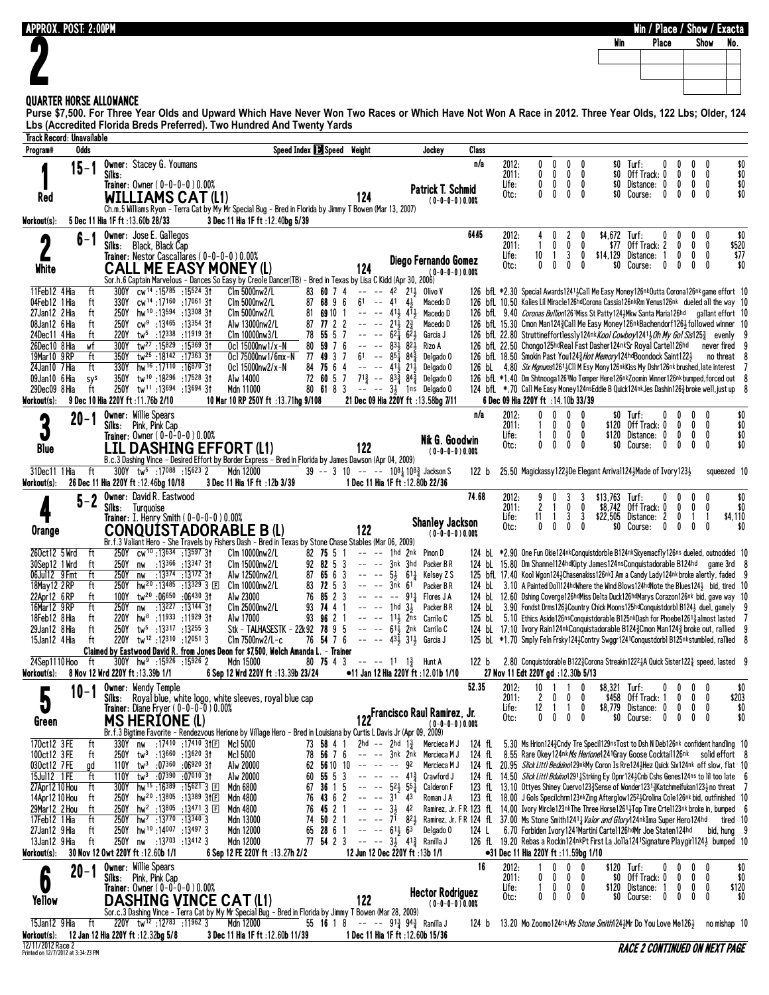| <b>APPROX. POST: 2:00PM</b>                                                                                                                                                                                                       |                                                                                                                                                                            |                                                                                                                                                                                                                                       | <b>Win</b>                              |                                 | Win / Place / Show / Exacta<br>Show                  |
|-----------------------------------------------------------------------------------------------------------------------------------------------------------------------------------------------------------------------------------|----------------------------------------------------------------------------------------------------------------------------------------------------------------------------|---------------------------------------------------------------------------------------------------------------------------------------------------------------------------------------------------------------------------------------|-----------------------------------------|---------------------------------|------------------------------------------------------|
|                                                                                                                                                                                                                                   |                                                                                                                                                                            |                                                                                                                                                                                                                                       |                                         | Place                           | No.                                                  |
|                                                                                                                                                                                                                                   |                                                                                                                                                                            |                                                                                                                                                                                                                                       |                                         |                                 |                                                      |
| <b>QUARTER HORSE ALLOWANCE</b>                                                                                                                                                                                                    |                                                                                                                                                                            |                                                                                                                                                                                                                                       |                                         |                                 |                                                      |
| Purse \$7,500. For Three Year Olds and Upward Which Have Never Won Two Races or Which Have Not Won A Race in 2012. Three Year Olds, 122 Lbs; Older, 124<br>Lbs (Accredited Florida Breds Preferred). Two Hundred And Twenty Yards |                                                                                                                                                                            |                                                                                                                                                                                                                                       |                                         |                                 |                                                      |
| <b>Track Record: Unavailable</b><br><b>Odds</b>                                                                                                                                                                                   | Speed Index 3 Speed Weight                                                                                                                                                 |                                                                                                                                                                                                                                       |                                         |                                 |                                                      |
| Program#<br><b>Owner: Stacey G. Youmans</b><br>$15 - 1$                                                                                                                                                                           | Jockey                                                                                                                                                                     | Class<br>n/a<br>2012:<br>0<br>0<br>0<br>0                                                                                                                                                                                             | $$0$ Turf:                              | 0<br>0                          | \$0<br>$\mathbf{0}$<br>$\mathbf{0}$                  |
| Silks:<br>Trainer: 0wner (0-0-0-0) 0.00%                                                                                                                                                                                          | <b>Patrick T. Schmid</b>                                                                                                                                                   | 0<br>2011:<br>0<br>$\mathbf 0$<br>0<br>0<br>0<br>0<br>0<br>Life:                                                                                                                                                                      | \$0 Off Track: 0<br>\$0 Distance: 0     | 0<br>0                          | $\frac{10}{10}$<br>$0\quad 0$<br>$0\quad 0$          |
| <b>WILLIAMS CAT (L1)</b><br>Red<br>Ch.m.5 Williams Ryon - Terra Cat by My Mr Special Bug - Bred in Florida by Jimmy T Bowen (Mar 13, 2007)                                                                                        | 124<br>$(0-0-0-0)0.00%$                                                                                                                                                    | 0<br>$\mathbf{0}$<br>$\mathbf{0}$<br>$\mathbf{0}$<br>Otc:                                                                                                                                                                             | \$0 Course:                             | 0<br>0                          | \$0<br>$0\quad 0$                                    |
| 5 Dec 11 Hia 1F ft : 13.60b 28/33<br>3 Dec 11 Hia 1F ft : 12.40bg 5/39<br>Workout(s):                                                                                                                                             |                                                                                                                                                                            |                                                                                                                                                                                                                                       |                                         |                                 |                                                      |
| <b>Owner:</b> Jose E. Gallegos<br>$6 - 1$<br>4<br>Silks: Black, Black Cap                                                                                                                                                         |                                                                                                                                                                            | 6445<br>2<br>2012:<br>0<br>2011:<br>0<br>0                                                                                                                                                                                            | \$4,672 Turf:<br>$$77$ Off Track: 2     | 0<br>0                          | \$0<br>0<br>0<br>\$520<br>$\mathbf 0$<br>0           |
| Trainer: Nestor Cascallares (0-0-0-0) 0.00%<br><b>CALL ME EASY MONEY (L)</b><br>White                                                                                                                                             | Diego Fernando Gomez<br>124                                                                                                                                                | 3<br>10<br>0<br>Life:<br>0<br>0<br>0<br>0<br>Otc:                                                                                                                                                                                     | \$14,129 Distance: 1<br>\$0 Course:     | 0<br>0<br>0                     | \$77<br>0<br>0<br>\$0<br>0<br>0                      |
| Sor.h.6 Captain Marvelous - Dances So Easy by Creole Dancer(TB) - Bred in Texas by Lisa C Kidd (Apr 30, 2006)                                                                                                                     | $(0 - 0 - 0 - 0)0.00%$                                                                                                                                                     |                                                                                                                                                                                                                                       |                                         |                                 |                                                      |
| 300Y cw <sup>14</sup> :15785 :15524 31<br>11Feb12 4 Hia<br>ft<br>Clm 5000nw2/L<br>330Y cw <sup>14</sup> :17160 :17061 3t<br>04Feb12 1 Hia<br>Clm 5000nw2/L<br>ft                                                                  | 83 60 7 4<br>-- -- 42 213 Olivo V<br>87 68 9 6<br>$61 - 41$ $43$<br>Macedo D                                                                                               | 126 bfL *2.30 Special Awards 12413 Call Me Easy Money 126nk Outta Corona 126nk game effort 10<br>126 bfL 10.50 Kalies Lil Miracle126hdCorona Cassia126nkRm Venus126nk dueled all the way 10                                           |                                         |                                 |                                                      |
| 250Y hw <sup>10</sup> :13594 :13308 31<br>27Jan12 2 Hia<br>$C$ lm 5000 $n$ w $2/L$<br>ft<br>08Jan12 6 Hia<br>250Y cw <sup>9</sup> :13465 :13354 31<br>ft<br>Alw 13000nw2/L                                                        | $----413.413$<br>81<br>69 10 1<br>Macedo D<br>$-- -21\frac{1}{2}$ $2\frac{3}{4}$<br>7722<br>Macedo D<br>87                                                                 | 126 bfl 9.40 Coronas Bullion1261Miss St Patty1243Mkw Santa Maria126hd gallant effort 10<br>126 bfl. 15.30 Cmon Man1243 Call Me Easy Money126nkBachendorf1263 followed winner 10                                                       |                                         |                                 |                                                      |
| 24Dec11 4 Hia<br>220Y tw <sup>5</sup> :12338 :11919 31<br>Clm 10000nw3/L<br>ft<br>26Dec10 8 Hia<br>300Y<br>tw <sup>27</sup> :15829:153693t<br>Ocl 15000nw1/x-N<br>wf                                                              | 78 55 5 7<br>$-- -62\overline{1}62\overline{1}$<br>Garcia J<br>80 59 7 6<br>$-- -8318821$<br>Rizo A                                                                        | 126 bfl. 22.80 Struttineffortlessly124nk <i>Kool Cowboy</i> 12413 <i>Oh My Gol Sis</i> 125 <sup>3</sup> evenly<br>126 bfl. 22.50 Chongo125hdReal Fast Dasher124nkSr Royal Cartel126hd                                                 |                                         |                                 | never fired 9                                        |
| 19Mar10 9RP<br>350Y<br>tw <sup>25</sup> :18142:17363 3t<br>Oc1 75000nw1/6mx-N<br>ft<br>330Y hw <sup>16</sup> :17110 :16870 3t<br>24Jan10 7 Hia<br>ft<br>Ocl 15000nw2/x-N                                                          | 77 49 3 7<br>$61 - 85\overline{1} 84\overline{3}$<br>Delgado O<br>84 75 6 4<br>$----413213$<br>Delgado O                                                                   | 126 bfL 18.50 Smokin Past You1243 Hot Memory124hdBoondock Saint1223<br>126 bL 4.80 Six Mgnums12613Cll M Esy Mony126nkKiss My Dshr126nk brushed, late interest 7                                                                       |                                         |                                 | no threat $\theta$                                   |
| 350Y tw <sup>10</sup> :18296:17528 31<br>09Jan10 6 Hia<br>Alw 14000<br>sys                                                                                                                                                        | 72 60 5 7 71 $\frac{3}{4}$ -- 83 $\frac{3}{4}$ 84 $\frac{3}{4}$ Delgado 0                                                                                                  | 126 bfL *1.40 Dm Shtnooga1261No Temper Here126nkZoomin Winner126nkbumped, forced out 8                                                                                                                                                |                                         |                                 |                                                      |
| 250Y tw <sup>11</sup> :13694 :13694 3t<br>29Dec09 8 Hia<br>ft<br>Mdn 11000<br>9 Dec 10 Hia 220Y ft : 11.76b 2/10<br>10 Mar 10 RP 250Y ft :13.71hg 9/108<br>Workout(s):                                                            | 80 61 8 3 -- -- 31 1ns Delgado 0<br>21 Dec 09 Hia 220Y ft : 13.58bg 7/11                                                                                                   | 124 bfL *.70 Call Me Easy Money124nsEddie B Quick124nkJes Dashin1263broke well, just up 8<br>6 Dec 09 Hia 220Y ft : 14.10b 33/39                                                                                                      |                                         |                                 |                                                      |
| <b>Owner: Willie Spears</b><br>$20 - 1$<br>3<br>Silks: Pink, Pink Cap                                                                                                                                                             |                                                                                                                                                                            | n/a<br>2012:<br>0<br>0<br>0<br>2011:<br>0                                                                                                                                                                                             | $$0$ Turf:<br>\$120 Off Track: 0        | 0                               | \$0<br>\$0<br>$0\quad 0$                             |
| Trainer: $0$ wner $(0-0-0-0)0.00%$                                                                                                                                                                                                | Nik G. Goodwin                                                                                                                                                             | Life:<br>1<br>0<br>0<br>0<br>0<br>0<br>0<br>0<br>Otc:                                                                                                                                                                                 | \$120 Distance: 0<br>\$0 Course:        | 0<br>0<br>0                     | \$0<br>0<br>0<br>\$0<br>0<br>$\mathbf{0}$            |
| <b>LIL DASHING EFFORT (L1)</b><br><b>Blue</b><br>B.c.3 Dashing Vince - Desired Effort by Border Express - Bred in Florida by James Dawson (Apr 04, 2009)                                                                          | 122<br>$(0-0-0-0)0.00%$                                                                                                                                                    |                                                                                                                                                                                                                                       |                                         |                                 |                                                      |
| 31Dec11 1 Hia<br>ft<br>300Y tw <sup>5</sup> :17088 :15623 2<br>Mdn 12000<br>Workout(s):<br>26 Dec 11 Hia 220Y ft : 12.46bg 10/18<br>3 Dec 11 Hia 1F ft : 12b 3/39                                                                 | 39 -- 3 10 -- -- 108 $\frac{1}{4}$ 108 $\frac{3}{4}$ Jackson S<br>1 Dec 11 Hia 1F ft : 12.80b 22/36                                                                        | 25.50 Magickassy 1223De Elegant Arrival1243Made of Ivory 1233<br>122 b                                                                                                                                                                |                                         |                                 | squeezed 10                                          |
| <b>Owner: David R. Eastwood</b><br>$5 - 2$                                                                                                                                                                                        |                                                                                                                                                                            | 74.68<br>2012:<br>3<br>9<br>3<br>2011:<br>2<br>0<br>0<br>1.                                                                                                                                                                           | $$13,763$ Turf:<br>\$8,742 Off Track: 0 | 0<br>0                          | \$0<br>$\mathbf{0}$<br>0<br>$\mathbf{0}$<br>\$0<br>0 |
| Turquoise<br>Silks:<br>Trainer: I. Henry Smith ( $0-0-0-0$ ) 0.00%                                                                                                                                                                | <b>Shanley Jackson</b>                                                                                                                                                     | 3<br>3<br>Life:<br>11<br>-1<br>0<br>0<br>Otc:<br>$\mathbf{0}$                                                                                                                                                                         | \$22,505<br>\$0 Course:                 | Distance: 2<br>0<br>0<br>0      | -1<br>-1<br>\$4,110<br>$\mathbf{0}$<br>0<br>\$0      |
| <b>CONQUISTADORABLE B (L)</b><br>Orange<br>Br.f.3 Valiant Hero - She Travels by Fishers Dash - Bred in Texas by Stone Chase Stables (Mar 06, 2009)                                                                                | 122<br>$(0-0-0-0)0.00%$                                                                                                                                                    |                                                                                                                                                                                                                                       |                                         |                                 |                                                      |
| 250Y cw <sup>10</sup> :13634:1359731<br>260ct12 5 Wrd<br>ft<br>Clm 10000nw2/L<br>nw :13366 :13347 31<br>Clm 15000nw2/L<br>30Sep12 1 Wrd<br>250Y<br>ft                                                                             | 82 75 5 1<br>$---$ 1hd 2nk Pinon D<br>92 82 5 3<br>$---$ 3nk 3hd Packer BR                                                                                                 | 124 bl *2.90 One Fun Okie124nkConquistdorble B124nkSkyemacfly126ns dueled, outnodded 10<br>124 bL 15.80 Dm Shannel124hdKipty James124nsConquistadorable B124hd game 3rd 8                                                             |                                         |                                 |                                                      |
| nw :13374 :13172 3t<br>06Jul12 9 Fmt<br>ft<br>250Y<br>Alw 12500nw2/L<br>250Y hw <sup>20</sup> :13485 :13329 3 E Clm 10000nw2/L<br>18May 12 2 RP<br>ft                                                                             | 87 65 6 3 -- -- $5\frac{1}{2}$ 61 <sup>1</sup> / <sub>4</sub> Kelsey Z S<br>$83$ 72 5 3 --<br>3nk 61 Packer BR<br>$\sim$ $-$                                               | 125 bfl 17.40 Kool Wgon1243Chasenakiss126nkI Am a Candy Lady124nk broke alertly, faded 9<br>124 bl. 3.10 A Painted Doll124hdWhere the Wind Blows124hdNote the Blues1243 bid, tired 10                                                 |                                         |                                 |                                                      |
| 100Y tw <sup>20</sup> :06650 :06430 31<br>22Apr12 6RP<br>ft<br>Alw 23000                                                                                                                                                          | 76 85 2 3<br>-- -- -- 911 Flores J A                                                                                                                                       | 124 bL 12.60 Dshing Coverge126hdMiss Delta Duck126hdMarys Corazon126nk bid, gave way 10                                                                                                                                               |                                         |                                 |                                                      |
| 16Mar12 9RP<br>250Y nw :13227 :13144 31<br>Clm 25000nw2/L<br>ft<br>18Feb12 8 Hia<br>220Y hw <sup>8</sup> :11933 :11929 31<br>Alw 17000<br>ft                                                                                      | -- -- 1hd 31, Packer B R<br>93 74 4 1<br>93 96 2 1<br>$--- 112$ 2ns Carrilo C                                                                                              | 124 bl. 3.90 Fondst Drms1263Country Chick Moons125hdConquistdorb1 B1243 duel, gamely 9<br>125 bL 5.10 Ethics Aside126nsConquistdorable B125nkDash for Phoebe12613 almost lasted 7                                                     |                                         |                                 |                                                      |
| 29Jan12 8 Hia<br>250Y tw <sup>5</sup> :13317 :13255 3<br>ft<br>220Y tw <sup>12</sup> :12310:120513<br>15Jan12 4 Hia<br>$C$ lm 7500 $n$ w $2/L$ -c<br>ft                                                                           | Stk - TALHASESTK - 22k92 78 9 5 -- -- 61} 2nk Carrilo C<br>76 54 7 6 -- -- $43\frac{1}{3}$ 311 Garcia J                                                                    | 124 bL 17.10 Ivory Rain124nkConquistadorable B124 $\frac{3}{2}$ Cmon Man124 $\frac{3}{2}$ broke out, rallied 9<br>125 bl *1.70 Smply Feln Frsky1243Contry Swggr1241Conqustdorbl B125nkstumbled, rallied 8                             |                                         |                                 |                                                      |
| Claimed by Eastwood David R. from Jones Deon for \$7,500, Welch Amanda L. – Trainer<br>24Sep1110 Hoo<br>$300Y$ hw <sup>9</sup> :15926 :15926 2<br>Mdn 15000<br>ft                                                                 | 80 75 4 3 -- -- 11 1 $\frac{3}{4}$ Hunt A                                                                                                                                  | 2.80 Conquistdorable B1223 Corona Streakin12221A Quick Sister1223 speed, lasted 9<br>122 b                                                                                                                                            |                                         |                                 |                                                      |
| 8 Nov 12 Wrd 220Y ft:13.39b 1/1<br>6 Sep 12 Wrd 220Y ft :13.39b 23/24<br>Workout(s):                                                                                                                                              | •11 Jan 12 Hia 220Y ft: 12.01b 1/10                                                                                                                                        | 27 Nov 11 Edt 220Y gd :12.30b 5/13                                                                                                                                                                                                    |                                         |                                 |                                                      |
| <b>Owner: Wendy Temple</b><br>$10 - 1$<br>5<br>Silks: Royal blue, white logo, white sleeves, royal blue cap                                                                                                                       |                                                                                                                                                                            | 52.35<br>$10 \quad 1 \quad 1$<br>2012:<br>0<br>2011:<br>$\mathbf{2}$<br>$\mathbf{0}$<br>$\mathbf 0$<br>$\boldsymbol{0}$                                                                                                               | \$8,321 Turf:<br>\$458 Off Track: 1     | 0<br>$\mathbf 0$                | $\mathbf{0}$<br>\$0<br>0<br>$0\quad 0$<br>\$203      |
| <b>Trainer:</b> Diane Fryer $(0-0-0-0)$ 0.00%<br><b>MS HERIONE (L)</b><br>Green                                                                                                                                                   | 122 Francisco Raul Ramirez, Jr.<br>$(0 - 0 - 0 - 0)$ 0.00%                                                                                                                 | 12 1<br>$\overline{1}$<br>0<br>Life:<br>$\mathbf{0}$<br>0<br>$^{\circ}$<br>$\mathbf{0}$<br>Otc:                                                                                                                                       | \$8,779 Distance: 0                     | $\mathbf{0}$<br>\$0 Course: 0 0 | $0\quad 0$<br>\$0<br>$\mathbf{0}$<br>0<br>\$0        |
| 170ct12 3FE<br>330Y nw :17410 :17410 31E Mc1 5000                                                                                                                                                                                 | Br.f.3 Bigtime Favorite - Rendezvous Herione by Village Hero - Bred in Louisiana by Curtis L Davis Jr (Apr 09, 2009)<br>73 58 4 1<br>2hd -- 2hd $1\frac{3}{4}$ Mercieca MJ | 124 fl 5.30 Ms Hrion1243 Cndy Tre Specil129ns Tost to Dsh N Deb126nk confident handling 10                                                                                                                                            |                                         |                                 |                                                      |
| ft<br>100ct12 3 FE<br>$250Y$ tw <sup>3</sup> :13660 :13620 31<br>Mc1 5000<br>ft                                                                                                                                                   | 78 56 7 6 -- -- 3nk 2nk Mercieca M J                                                                                                                                       | 124 fL 8.55 Rare Okey124nk Ms Herione1241 Gray Goose Cocktail 126nk solid effort 8                                                                                                                                                    |                                         |                                 |                                                      |
| 030ct12 7FE<br>$110Y$ tw <sup>3</sup> :07360 :06920 31<br>Alw 20000<br>gd<br>15Jul12 1 FE<br>110Y<br>tw <sup>3</sup> :07390 :07010 31<br>Alw 20000<br>ft                                                                          | 62 56 10 10 -- -- -- 92 Mercieca M J<br>60 55 5 3 -- -- -- 41 $\frac{3}{4}$ Crawford J                                                                                     | 124 fl 20.95 Slick Littl Beduino129nkMy Coron Is Rre1243Hez Quick Six124nk off slow, flat 10<br>124 fL 14.50 Slick Littl Bduino1291 Strking Ey Opnr124 3 Cnb Cshs Genes 124ns to lil too late 6                                       |                                         |                                 |                                                      |
| 300Y hw <sup>15</sup> :16 <sup>389</sup> :15621 3 F<br>27Apr12 10 Hou<br>Mdn 6800<br>ft<br>250Y hw <sup>20</sup> :13805 :13389 31回<br>14Apr12 10 Hou<br>Mdn 4800<br>ft                                                            | 67 36 1 5 -- -- $5^{2}\frac{1}{2}$ 5 <sup>5</sup> $\frac{1}{2}$ Calderon F<br>$76$ 43 6 2 -- -- $31$ 43<br>Roman J A                                                       | 123 fL 13.10 Ottyes Shiney Cuervo1233 Sense of Wonder1231 3 Katchmeifukan123 3 no threat 7<br>123 fL 18.00 J Gols Specilchrm123nkZing Afterglow12523Crolina Cole126nk bid, outfinished 10                                             |                                         |                                 |                                                      |
| 29Mar12 2 Hou<br>250Y hw <sup>2</sup> :13805 :13471 3 E<br>Mdn 4800<br>ft<br>$hw^7$ :13770 :13340 3<br>17Feb12 1 Hia<br>Mdn 13000<br>ft<br>250Y                                                                                   | 76 45 2 1 -- -- $3\frac{1}{2}$ 42<br>74 50 2 1                                                                                                                             | Ramirez, Jr. F R 123 fl. 14.00 Ivory Mircle123nkThe Three Horse12614Top Time Crtel123nk broke in, bumped 6<br>-- -- 71 82} Ramirez, Jr. F R 124 fL 37.00 Ms Stone Smith12411 <i>Halor and Glory</i> 124nkIma Super Hero124hd tired 10 |                                         |                                 |                                                      |
| 27Jan12 9 Hia<br>250Y hw <sup>10</sup> :14007:134973<br>Mdn 12000<br>ft                                                                                                                                                           | 65 28 6 1 -- -- 61 $\frac{1}{2}$ 63<br>Delgado O                                                                                                                           | 124 L 6.70 Forbiden Ivory 1241 Martini Carte 1126 hd Mr Joe Staten 124 hd                                                                                                                                                             |                                         |                                 | bid, hung 9                                          |
| 250Y nw :13703 :13412 3<br>13Jan12 9 Hia<br>ft<br>Mdn 12000<br>6 Sep 12 FE 220Y ft :13.27h 2/2<br>Workout(s):<br>30 Nov 12 Owt 220Y ft :12.60b 1/1                                                                                | 77 54 2 3 -- -- $3\frac{1}{2}$ 41 $\frac{3}{4}$ Ranilla J<br>12 Jun 12 Oec 220Y ft :13b 1/1                                                                                | 126 fL 19.20 Rebas a Rockin124nkPt First La Jolla1241Signature Playgir1124} bumped 10<br>●31 Dec 11 Hia 220Y ft :11.59bg 1/10                                                                                                         |                                         |                                 |                                                      |
| <b>Owner: Willie Spears</b><br>$20 - 1$<br>Silks: Pink, Pink Cap                                                                                                                                                                  |                                                                                                                                                                            | 16<br>2012:<br>0<br>$\mathbf{0}$<br>0<br>2011:<br>$\mathbf{0}$<br>0<br>0<br>0                                                                                                                                                         | $$120$ Turf:                            | 0<br>\$0 Off Track: 0<br>0      | \$0<br>$\mathbf{0}$<br>\$0<br>$0\quad 0$             |
| O<br>Trainer: Owner (0-0-0-0) 0.00%<br><b>DASHING VINCE CAT (L1)</b><br>Yellow                                                                                                                                                    | <b>Hector Rodriguez</b><br>122                                                                                                                                             | Life:<br>1<br>$0\quad 0$<br>$\mathbf 0$<br>$\mathbf{0}$<br>0<br>0<br>0<br>Otc:                                                                                                                                                        | \$120 Distance: 1                       | $\mathbf{0}$<br>\$0 Course: 0 0 | $0\quad 0$<br>\$120<br>$\mathbf{0}$<br>0<br>\$0      |
| Sor.c.3 Dashing Vince - Terra Cat by My Mr Special Bug - Bred in Florida by Jimmy T Bowen (Mar 28, 2009)                                                                                                                          | $(0-0-0-0)0.00%$                                                                                                                                                           |                                                                                                                                                                                                                                       |                                         |                                 |                                                      |
| ft<br>11962 3 12783 11962<br>Mdn 12000<br>15Jan12 9 Hia<br>12 Jan 12 Hia 220Y ft : 12.32bg 5/8<br>Workout(s):                                                                                                                     | 55 16 1 8 -- -- $9^{13}$ $9^{43}$ Ranilla J<br>3 Dec 11 Hia 1F ft : 12.60b 11/39<br>1 Dec 11 Hia 1F ft : 12.60b 15/36                                                      | 124 b 13.20 Mo Zoomo124nk <i>Ms Stone Smith</i> 124}Mr Do You Love Me126}                                                                                                                                                             |                                         |                                 | no mishap 10                                         |